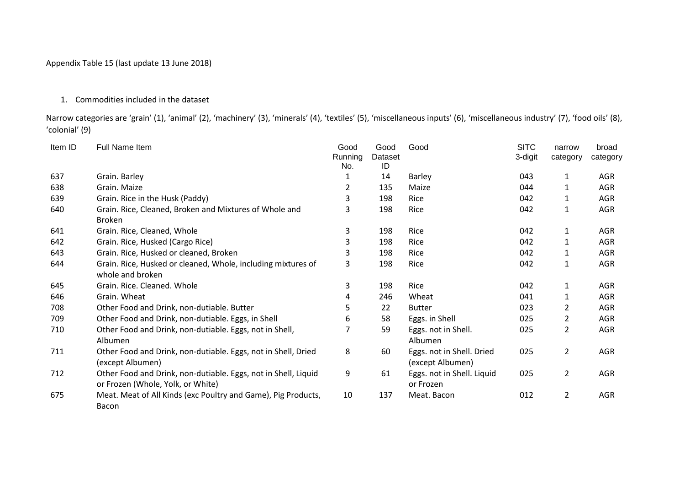## Appendix Table 15 (last update 13 June 2018)

## 1. Commodities included in the dataset

Narrow categories are 'grain' (1), 'animal' (2), 'machinery' (3), 'minerals' (4), 'textiles' (5), 'miscellaneous inputs' (6), 'miscellaneous industry' (7), 'food oils' (8), 'colonial' (9)

| Item ID | Full Name Item                                                                                      | Good           | Good          | Good                                          | <b>SITC</b> | narrow         | broad      |
|---------|-----------------------------------------------------------------------------------------------------|----------------|---------------|-----------------------------------------------|-------------|----------------|------------|
|         |                                                                                                     | Running<br>No. | Dataset<br>ID |                                               | 3-digit     | category       | category   |
| 637     | Grain. Barley                                                                                       |                | 14            | Barley                                        | 043         | 1              | AGR        |
| 638     | Grain. Maize                                                                                        | 2              | 135           | Maize                                         | 044         |                | <b>AGR</b> |
| 639     | Grain. Rice in the Husk (Paddy)                                                                     | 3              | 198           | Rice                                          | 042         |                | AGR        |
| 640     | Grain. Rice, Cleaned, Broken and Mixtures of Whole and<br><b>Broken</b>                             | 3              | 198           | Rice                                          | 042         | 1              | AGR        |
| 641     | Grain. Rice, Cleaned, Whole                                                                         | 3              | 198           | Rice                                          | 042         | 1              | AGR        |
| 642     | Grain. Rice, Husked (Cargo Rice)                                                                    | 3              | 198           | Rice                                          | 042         |                | AGR        |
| 643     | Grain. Rice, Husked or cleaned, Broken                                                              | 3              | 198           | Rice                                          | 042         |                | AGR        |
| 644     | Grain. Rice, Husked or cleaned, Whole, including mixtures of<br>whole and broken                    | 3              | 198           | Rice                                          | 042         | 1              | AGR        |
| 645     | Grain. Rice. Cleaned. Whole                                                                         | 3              | 198           | Rice                                          | 042         | 1              | AGR        |
| 646     | Grain. Wheat                                                                                        | 4              | 246           | Wheat                                         | 041         |                | AGR        |
| 708     | Other Food and Drink, non-dutiable. Butter                                                          | 5              | 22            | <b>Butter</b>                                 | 023         | 2              | AGR        |
| 709     | Other Food and Drink, non-dutiable. Eggs, in Shell                                                  | 6              | 58            | Eggs. in Shell                                | 025         | 2              | AGR        |
| 710     | Other Food and Drink, non-dutiable. Eggs, not in Shell,<br>Albumen                                  |                | 59            | Eggs. not in Shell.<br>Albumen                | 025         | $\overline{2}$ | AGR        |
| 711     | Other Food and Drink, non-dutiable. Eggs, not in Shell, Dried<br>(except Albumen)                   | 8              | 60            | Eggs. not in Shell. Dried<br>(except Albumen) | 025         | $\overline{2}$ | AGR        |
| 712     | Other Food and Drink, non-dutiable. Eggs, not in Shell, Liquid<br>or Frozen (Whole, Yolk, or White) | 9              | 61            | Eggs. not in Shell. Liquid<br>or Frozen       | 025         | $\overline{2}$ | AGR        |
| 675     | Meat. Meat of All Kinds (exc Poultry and Game), Pig Products,<br>Bacon                              | 10             | 137           | Meat. Bacon                                   | 012         | $\overline{2}$ | AGR        |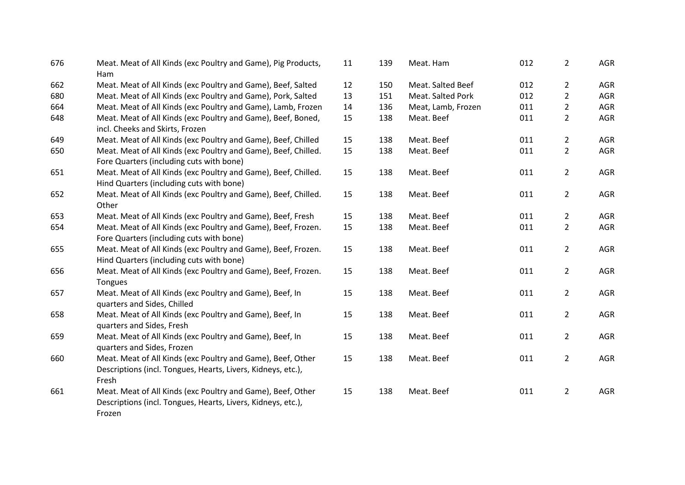| 676 | Meat. Meat of All Kinds (exc Poultry and Game), Pig Products,<br>Ham                                                                  | 11 | 139 | Meat. Ham          | 012 | $\overline{2}$ | AGR        |
|-----|---------------------------------------------------------------------------------------------------------------------------------------|----|-----|--------------------|-----|----------------|------------|
| 662 | Meat. Meat of All Kinds (exc Poultry and Game), Beef, Salted                                                                          | 12 | 150 | Meat. Salted Beef  | 012 | $\overline{2}$ | AGR        |
| 680 | Meat. Meat of All Kinds (exc Poultry and Game), Pork, Salted                                                                          | 13 | 151 | Meat. Salted Pork  | 012 | $\overline{2}$ | AGR        |
| 664 | Meat. Meat of All Kinds (exc Poultry and Game), Lamb, Frozen                                                                          | 14 | 136 | Meat, Lamb, Frozen | 011 | $\overline{2}$ | AGR        |
| 648 | Meat. Meat of All Kinds (exc Poultry and Game), Beef, Boned,<br>incl. Cheeks and Skirts, Frozen                                       | 15 | 138 | Meat. Beef         | 011 | $\overline{2}$ | <b>AGR</b> |
| 649 | Meat. Meat of All Kinds (exc Poultry and Game), Beef, Chilled                                                                         | 15 | 138 | Meat. Beef         | 011 | $\overline{2}$ | AGR        |
| 650 | Meat. Meat of All Kinds (exc Poultry and Game), Beef, Chilled.<br>Fore Quarters (including cuts with bone)                            | 15 | 138 | Meat. Beef         | 011 | $\overline{2}$ | AGR        |
| 651 | Meat. Meat of All Kinds (exc Poultry and Game), Beef, Chilled.<br>Hind Quarters (including cuts with bone)                            | 15 | 138 | Meat. Beef         | 011 | $\overline{2}$ | AGR        |
| 652 | Meat. Meat of All Kinds (exc Poultry and Game), Beef, Chilled.<br>Other                                                               | 15 | 138 | Meat. Beef         | 011 | $\overline{2}$ | AGR        |
| 653 | Meat. Meat of All Kinds (exc Poultry and Game), Beef, Fresh                                                                           | 15 | 138 | Meat. Beef         | 011 | $\overline{2}$ | <b>AGR</b> |
| 654 | Meat. Meat of All Kinds (exc Poultry and Game), Beef, Frozen.<br>Fore Quarters (including cuts with bone)                             | 15 | 138 | Meat. Beef         | 011 | $\overline{2}$ | AGR        |
| 655 | Meat. Meat of All Kinds (exc Poultry and Game), Beef, Frozen.<br>Hind Quarters (including cuts with bone)                             | 15 | 138 | Meat. Beef         | 011 | $\overline{2}$ | <b>AGR</b> |
| 656 | Meat. Meat of All Kinds (exc Poultry and Game), Beef, Frozen.<br>Tongues                                                              | 15 | 138 | Meat. Beef         | 011 | $\overline{2}$ | AGR        |
| 657 | Meat. Meat of All Kinds (exc Poultry and Game), Beef, In<br>quarters and Sides, Chilled                                               | 15 | 138 | Meat. Beef         | 011 | $\overline{2}$ | <b>AGR</b> |
| 658 | Meat. Meat of All Kinds (exc Poultry and Game), Beef, In<br>quarters and Sides, Fresh                                                 | 15 | 138 | Meat. Beef         | 011 | $\overline{2}$ | AGR        |
| 659 | Meat. Meat of All Kinds (exc Poultry and Game), Beef, In<br>quarters and Sides, Frozen                                                | 15 | 138 | Meat. Beef         | 011 | $\overline{2}$ | AGR        |
| 660 | Meat. Meat of All Kinds (exc Poultry and Game), Beef, Other<br>Descriptions (incl. Tongues, Hearts, Livers, Kidneys, etc.),<br>Fresh  | 15 | 138 | Meat. Beef         | 011 | $\overline{2}$ | AGR        |
| 661 | Meat. Meat of All Kinds (exc Poultry and Game), Beef, Other<br>Descriptions (incl. Tongues, Hearts, Livers, Kidneys, etc.),<br>Frozen | 15 | 138 | Meat. Beef         | 011 | $\overline{2}$ | AGR        |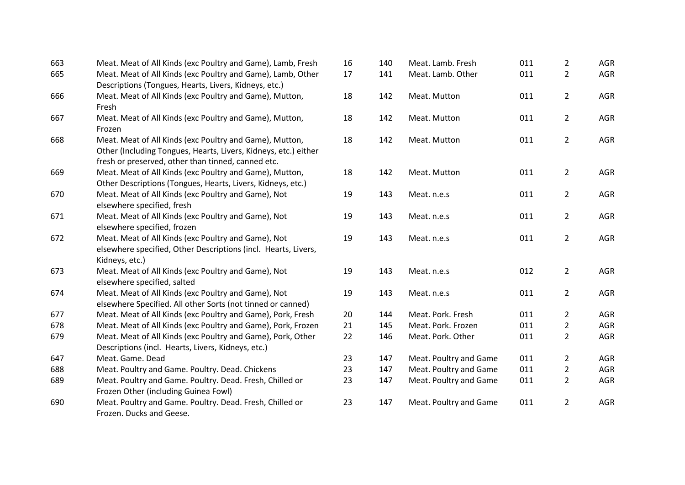| 663 | Meat. Meat of All Kinds (exc Poultry and Game), Lamb, Fresh                                                                                                                      | 16 | 140 | Meat. Lamb. Fresh      | 011 | $\overline{2}$ | AGR        |
|-----|----------------------------------------------------------------------------------------------------------------------------------------------------------------------------------|----|-----|------------------------|-----|----------------|------------|
| 665 | Meat. Meat of All Kinds (exc Poultry and Game), Lamb, Other<br>Descriptions (Tongues, Hearts, Livers, Kidneys, etc.)                                                             | 17 | 141 | Meat. Lamb. Other      | 011 | $\overline{2}$ | AGR        |
| 666 | Meat. Meat of All Kinds (exc Poultry and Game), Mutton,<br>Fresh                                                                                                                 | 18 | 142 | Meat. Mutton           | 011 | $\overline{2}$ | <b>AGR</b> |
| 667 | Meat. Meat of All Kinds (exc Poultry and Game), Mutton,<br>Frozen                                                                                                                | 18 | 142 | Meat. Mutton           | 011 | $\overline{2}$ | <b>AGR</b> |
| 668 | Meat. Meat of All Kinds (exc Poultry and Game), Mutton,<br>Other (Including Tongues, Hearts, Livers, Kidneys, etc.) either<br>fresh or preserved, other than tinned, canned etc. | 18 | 142 | Meat. Mutton           | 011 | $\overline{2}$ | AGR        |
| 669 | Meat. Meat of All Kinds (exc Poultry and Game), Mutton,<br>Other Descriptions (Tongues, Hearts, Livers, Kidneys, etc.)                                                           | 18 | 142 | Meat. Mutton           | 011 | $\overline{2}$ | <b>AGR</b> |
| 670 | Meat. Meat of All Kinds (exc Poultry and Game), Not<br>elsewhere specified, fresh                                                                                                | 19 | 143 | Meat. n.e.s            | 011 | $\overline{2}$ | <b>AGR</b> |
| 671 | Meat. Meat of All Kinds (exc Poultry and Game), Not<br>elsewhere specified, frozen                                                                                               | 19 | 143 | Meat. n.e.s            | 011 | $\overline{2}$ | <b>AGR</b> |
| 672 | Meat. Meat of All Kinds (exc Poultry and Game), Not<br>elsewhere specified, Other Descriptions (incl. Hearts, Livers,<br>Kidneys, etc.)                                          | 19 | 143 | Meat. n.e.s            | 011 | $\overline{2}$ | AGR        |
| 673 | Meat. Meat of All Kinds (exc Poultry and Game), Not<br>elsewhere specified, salted                                                                                               | 19 | 143 | Meat. n.e.s            | 012 | $\overline{2}$ | AGR        |
| 674 | Meat. Meat of All Kinds (exc Poultry and Game), Not<br>elsewhere Specified. All other Sorts (not tinned or canned)                                                               | 19 | 143 | Meat. n.e.s            | 011 | $\overline{2}$ | <b>AGR</b> |
| 677 | Meat. Meat of All Kinds (exc Poultry and Game), Pork, Fresh                                                                                                                      | 20 | 144 | Meat. Pork. Fresh      | 011 | $\overline{2}$ | <b>AGR</b> |
| 678 | Meat. Meat of All Kinds (exc Poultry and Game), Pork, Frozen                                                                                                                     | 21 | 145 | Meat. Pork. Frozen     | 011 | $\overline{2}$ | AGR        |
| 679 | Meat. Meat of All Kinds (exc Poultry and Game), Pork, Other<br>Descriptions (incl. Hearts, Livers, Kidneys, etc.)                                                                | 22 | 146 | Meat. Pork. Other      | 011 | $\overline{2}$ | <b>AGR</b> |
| 647 | Meat. Game. Dead                                                                                                                                                                 | 23 | 147 | Meat. Poultry and Game | 011 | $\overline{2}$ | AGR        |
| 688 | Meat. Poultry and Game. Poultry. Dead. Chickens                                                                                                                                  | 23 | 147 | Meat. Poultry and Game | 011 | $\overline{2}$ | AGR        |
| 689 | Meat. Poultry and Game. Poultry. Dead. Fresh, Chilled or<br>Frozen Other (including Guinea Fowl)                                                                                 | 23 | 147 | Meat. Poultry and Game | 011 | $\overline{2}$ | AGR        |
| 690 | Meat. Poultry and Game. Poultry. Dead. Fresh, Chilled or<br>Frozen. Ducks and Geese.                                                                                             | 23 | 147 | Meat. Poultry and Game | 011 | $\overline{2}$ | <b>AGR</b> |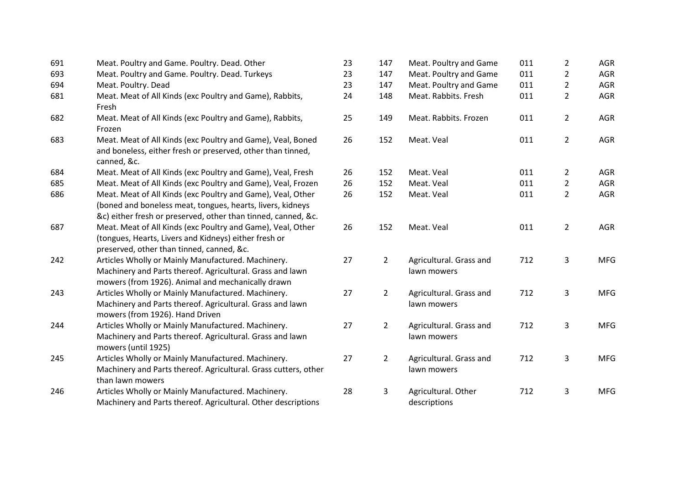| 691 | Meat. Poultry and Game. Poultry. Dead. Other                                                                                                                                               | 23 | 147            | Meat. Poultry and Game                 | 011 | $\overline{2}$ | <b>AGR</b> |
|-----|--------------------------------------------------------------------------------------------------------------------------------------------------------------------------------------------|----|----------------|----------------------------------------|-----|----------------|------------|
| 693 | Meat. Poultry and Game. Poultry. Dead. Turkeys                                                                                                                                             | 23 | 147            | Meat. Poultry and Game                 | 011 | $\overline{2}$ | <b>AGR</b> |
| 694 | Meat. Poultry. Dead                                                                                                                                                                        | 23 | 147            | Meat. Poultry and Game                 | 011 | $\overline{2}$ | <b>AGR</b> |
| 681 | Meat. Meat of All Kinds (exc Poultry and Game), Rabbits,<br>Fresh                                                                                                                          | 24 | 148            | Meat. Rabbits. Fresh                   | 011 | $\overline{2}$ | <b>AGR</b> |
| 682 | Meat. Meat of All Kinds (exc Poultry and Game), Rabbits,<br>Frozen                                                                                                                         | 25 | 149            | Meat. Rabbits. Frozen                  | 011 | $\overline{2}$ | <b>AGR</b> |
| 683 | Meat. Meat of All Kinds (exc Poultry and Game), Veal, Boned<br>and boneless, either fresh or preserved, other than tinned,<br>canned, &c.                                                  | 26 | 152            | Meat. Veal                             | 011 | $\overline{2}$ | <b>AGR</b> |
| 684 | Meat. Meat of All Kinds (exc Poultry and Game), Veal, Fresh                                                                                                                                | 26 | 152            | Meat. Veal                             | 011 | $\overline{2}$ | <b>AGR</b> |
| 685 | Meat. Meat of All Kinds (exc Poultry and Game), Veal, Frozen                                                                                                                               | 26 | 152            | Meat. Veal                             | 011 | $\overline{2}$ | AGR        |
| 686 | Meat. Meat of All Kinds (exc Poultry and Game), Veal, Other<br>(boned and boneless meat, tongues, hearts, livers, kidneys<br>&c) either fresh or preserved, other than tinned, canned, &c. | 26 | 152            | Meat. Veal                             | 011 | $\overline{2}$ | AGR        |
| 687 | Meat. Meat of All Kinds (exc Poultry and Game), Veal, Other<br>(tongues, Hearts, Livers and Kidneys) either fresh or<br>preserved, other than tinned, canned, &c.                          | 26 | 152            | Meat. Veal                             | 011 | $\overline{2}$ | <b>AGR</b> |
| 242 | Articles Wholly or Mainly Manufactured. Machinery.<br>Machinery and Parts thereof. Agricultural. Grass and lawn<br>mowers (from 1926). Animal and mechanically drawn                       | 27 | $\overline{2}$ | Agricultural. Grass and<br>lawn mowers | 712 | 3              | <b>MFG</b> |
| 243 | Articles Wholly or Mainly Manufactured. Machinery.<br>Machinery and Parts thereof. Agricultural. Grass and lawn<br>mowers (from 1926). Hand Driven                                         | 27 | $\overline{2}$ | Agricultural. Grass and<br>lawn mowers | 712 | 3              | <b>MFG</b> |
| 244 | Articles Wholly or Mainly Manufactured. Machinery.<br>Machinery and Parts thereof. Agricultural. Grass and lawn<br>mowers (until 1925)                                                     | 27 | $\overline{2}$ | Agricultural. Grass and<br>lawn mowers | 712 | 3              | <b>MFG</b> |
| 245 | Articles Wholly or Mainly Manufactured. Machinery.<br>Machinery and Parts thereof. Agricultural. Grass cutters, other<br>than lawn mowers                                                  | 27 | $\overline{2}$ | Agricultural. Grass and<br>lawn mowers | 712 | 3              | <b>MFG</b> |
| 246 | Articles Wholly or Mainly Manufactured. Machinery.<br>Machinery and Parts thereof. Agricultural. Other descriptions                                                                        | 28 | 3              | Agricultural. Other<br>descriptions    | 712 | 3              | <b>MFG</b> |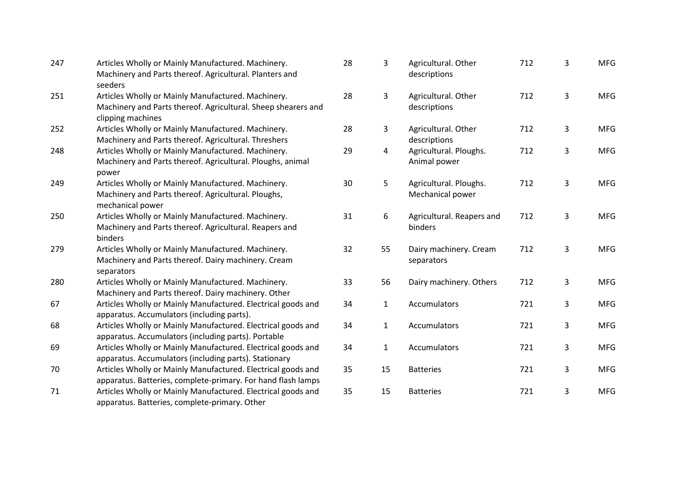| 247 | Articles Wholly or Mainly Manufactured. Machinery.<br>Machinery and Parts thereof. Agricultural. Planters and<br>seeders                 | 28 | 3              | Agricultural. Other<br>descriptions        | 712 | 3 | <b>MFG</b> |
|-----|------------------------------------------------------------------------------------------------------------------------------------------|----|----------------|--------------------------------------------|-----|---|------------|
| 251 | Articles Wholly or Mainly Manufactured. Machinery.<br>Machinery and Parts thereof. Agricultural. Sheep shearers and<br>clipping machines | 28 | 3              | Agricultural. Other<br>descriptions        | 712 | 3 | <b>MFG</b> |
| 252 | Articles Wholly or Mainly Manufactured. Machinery.<br>Machinery and Parts thereof. Agricultural. Threshers                               | 28 | 3              | Agricultural. Other<br>descriptions        | 712 | 3 | <b>MFG</b> |
| 248 | Articles Wholly or Mainly Manufactured. Machinery.<br>Machinery and Parts thereof. Agricultural. Ploughs, animal<br>power                | 29 | $\overline{4}$ | Agricultural. Ploughs.<br>Animal power     | 712 | 3 | <b>MFG</b> |
| 249 | Articles Wholly or Mainly Manufactured. Machinery.<br>Machinery and Parts thereof. Agricultural. Ploughs,<br>mechanical power            | 30 | 5              | Agricultural. Ploughs.<br>Mechanical power | 712 | 3 | <b>MFG</b> |
| 250 | Articles Wholly or Mainly Manufactured. Machinery.<br>Machinery and Parts thereof. Agricultural. Reapers and<br>binders                  | 31 | 6              | Agricultural. Reapers and<br>binders       | 712 | 3 | <b>MFG</b> |
| 279 | Articles Wholly or Mainly Manufactured. Machinery.<br>Machinery and Parts thereof. Dairy machinery. Cream<br>separators                  | 32 | 55             | Dairy machinery. Cream<br>separators       | 712 | 3 | <b>MFG</b> |
| 280 | Articles Wholly or Mainly Manufactured. Machinery.<br>Machinery and Parts thereof. Dairy machinery. Other                                | 33 | 56             | Dairy machinery. Others                    | 712 | 3 | <b>MFG</b> |
| 67  | Articles Wholly or Mainly Manufactured. Electrical goods and<br>apparatus. Accumulators (including parts).                               | 34 | $\mathbf{1}$   | Accumulators                               | 721 | 3 | <b>MFG</b> |
| 68  | Articles Wholly or Mainly Manufactured. Electrical goods and<br>apparatus. Accumulators (including parts). Portable                      | 34 | $\mathbf{1}$   | Accumulators                               | 721 | 3 | <b>MFG</b> |
| 69  | Articles Wholly or Mainly Manufactured. Electrical goods and<br>apparatus. Accumulators (including parts). Stationary                    | 34 | $\mathbf{1}$   | Accumulators                               | 721 | 3 | <b>MFG</b> |
| 70  | Articles Wholly or Mainly Manufactured. Electrical goods and<br>apparatus. Batteries, complete-primary. For hand flash lamps             | 35 | 15             | <b>Batteries</b>                           | 721 | 3 | <b>MFG</b> |
| 71  | Articles Wholly or Mainly Manufactured. Electrical goods and<br>apparatus. Batteries, complete-primary. Other                            | 35 | 15             | <b>Batteries</b>                           | 721 | 3 | <b>MFG</b> |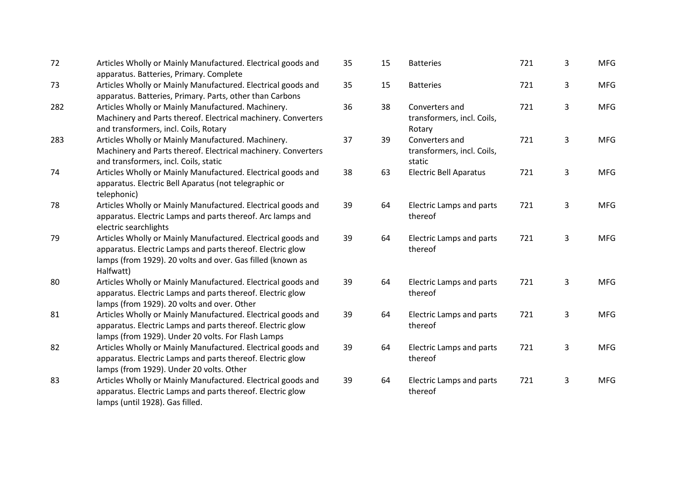| 72  | Articles Wholly or Mainly Manufactured. Electrical goods and<br>apparatus. Batteries, Primary. Complete                                                                                               | 35 | 15 | <b>Batteries</b>                                       | 721 | 3 | <b>MFG</b> |
|-----|-------------------------------------------------------------------------------------------------------------------------------------------------------------------------------------------------------|----|----|--------------------------------------------------------|-----|---|------------|
| 73  | Articles Wholly or Mainly Manufactured. Electrical goods and<br>apparatus. Batteries, Primary. Parts, other than Carbons                                                                              | 35 | 15 | <b>Batteries</b>                                       | 721 | 3 | <b>MFG</b> |
| 282 | Articles Wholly or Mainly Manufactured. Machinery.<br>Machinery and Parts thereof. Electrical machinery. Converters<br>and transformers, incl. Coils, Rotary                                          | 36 | 38 | Converters and<br>transformers, incl. Coils,<br>Rotary | 721 | 3 | <b>MFG</b> |
| 283 | Articles Wholly or Mainly Manufactured. Machinery.<br>Machinery and Parts thereof. Electrical machinery. Converters<br>and transformers, incl. Coils, static                                          | 37 | 39 | Converters and<br>transformers, incl. Coils,<br>static | 721 | 3 | <b>MFG</b> |
| 74  | Articles Wholly or Mainly Manufactured. Electrical goods and<br>apparatus. Electric Bell Aparatus (not telegraphic or<br>telephonic)                                                                  | 38 | 63 | <b>Electric Bell Aparatus</b>                          | 721 | 3 | <b>MFG</b> |
| 78  | Articles Wholly or Mainly Manufactured. Electrical goods and<br>apparatus. Electric Lamps and parts thereof. Arc lamps and<br>electric searchlights                                                   | 39 | 64 | Electric Lamps and parts<br>thereof                    | 721 | 3 | <b>MFG</b> |
| 79  | Articles Wholly or Mainly Manufactured. Electrical goods and<br>apparatus. Electric Lamps and parts thereof. Electric glow<br>lamps (from 1929). 20 volts and over. Gas filled (known as<br>Halfwatt) | 39 | 64 | Electric Lamps and parts<br>thereof                    | 721 | 3 | <b>MFG</b> |
| 80  | Articles Wholly or Mainly Manufactured. Electrical goods and<br>apparatus. Electric Lamps and parts thereof. Electric glow<br>lamps (from 1929). 20 volts and over. Other                             | 39 | 64 | Electric Lamps and parts<br>thereof                    | 721 | 3 | <b>MFG</b> |
| 81  | Articles Wholly or Mainly Manufactured. Electrical goods and<br>apparatus. Electric Lamps and parts thereof. Electric glow<br>lamps (from 1929). Under 20 volts. For Flash Lamps                      | 39 | 64 | Electric Lamps and parts<br>thereof                    | 721 | 3 | <b>MFG</b> |
| 82  | Articles Wholly or Mainly Manufactured. Electrical goods and<br>apparatus. Electric Lamps and parts thereof. Electric glow<br>lamps (from 1929). Under 20 volts. Other                                | 39 | 64 | Electric Lamps and parts<br>thereof                    | 721 | 3 | <b>MFG</b> |
| 83  | Articles Wholly or Mainly Manufactured. Electrical goods and<br>apparatus. Electric Lamps and parts thereof. Electric glow<br>lamps (until 1928). Gas filled.                                         | 39 | 64 | <b>Electric Lamps and parts</b><br>thereof             | 721 | 3 | <b>MFG</b> |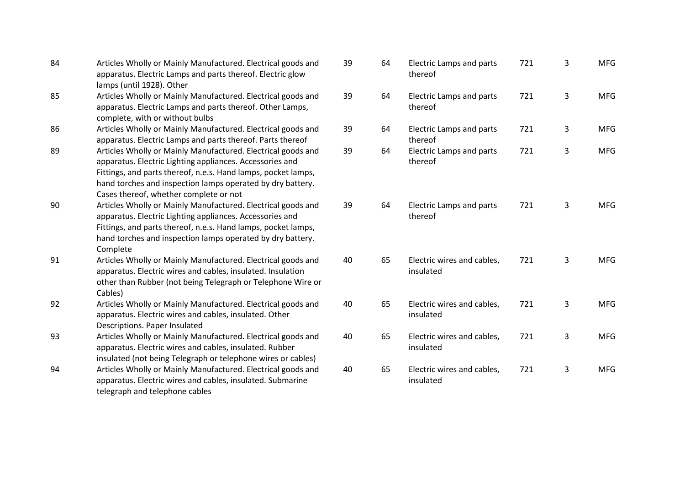| 84 | Articles Wholly or Mainly Manufactured. Electrical goods and<br>apparatus. Electric Lamps and parts thereof. Electric glow<br>lamps (until 1928). Other                                                                                                                                           |
|----|---------------------------------------------------------------------------------------------------------------------------------------------------------------------------------------------------------------------------------------------------------------------------------------------------|
| 85 | Articles Wholly or Mainly Manufactured. Electrical goods and<br>apparatus. Electric Lamps and parts thereof. Other Lamps,<br>complete, with or without bulbs                                                                                                                                      |
| 86 | Articles Wholly or Mainly Manufactured. Electrical goods and<br>apparatus. Electric Lamps and parts thereof. Parts thereof                                                                                                                                                                        |
| 89 | Articles Wholly or Mainly Manufactured. Electrical goods and<br>apparatus. Electric Lighting appliances. Accessories and<br>Fittings, and parts thereof, n.e.s. Hand lamps, pocket lamps,<br>hand torches and inspection lamps operated by dry battery.<br>Cases thereof, whether complete or not |
| 90 | Articles Wholly or Mainly Manufactured. Electrical goods and<br>apparatus. Electric Lighting appliances. Accessories and<br>Fittings, and parts thereof, n.e.s. Hand lamps, pocket lamps,<br>hand torches and inspection lamps operated by dry battery.<br>Complete                               |
| 91 | Articles Wholly or Mainly Manufactured. Electrical goods and<br>apparatus. Electric wires and cables, insulated. Insulation<br>other than Rubber (not being Telegraph or Telephone Wire or<br>Cables)                                                                                             |
| 92 | Articles Wholly or Mainly Manufactured. Electrical goods and<br>apparatus. Electric wires and cables, insulated. Other<br>Descriptions. Paper Insulated                                                                                                                                           |
| 93 | Articles Wholly or Mainly Manufactured. Electrical goods and<br>apparatus. Electric wires and cables, insulated. Rubber<br>insulated (not being Telegraph or telephone wires or cables)                                                                                                           |
| 94 | Articles Wholly or Mainly Manufactured. Electrical goods and<br>apparatus. Electric wires and cables, insulated. Submarine<br>telegraph and telephone cables                                                                                                                                      |

| 39 | 64 | <b>Electric Lamps and parts</b><br>thereof | 721 | 3 | <b>MFG</b> |
|----|----|--------------------------------------------|-----|---|------------|
| 39 | 64 | <b>Electric Lamps and parts</b><br>thereof | 721 | 3 | <b>MFG</b> |
| 39 | 64 | <b>Electric Lamps and parts</b><br>thereof | 721 | 3 | <b>MFG</b> |
| 39 | 64 | <b>Electric Lamps and parts</b><br>thereof | 721 | 3 | <b>MFG</b> |
| 39 | 64 | <b>Electric Lamps and parts</b><br>thereof | 721 | 3 | <b>MFG</b> |
| 40 | 65 | Electric wires and cables,<br>insulated    | 721 | 3 | <b>MFG</b> |
| 40 | 65 | Electric wires and cables,<br>insulated    | 721 | 3 | <b>MFG</b> |
| 40 | 65 | Electric wires and cables,<br>insulated    | 721 | 3 | <b>MFG</b> |
| 40 | 65 | Electric wires and cables,<br>insulated    | 721 | 3 | <b>MFG</b> |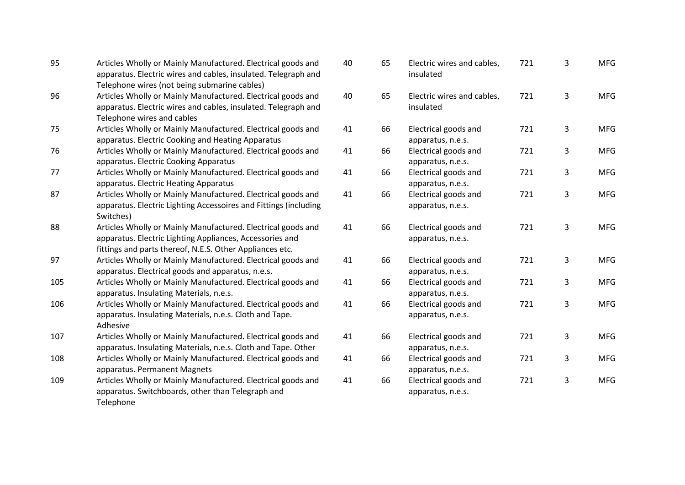| 95  | Articles Wholly or Mainly Manufactured. Electrical goods and<br>apparatus. Electric wires and cables, insulated. Telegraph and<br>Telephone wires (not being submarine cables)       | 40 |
|-----|--------------------------------------------------------------------------------------------------------------------------------------------------------------------------------------|----|
| 96  | Articles Wholly or Mainly Manufactured. Electrical goods and<br>apparatus. Electric wires and cables, insulated. Telegraph and<br>Telephone wires and cables                         | 40 |
| 75  | Articles Wholly or Mainly Manufactured. Electrical goods and<br>apparatus. Electric Cooking and Heating Apparatus                                                                    | 41 |
| 76  | Articles Wholly or Mainly Manufactured. Electrical goods and<br>apparatus. Electric Cooking Apparatus                                                                                | 41 |
| 77  | Articles Wholly or Mainly Manufactured. Electrical goods and<br>apparatus. Electric Heating Apparatus                                                                                | 41 |
| 87  | Articles Wholly or Mainly Manufactured. Electrical goods and<br>apparatus. Electric Lighting Accessoires and Fittings (including<br>Switches)                                        | 41 |
| 88  | Articles Wholly or Mainly Manufactured. Electrical goods and<br>apparatus. Electric Lighting Appliances, Accessories and<br>fittings and parts thereof, N.E.S. Other Appliances etc. | 41 |
| 97  | Articles Wholly or Mainly Manufactured. Electrical goods and<br>apparatus. Electrical goods and apparatus, n.e.s.                                                                    | 41 |
| 105 | Articles Wholly or Mainly Manufactured. Electrical goods and<br>apparatus. Insulating Materials, n.e.s.                                                                              | 41 |
| 106 | Articles Wholly or Mainly Manufactured. Electrical goods and<br>apparatus. Insulating Materials, n.e.s. Cloth and Tape.<br>Adhesive                                                  | 41 |
| 107 | Articles Wholly or Mainly Manufactured. Electrical goods and<br>apparatus. Insulating Materials, n.e.s. Cloth and Tape. Other                                                        | 41 |
| 108 | Articles Wholly or Mainly Manufactured. Electrical goods and<br>apparatus. Permanent Magnets                                                                                         | 41 |
| 109 | Articles Wholly or Mainly Manufactured. Electrical goods and<br>apparatus. Switchboards, other than Telegraph and<br>Telephone                                                       | 41 |

| 40 | 65 | Electric wires and cables,<br>insulated   | 721 | 3 | <b>MFG</b> |
|----|----|-------------------------------------------|-----|---|------------|
| 40 | 65 | Electric wires and cables,<br>insulated   | 721 | 3 | <b>MFG</b> |
| 41 | 66 | Electrical goods and<br>apparatus, n.e.s. | 721 | 3 | <b>MFG</b> |
| 41 | 66 | Electrical goods and<br>apparatus, n.e.s. | 721 | 3 | <b>MFG</b> |
| 41 | 66 | Electrical goods and<br>apparatus, n.e.s. | 721 | 3 | <b>MFG</b> |
| 41 | 66 | Electrical goods and<br>apparatus, n.e.s. | 721 | 3 | <b>MFG</b> |
| 41 | 66 | Electrical goods and<br>apparatus, n.e.s. | 721 | 3 | <b>MFG</b> |
| 41 | 66 | Electrical goods and<br>apparatus, n.e.s. | 721 | 3 | <b>MFG</b> |
| 41 | 66 | Electrical goods and<br>apparatus, n.e.s. | 721 | 3 | <b>MFG</b> |
| 41 | 66 | Electrical goods and<br>apparatus, n.e.s. | 721 | 3 | <b>MFG</b> |
| 41 | 66 | Electrical goods and<br>apparatus, n.e.s. | 721 | 3 | <b>MFG</b> |
| 41 | 66 | Electrical goods and<br>apparatus, n.e.s. | 721 | 3 | <b>MFG</b> |
| 41 | 66 | Electrical goods and<br>apparatus, n.e.s. | 721 | 3 | <b>MFG</b> |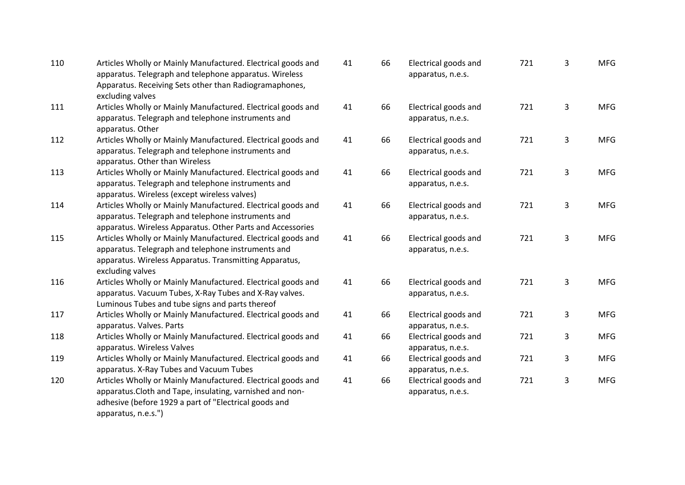| 110 | Articles Wholly or Mainly Manufactured. Electrical goods and<br>apparatus. Telegraph and telephone apparatus. Wireless<br>Apparatus. Receiving Sets other than Radiogramaphones,<br>excluding valves      | 41 | 66 | Electrical goods and<br>apparatus, n.e.s. | 721 | 3 | <b>MFG</b> |
|-----|-----------------------------------------------------------------------------------------------------------------------------------------------------------------------------------------------------------|----|----|-------------------------------------------|-----|---|------------|
| 111 | Articles Wholly or Mainly Manufactured. Electrical goods and<br>apparatus. Telegraph and telephone instruments and<br>apparatus. Other                                                                    | 41 | 66 | Electrical goods and<br>apparatus, n.e.s. | 721 | 3 | <b>MFG</b> |
| 112 | Articles Wholly or Mainly Manufactured. Electrical goods and<br>apparatus. Telegraph and telephone instruments and<br>apparatus. Other than Wireless                                                      | 41 | 66 | Electrical goods and<br>apparatus, n.e.s. | 721 | 3 | <b>MFG</b> |
| 113 | Articles Wholly or Mainly Manufactured. Electrical goods and<br>apparatus. Telegraph and telephone instruments and<br>apparatus. Wireless (except wireless valves)                                        | 41 | 66 | Electrical goods and<br>apparatus, n.e.s. | 721 | 3 | <b>MFG</b> |
| 114 | Articles Wholly or Mainly Manufactured. Electrical goods and<br>apparatus. Telegraph and telephone instruments and<br>apparatus. Wireless Apparatus. Other Parts and Accessories                          | 41 | 66 | Electrical goods and<br>apparatus, n.e.s. | 721 | 3 | <b>MFG</b> |
| 115 | Articles Wholly or Mainly Manufactured. Electrical goods and<br>apparatus. Telegraph and telephone instruments and<br>apparatus. Wireless Apparatus. Transmitting Apparatus,<br>excluding valves          | 41 | 66 | Electrical goods and<br>apparatus, n.e.s. | 721 | 3 | <b>MFG</b> |
| 116 | Articles Wholly or Mainly Manufactured. Electrical goods and<br>apparatus. Vacuum Tubes, X-Ray Tubes and X-Ray valves.<br>Luminous Tubes and tube signs and parts thereof                                 | 41 | 66 | Electrical goods and<br>apparatus, n.e.s. | 721 | 3 | <b>MFG</b> |
| 117 | Articles Wholly or Mainly Manufactured. Electrical goods and<br>apparatus. Valves. Parts                                                                                                                  | 41 | 66 | Electrical goods and<br>apparatus, n.e.s. | 721 | 3 | <b>MFG</b> |
| 118 | Articles Wholly or Mainly Manufactured. Electrical goods and<br>apparatus. Wireless Valves                                                                                                                | 41 | 66 | Electrical goods and<br>apparatus, n.e.s. | 721 | 3 | <b>MFG</b> |
| 119 | Articles Wholly or Mainly Manufactured. Electrical goods and<br>apparatus. X-Ray Tubes and Vacuum Tubes                                                                                                   | 41 | 66 | Electrical goods and<br>apparatus, n.e.s. | 721 | 3 | <b>MFG</b> |
| 120 | Articles Wholly or Mainly Manufactured. Electrical goods and<br>apparatus. Cloth and Tape, insulating, varnished and non-<br>adhesive (before 1929 a part of "Electrical goods and<br>apparatus, n.e.s.") | 41 | 66 | Electrical goods and<br>apparatus, n.e.s. | 721 | 3 | <b>MFG</b> |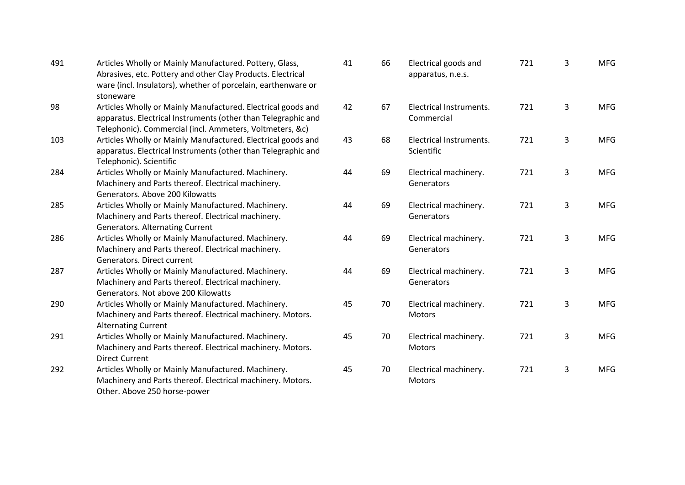| 491 | Articles Wholly or Mainly Manufactured. Pottery, Glass,<br>Abrasives, etc. Pottery and other Clay Products. Electrical<br>ware (incl. Insulators), whether of porcelain, earthenware or<br>stoneware | 41 | 66 | Electrical goods and<br>apparatus, n.e.s. | 721 | 3 | <b>MFG</b> |
|-----|------------------------------------------------------------------------------------------------------------------------------------------------------------------------------------------------------|----|----|-------------------------------------------|-----|---|------------|
| 98  | Articles Wholly or Mainly Manufactured. Electrical goods and<br>apparatus. Electrical Instruments (other than Telegraphic and<br>Telephonic). Commercial (incl. Ammeters, Voltmeters, &c)            | 42 | 67 | Electrical Instruments.<br>Commercial     | 721 | 3 | <b>MFG</b> |
| 103 | Articles Wholly or Mainly Manufactured. Electrical goods and<br>apparatus. Electrical Instruments (other than Telegraphic and<br>Telephonic). Scientific                                             | 43 | 68 | Electrical Instruments.<br>Scientific     | 721 | 3 | <b>MFG</b> |
| 284 | Articles Wholly or Mainly Manufactured. Machinery.<br>Machinery and Parts thereof. Electrical machinery.<br>Generators. Above 200 Kilowatts                                                          | 44 | 69 | Electrical machinery.<br>Generators       | 721 | 3 | <b>MFG</b> |
| 285 | Articles Wholly or Mainly Manufactured. Machinery.<br>Machinery and Parts thereof. Electrical machinery.<br><b>Generators. Alternating Current</b>                                                   | 44 | 69 | Electrical machinery.<br>Generators       | 721 | 3 | <b>MFG</b> |
| 286 | Articles Wholly or Mainly Manufactured. Machinery.<br>Machinery and Parts thereof. Electrical machinery.<br>Generators. Direct current                                                               | 44 | 69 | Electrical machinery.<br>Generators       | 721 | 3 | <b>MFG</b> |
| 287 | Articles Wholly or Mainly Manufactured. Machinery.<br>Machinery and Parts thereof. Electrical machinery.<br>Generators. Not above 200 Kilowatts                                                      | 44 | 69 | Electrical machinery.<br>Generators       | 721 | 3 | <b>MFG</b> |
| 290 | Articles Wholly or Mainly Manufactured. Machinery.<br>Machinery and Parts thereof. Electrical machinery. Motors.<br><b>Alternating Current</b>                                                       | 45 | 70 | Electrical machinery.<br>Motors           | 721 | 3 | <b>MFG</b> |
| 291 | Articles Wholly or Mainly Manufactured. Machinery.<br>Machinery and Parts thereof. Electrical machinery. Motors.<br><b>Direct Current</b>                                                            | 45 | 70 | Electrical machinery.<br>Motors           | 721 | 3 | <b>MFG</b> |
| 292 | Articles Wholly or Mainly Manufactured. Machinery.<br>Machinery and Parts thereof. Electrical machinery. Motors.<br>Other. Above 250 horse-power                                                     | 45 | 70 | Electrical machinery.<br>Motors           | 721 | 3 | <b>MFG</b> |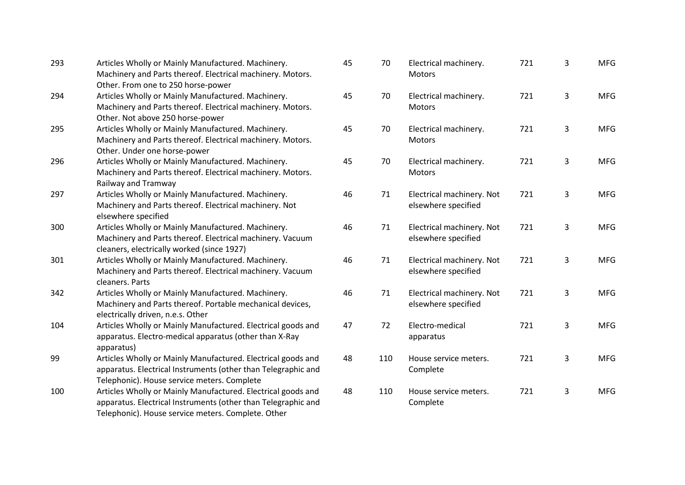| 293 | Articles Wholly or Mainly Manufactured. Machinery.<br>Machinery and Parts thereof. Electrical machinery. Motors.<br>Other. From one to 250 horse-power                              | 45 | 70  | Electrical machinery.<br>Motors                  | 721 | 3 | <b>MFG</b> |
|-----|-------------------------------------------------------------------------------------------------------------------------------------------------------------------------------------|----|-----|--------------------------------------------------|-----|---|------------|
| 294 | Articles Wholly or Mainly Manufactured. Machinery.<br>Machinery and Parts thereof. Electrical machinery. Motors.<br>Other. Not above 250 horse-power                                | 45 | 70  | Electrical machinery.<br><b>Motors</b>           | 721 | 3 | <b>MFG</b> |
| 295 | Articles Wholly or Mainly Manufactured. Machinery.<br>Machinery and Parts thereof. Electrical machinery. Motors.<br>Other. Under one horse-power                                    | 45 | 70  | Electrical machinery.<br><b>Motors</b>           | 721 | 3 | <b>MFG</b> |
| 296 | Articles Wholly or Mainly Manufactured. Machinery.<br>Machinery and Parts thereof. Electrical machinery. Motors.<br>Railway and Tramway                                             | 45 | 70  | Electrical machinery.<br>Motors                  | 721 | 3 | <b>MFG</b> |
| 297 | Articles Wholly or Mainly Manufactured. Machinery.<br>Machinery and Parts thereof. Electrical machinery. Not<br>elsewhere specified                                                 | 46 | 71  | Electrical machinery. Not<br>elsewhere specified | 721 | 3 | <b>MFG</b> |
| 300 | Articles Wholly or Mainly Manufactured. Machinery.<br>Machinery and Parts thereof. Electrical machinery. Vacuum<br>cleaners, electrically worked (since 1927)                       | 46 | 71  | Electrical machinery. Not<br>elsewhere specified | 721 | 3 | <b>MFG</b> |
| 301 | Articles Wholly or Mainly Manufactured. Machinery.<br>Machinery and Parts thereof. Electrical machinery. Vacuum<br>cleaners. Parts                                                  | 46 | 71  | Electrical machinery. Not<br>elsewhere specified | 721 | 3 | <b>MFG</b> |
| 342 | Articles Wholly or Mainly Manufactured. Machinery.<br>Machinery and Parts thereof. Portable mechanical devices,<br>electrically driven, n.e.s. Other                                | 46 | 71  | Electrical machinery. Not<br>elsewhere specified | 721 | 3 | <b>MFG</b> |
| 104 | Articles Wholly or Mainly Manufactured. Electrical goods and<br>apparatus. Electro-medical apparatus (other than X-Ray<br>apparatus)                                                | 47 | 72  | Electro-medical<br>apparatus                     | 721 | 3 | <b>MFG</b> |
| 99  | Articles Wholly or Mainly Manufactured. Electrical goods and<br>apparatus. Electrical Instruments (other than Telegraphic and<br>Telephonic). House service meters. Complete        | 48 | 110 | House service meters.<br>Complete                | 721 | 3 | <b>MFG</b> |
| 100 | Articles Wholly or Mainly Manufactured. Electrical goods and<br>apparatus. Electrical Instruments (other than Telegraphic and<br>Telephonic). House service meters. Complete. Other | 48 | 110 | House service meters.<br>Complete                | 721 | 3 | <b>MFG</b> |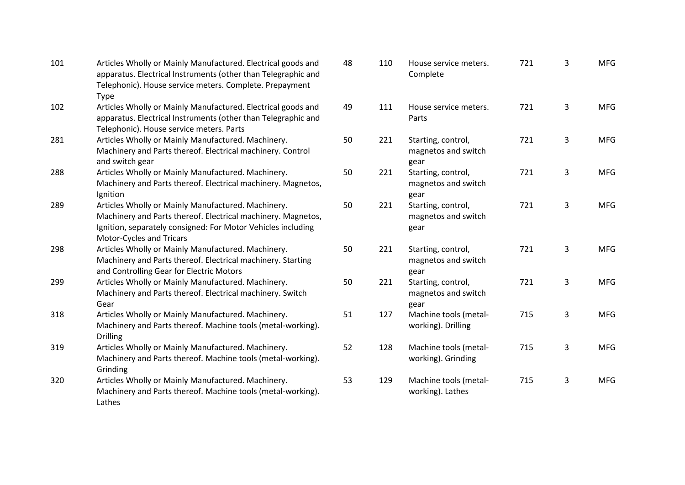| 101 | Articles Wholly or Mainly Manufactured. Electrical goods and<br>apparatus. Electrical Instruments (other than Telegraphic and<br>Telephonic). House service meters. Complete. Prepayment<br><b>Type</b>        | 48 | 110 | House service meters.<br>Complete                 | 721 | 3              | <b>MFG</b> |
|-----|----------------------------------------------------------------------------------------------------------------------------------------------------------------------------------------------------------------|----|-----|---------------------------------------------------|-----|----------------|------------|
| 102 | Articles Wholly or Mainly Manufactured. Electrical goods and<br>apparatus. Electrical Instruments (other than Telegraphic and<br>Telephonic). House service meters. Parts                                      | 49 | 111 | House service meters.<br>Parts                    | 721 | 3              | <b>MFG</b> |
| 281 | Articles Wholly or Mainly Manufactured. Machinery.<br>Machinery and Parts thereof. Electrical machinery. Control<br>and switch gear                                                                            | 50 | 221 | Starting, control,<br>magnetos and switch<br>gear | 721 | 3              | <b>MFG</b> |
| 288 | Articles Wholly or Mainly Manufactured. Machinery.<br>Machinery and Parts thereof. Electrical machinery. Magnetos,<br>Ignition                                                                                 | 50 | 221 | Starting, control,<br>magnetos and switch<br>gear | 721 | $\overline{3}$ | <b>MFG</b> |
| 289 | Articles Wholly or Mainly Manufactured. Machinery.<br>Machinery and Parts thereof. Electrical machinery. Magnetos,<br>Ignition, separately consigned: For Motor Vehicles including<br>Motor-Cycles and Tricars | 50 | 221 | Starting, control,<br>magnetos and switch<br>gear | 721 | 3              | <b>MFG</b> |
| 298 | Articles Wholly or Mainly Manufactured. Machinery.<br>Machinery and Parts thereof. Electrical machinery. Starting<br>and Controlling Gear for Electric Motors                                                  | 50 | 221 | Starting, control,<br>magnetos and switch<br>gear | 721 | 3              | <b>MFG</b> |
| 299 | Articles Wholly or Mainly Manufactured. Machinery.<br>Machinery and Parts thereof. Electrical machinery. Switch<br>Gear                                                                                        | 50 | 221 | Starting, control,<br>magnetos and switch<br>gear | 721 | 3              | <b>MFG</b> |
| 318 | Articles Wholly or Mainly Manufactured. Machinery.<br>Machinery and Parts thereof. Machine tools (metal-working).<br><b>Drilling</b>                                                                           | 51 | 127 | Machine tools (metal-<br>working). Drilling       | 715 | $\mathbf{3}$   | <b>MFG</b> |
| 319 | Articles Wholly or Mainly Manufactured. Machinery.<br>Machinery and Parts thereof. Machine tools (metal-working).<br>Grinding                                                                                  | 52 | 128 | Machine tools (metal-<br>working). Grinding       | 715 | 3              | <b>MFG</b> |
| 320 | Articles Wholly or Mainly Manufactured. Machinery.<br>Machinery and Parts thereof. Machine tools (metal-working).<br>Lathes                                                                                    | 53 | 129 | Machine tools (metal-<br>working). Lathes         | 715 | 3              | <b>MFG</b> |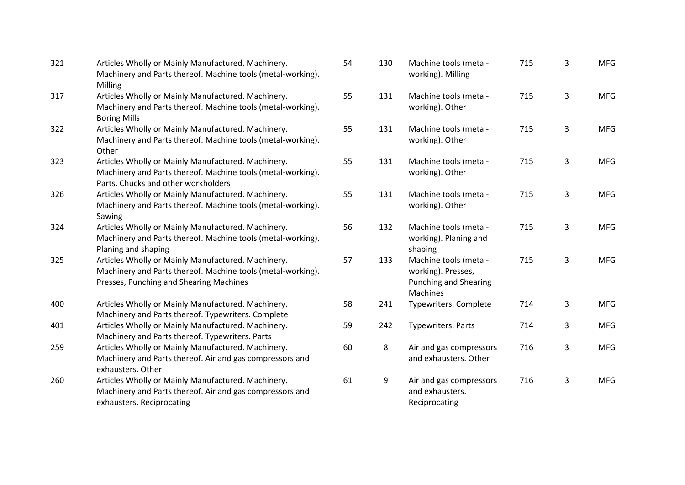| 321 | Articles Wholly or Mainly Manufactured. Machinery.<br>Machinery and Parts thereof. Machine tools (metal-working).<br>Milling                                 | 54 | 130 | Machine tools (metal-<br>working). Milling                                              | 715 | 3              | <b>MFG</b> |
|-----|--------------------------------------------------------------------------------------------------------------------------------------------------------------|----|-----|-----------------------------------------------------------------------------------------|-----|----------------|------------|
| 317 | Articles Wholly or Mainly Manufactured. Machinery.<br>Machinery and Parts thereof. Machine tools (metal-working).<br><b>Boring Mills</b>                     | 55 | 131 | Machine tools (metal-<br>working). Other                                                | 715 | $\overline{3}$ | <b>MFG</b> |
| 322 | Articles Wholly or Mainly Manufactured. Machinery.<br>Machinery and Parts thereof. Machine tools (metal-working).<br>Other                                   | 55 | 131 | Machine tools (metal-<br>working). Other                                                | 715 | 3              | <b>MFG</b> |
| 323 | Articles Wholly or Mainly Manufactured. Machinery.<br>Machinery and Parts thereof. Machine tools (metal-working).<br>Parts. Chucks and other workholders     | 55 | 131 | Machine tools (metal-<br>working). Other                                                | 715 | $\mathbf{3}$   | <b>MFG</b> |
| 326 | Articles Wholly or Mainly Manufactured. Machinery.<br>Machinery and Parts thereof. Machine tools (metal-working).<br>Sawing                                  | 55 | 131 | Machine tools (metal-<br>working). Other                                                | 715 | 3              | <b>MFG</b> |
| 324 | Articles Wholly or Mainly Manufactured. Machinery.<br>Machinery and Parts thereof. Machine tools (metal-working).<br>Planing and shaping                     | 56 | 132 | Machine tools (metal-<br>working). Planing and<br>shaping                               | 715 | 3              | <b>MFG</b> |
| 325 | Articles Wholly or Mainly Manufactured. Machinery.<br>Machinery and Parts thereof. Machine tools (metal-working).<br>Presses, Punching and Shearing Machines | 57 | 133 | Machine tools (metal-<br>working). Presses,<br><b>Punching and Shearing</b><br>Machines | 715 | 3              | <b>MFG</b> |
| 400 | Articles Wholly or Mainly Manufactured. Machinery.<br>Machinery and Parts thereof. Typewriters. Complete                                                     | 58 | 241 | Typewriters. Complete                                                                   | 714 | 3              | <b>MFG</b> |
| 401 | Articles Wholly or Mainly Manufactured. Machinery.<br>Machinery and Parts thereof. Typewriters. Parts                                                        | 59 | 242 | Typewriters. Parts                                                                      | 714 | 3              | <b>MFG</b> |
| 259 | Articles Wholly or Mainly Manufactured. Machinery.<br>Machinery and Parts thereof. Air and gas compressors and<br>exhausters. Other                          | 60 | 8   | Air and gas compressors<br>and exhausters. Other                                        | 716 | 3              | <b>MFG</b> |
| 260 | Articles Wholly or Mainly Manufactured. Machinery.<br>Machinery and Parts thereof. Air and gas compressors and<br>exhausters. Reciprocating                  | 61 | 9   | Air and gas compressors<br>and exhausters.<br>Reciprocating                             | 716 | 3              | <b>MFG</b> |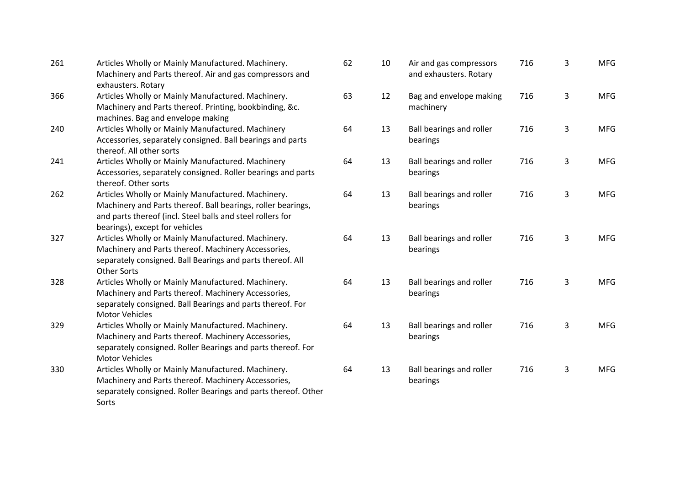| 261 | Articles Wholly or Mainly Manufactured. Machinery.<br>Machinery and Parts thereof. Air and gas compressors and<br>exhausters. Rotary                                                                               | 6 |
|-----|--------------------------------------------------------------------------------------------------------------------------------------------------------------------------------------------------------------------|---|
| 366 | Articles Wholly or Mainly Manufactured. Machinery.<br>Machinery and Parts thereof. Printing, bookbinding, &c.<br>machines. Bag and envelope making                                                                 | 6 |
| 240 | Articles Wholly or Mainly Manufactured. Machinery<br>Accessories, separately consigned. Ball bearings and parts<br>thereof. All other sorts                                                                        | 6 |
| 241 | Articles Wholly or Mainly Manufactured. Machinery<br>Accessories, separately consigned. Roller bearings and parts<br>thereof. Other sorts                                                                          | 6 |
| 262 | Articles Wholly or Mainly Manufactured. Machinery.<br>Machinery and Parts thereof. Ball bearings, roller bearings,<br>and parts thereof (incl. Steel balls and steel rollers for<br>bearings), except for vehicles | 6 |
| 327 | Articles Wholly or Mainly Manufactured. Machinery.<br>Machinery and Parts thereof. Machinery Accessories,<br>separately consigned. Ball Bearings and parts thereof. All<br><b>Other Sorts</b>                      | 6 |
| 328 | Articles Wholly or Mainly Manufactured. Machinery.<br>Machinery and Parts thereof. Machinery Accessories,<br>separately consigned. Ball Bearings and parts thereof. For<br><b>Motor Vehicles</b>                   | 6 |
| 329 | Articles Wholly or Mainly Manufactured. Machinery.<br>Machinery and Parts thereof. Machinery Accessories,<br>separately consigned. Roller Bearings and parts thereof. For<br><b>Motor Vehicles</b>                 | 6 |
| 330 | Articles Wholly or Mainly Manufactured. Machinery.<br>Machinery and Parts thereof. Machinery Accessories,<br>separately consigned. Roller Bearings and parts thereof. Other<br>Sorts                               | 6 |

| 62 | 10 | Air and gas compressors<br>and exhausters. Rotary | 716 | 3 | <b>MFG</b> |
|----|----|---------------------------------------------------|-----|---|------------|
| 63 | 12 | Bag and envelope making<br>machinery              | 716 | 3 | <b>MFG</b> |
| 64 | 13 | Ball bearings and roller<br>bearings              | 716 | 3 | <b>MFG</b> |
| 64 | 13 | Ball bearings and roller<br>bearings              | 716 | 3 | <b>MFG</b> |
| 64 | 13 | Ball bearings and roller<br>bearings              | 716 | 3 | <b>MFG</b> |
| 64 | 13 | Ball bearings and roller<br>bearings              | 716 | 3 | <b>MFG</b> |
| 64 | 13 | Ball bearings and roller<br>bearings              | 716 | 3 | <b>MFG</b> |
| 64 | 13 | Ball bearings and roller<br>bearings              | 716 | 3 | <b>MFG</b> |
| 64 | 13 | Ball bearings and roller<br>bearings              | 716 | 3 | <b>MFG</b> |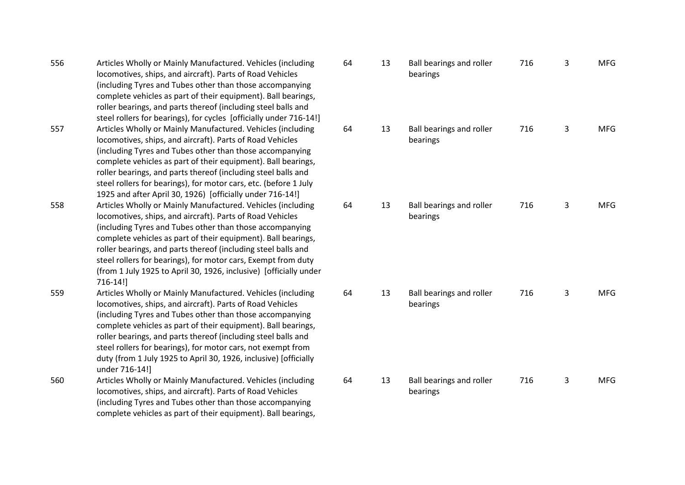| 556 | Articles Wholly or Mainly Manufactured. Vehicles (including        |
|-----|--------------------------------------------------------------------|
|     | locomotives, ships, and aircraft). Parts of Road Vehicles          |
|     | (including Tyres and Tubes other than those accompanying           |
|     | complete vehicles as part of their equipment). Ball bearings,      |
|     | roller bearings, and parts thereof (including steel balls and      |
|     | steel rollers for bearings), for cycles [officially under 716-14!] |
| 557 | Articles Wholly or Mainly Manufactured. Vehicles (including        |
|     | locomotives, ships, and aircraft). Parts of Road Vehicles          |
|     | (including Tyres and Tubes other than those accompanying           |
|     | complete vehicles as part of their equipment). Ball bearings,      |
|     | roller bearings, and parts thereof (including steel balls and      |
|     | steel rollers for bearings), for motor cars, etc. (before 1 July   |
|     | 1925 and after April 30, 1926) [officially under 716-14!]          |
| 558 | Articles Wholly or Mainly Manufactured. Vehicles (including        |
|     | locomotives, ships, and aircraft). Parts of Road Vehicles          |
|     | (including Tyres and Tubes other than those accompanying           |
|     | complete vehicles as part of their equipment). Ball bearings,      |
|     | roller bearings, and parts thereof (including steel balls and      |
|     | steel rollers for bearings), for motor cars, Exempt from duty      |
|     | (from 1 July 1925 to April 30, 1926, inclusive) [officially under  |
|     | 716-14!]                                                           |
| 559 | Articles Wholly or Mainly Manufactured. Vehicles (including        |
|     | locomotives, ships, and aircraft). Parts of Road Vehicles          |
|     | (including Tyres and Tubes other than those accompanying           |
|     | complete vehicles as part of their equipment). Ball bearings,      |
|     | roller bearings, and parts thereof (including steel balls and      |
|     | steel rollers for bearings), for motor cars, not exempt from       |
|     | duty (from 1 July 1925 to April 30, 1926, inclusive) [officially   |
|     | under 716-14!]                                                     |
| 560 | Articles Wholly or Mainly Manufactured. Vehicles (including        |
|     | locomotives, ships, and aircraft). Parts of Road Vehicles          |
|     | (including Tyres and Tubes other than those accompanying           |
|     | complete vehicles as part of their equipment). Ball bearings,      |

| 64 | 13 | Ball bearings and roller<br>bearings | 716 | 3 | <b>MFG</b> |
|----|----|--------------------------------------|-----|---|------------|
| 64 | 13 | Ball bearings and roller<br>bearings | 716 | 3 | <b>MFG</b> |
| 64 | 13 | Ball bearings and roller<br>bearings | 716 | 3 | <b>MFG</b> |
| 64 | 13 | Ball bearings and roller<br>bearings | 716 | 3 | <b>MFG</b> |
| 64 | 13 | Ball bearings and roller<br>bearings | 716 | 3 | <b>MFG</b> |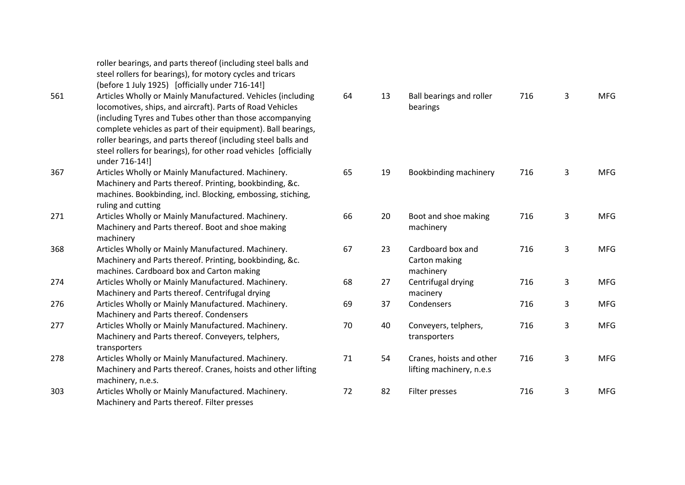|     | roller bearings, and parts thereof (including steel balls and<br>steel rollers for bearings), for motory cycles and tricars<br>(before 1 July 1925) [officially under 716-14!]                                                                                                                                                                                                                               |    |    |                                             |
|-----|--------------------------------------------------------------------------------------------------------------------------------------------------------------------------------------------------------------------------------------------------------------------------------------------------------------------------------------------------------------------------------------------------------------|----|----|---------------------------------------------|
| 561 | Articles Wholly or Mainly Manufactured. Vehicles (including<br>locomotives, ships, and aircraft). Parts of Road Vehicles<br>(including Tyres and Tubes other than those accompanying<br>complete vehicles as part of their equipment). Ball bearings,<br>roller bearings, and parts thereof (including steel balls and<br>steel rollers for bearings), for other road vehicles [officially<br>under 716-14!] | 64 | 13 | <b>Ball beari</b><br>bearings               |
| 367 | Articles Wholly or Mainly Manufactured. Machinery.<br>Machinery and Parts thereof. Printing, bookbinding, &c.<br>machines. Bookbinding, incl. Blocking, embossing, stiching,<br>ruling and cutting                                                                                                                                                                                                           | 65 | 19 | Bookbind                                    |
| 271 | Articles Wholly or Mainly Manufactured. Machinery.<br>Machinery and Parts thereof. Boot and shoe making<br>machinery                                                                                                                                                                                                                                                                                         | 66 | 20 | Boot and<br>machiner                        |
| 368 | Articles Wholly or Mainly Manufactured. Machinery.<br>Machinery and Parts thereof. Printing, bookbinding, &c.<br>machines. Cardboard box and Carton making                                                                                                                                                                                                                                                   | 67 | 23 | Cardboar<br>Carton <sub>m</sub><br>machiner |
| 274 | Articles Wholly or Mainly Manufactured. Machinery.<br>Machinery and Parts thereof. Centrifugal drying                                                                                                                                                                                                                                                                                                        | 68 | 27 | Centrifug<br>macinery                       |
| 276 | Articles Wholly or Mainly Manufactured. Machinery.<br>Machinery and Parts thereof. Condensers                                                                                                                                                                                                                                                                                                                | 69 | 37 | Condense                                    |
| 277 | Articles Wholly or Mainly Manufactured. Machinery.<br>Machinery and Parts thereof. Conveyers, telphers,<br>transporters                                                                                                                                                                                                                                                                                      | 70 | 40 | Conveyer<br>transport                       |
| 278 | Articles Wholly or Mainly Manufactured. Machinery.<br>Machinery and Parts thereof. Cranes, hoists and other lifting<br>machinery, n.e.s.                                                                                                                                                                                                                                                                     | 71 | 54 | Cranes, h<br>lifting ma                     |
| 303 | Articles Wholly or Mainly Manufactured. Machinery.<br>Machinery and Parts thereof. Filter presses                                                                                                                                                                                                                                                                                                            | 72 | 82 | Filter pre                                  |

| 64 | 13 | Ball bearings and roller<br>bearings                 | 716 | 3 | <b>MFG</b> |
|----|----|------------------------------------------------------|-----|---|------------|
| 65 | 19 | Bookbinding machinery                                | 716 | 3 | <b>MFG</b> |
| 66 | 20 | Boot and shoe making<br>machinery                    | 716 | 3 | <b>MFG</b> |
| 67 | 23 | Cardboard box and<br>Carton making<br>machinery      | 716 | 3 | <b>MFG</b> |
| 68 | 27 | Centrifugal drying<br>macinery                       | 716 | 3 | <b>MFG</b> |
| 69 | 37 | Condensers                                           | 716 | 3 | <b>MFG</b> |
| 70 | 40 | Conveyers, telphers,<br>transporters                 | 716 | 3 | <b>MFG</b> |
| 71 | 54 | Cranes, hoists and other<br>lifting machinery, n.e.s | 716 | 3 | <b>MFG</b> |
| 72 | 82 | Filter presses                                       | 716 | 3 | <b>MFG</b> |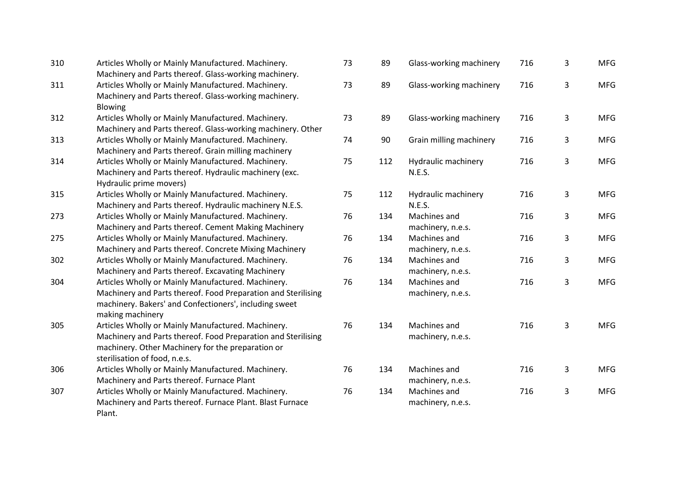| 310 | Articles Wholly or Mainly Manufactured. Machinery.<br>Machinery and Parts thereof. Glass-working machinery.                                                                                               | 73 | 89  |
|-----|-----------------------------------------------------------------------------------------------------------------------------------------------------------------------------------------------------------|----|-----|
| 311 | Articles Wholly or Mainly Manufactured. Machinery.<br>Machinery and Parts thereof. Glass-working machinery.<br>Blowing                                                                                    | 73 | 89  |
| 312 | Articles Wholly or Mainly Manufactured. Machinery.<br>Machinery and Parts thereof. Glass-working machinery. Other                                                                                         | 73 | 89  |
| 313 | Articles Wholly or Mainly Manufactured. Machinery.<br>Machinery and Parts thereof. Grain milling machinery                                                                                                | 74 | 90  |
| 314 | Articles Wholly or Mainly Manufactured. Machinery.<br>Machinery and Parts thereof. Hydraulic machinery (exc.<br>Hydraulic prime movers)                                                                   | 75 | 112 |
| 315 | Articles Wholly or Mainly Manufactured. Machinery.<br>Machinery and Parts thereof. Hydraulic machinery N.E.S.                                                                                             | 75 | 112 |
| 273 | Articles Wholly or Mainly Manufactured. Machinery.<br>Machinery and Parts thereof. Cement Making Machinery                                                                                                | 76 | 134 |
| 275 | Articles Wholly or Mainly Manufactured. Machinery.<br>Machinery and Parts thereof. Concrete Mixing Machinery                                                                                              | 76 | 134 |
| 302 | Articles Wholly or Mainly Manufactured. Machinery.<br>Machinery and Parts thereof. Excavating Machinery                                                                                                   | 76 | 134 |
| 304 | Articles Wholly or Mainly Manufactured. Machinery.<br>Machinery and Parts thereof. Food Preparation and Sterilising<br>machinery. Bakers' and Confectioners', including sweet<br>making machinery         | 76 | 134 |
| 305 | Articles Wholly or Mainly Manufactured. Machinery.<br>Machinery and Parts thereof. Food Preparation and Sterilising<br>machinery. Other Machinery for the preparation or<br>sterilisation of food, n.e.s. | 76 | 134 |
| 306 | Articles Wholly or Mainly Manufactured. Machinery.<br>Machinery and Parts thereof. Furnace Plant                                                                                                          | 76 | 134 |
| 307 | Articles Wholly or Mainly Manufactured. Machinery.<br>Machinery and Parts thereof. Furnace Plant. Blast Furnace<br>Plant.                                                                                 | 76 | 134 |

| nery.<br>chinery.                   | 73 | 89  | Glass-working machinery              | 716 | 3 | <b>MFG</b> |
|-------------------------------------|----|-----|--------------------------------------|-----|---|------------|
| nery.<br>chinery.                   | 73 | 89  | Glass-working machinery              | 716 | 3 | <b>MFG</b> |
| nery.<br>chinery. Other             | 73 | 89  | Glass-working machinery              | 716 | 3 | <b>MFG</b> |
| nery.<br>ninery                     | 74 | 90  | Grain milling machinery              | 716 | 3 | <b>MFG</b> |
| nery.<br>ery (exc.                  | 75 | 112 | Hydraulic machinery<br><b>N.E.S.</b> | 716 | 3 | <b>MFG</b> |
| nery.<br>ery N.E.S.                 | 75 | 112 | Hydraulic machinery<br><b>N.E.S.</b> | 716 | 3 | <b>MFG</b> |
| nery.<br><b>lachinery</b>           | 76 | 134 | Machines and<br>machinery, n.e.s.    | 716 | 3 | <b>MFG</b> |
| nery.<br><b>Aachinery</b>           | 76 | 134 | Machines and<br>machinery, n.e.s.    | 716 | 3 | <b>MFG</b> |
| nery.<br>ery                        | 76 | 134 | Machines and<br>machinery, n.e.s.    | 716 | 3 | <b>MFG</b> |
| nery.<br>and Sterilising<br>g sweet | 76 | 134 | Machines and<br>machinery, n.e.s.    | 716 | 3 | <b>MFG</b> |
| nery.<br>and Sterilising<br>า or    | 76 | 134 | Machines and<br>machinery, n.e.s.    | 716 | 3 | <b>MFG</b> |
| nery.                               | 76 | 134 | Machines and<br>machinery, n.e.s.    | 716 | 3 | <b>MFG</b> |
| nery.<br>st Furnace                 | 76 | 134 | Machines and<br>machinery, n.e.s.    | 716 | 3 | <b>MFG</b> |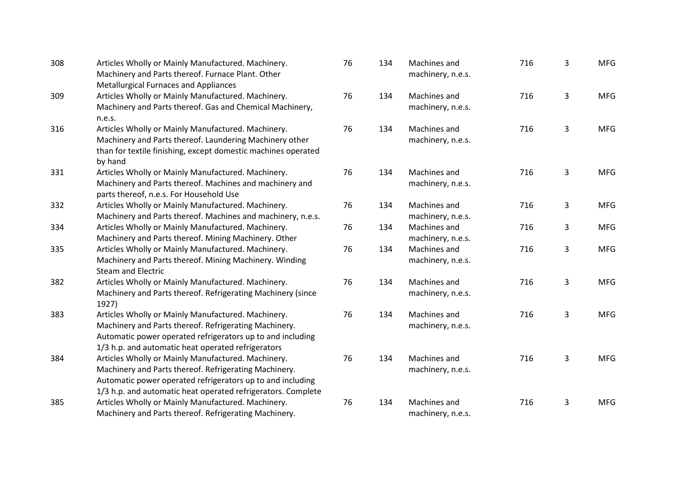| 308 | Articles Wholly or Mainly Manufactured. Machinery.<br>Machinery and Parts thereof. Furnace Plant. Other<br><b>Metallurgical Furnaces and Appliances</b>                                                                                   | 76 | 134 | Machines and<br>machinery, n.e.s. | 716 | 3            | <b>MFG</b> |
|-----|-------------------------------------------------------------------------------------------------------------------------------------------------------------------------------------------------------------------------------------------|----|-----|-----------------------------------|-----|--------------|------------|
| 309 | Articles Wholly or Mainly Manufactured. Machinery.<br>Machinery and Parts thereof. Gas and Chemical Machinery,<br>n.e.s.                                                                                                                  | 76 | 134 | Machines and<br>machinery, n.e.s. | 716 | $\mathbf{3}$ | <b>MFG</b> |
| 316 | Articles Wholly or Mainly Manufactured. Machinery.<br>Machinery and Parts thereof. Laundering Machinery other<br>than for textile finishing, except domestic machines operated<br>by hand                                                 | 76 | 134 | Machines and<br>machinery, n.e.s. | 716 | 3            | <b>MFG</b> |
| 331 | Articles Wholly or Mainly Manufactured. Machinery.<br>Machinery and Parts thereof. Machines and machinery and<br>parts thereof, n.e.s. For Household Use                                                                                  | 76 | 134 | Machines and<br>machinery, n.e.s. | 716 | 3            | <b>MFG</b> |
| 332 | Articles Wholly or Mainly Manufactured. Machinery.<br>Machinery and Parts thereof. Machines and machinery, n.e.s.                                                                                                                         | 76 | 134 | Machines and<br>machinery, n.e.s. | 716 | 3            | <b>MFG</b> |
| 334 | Articles Wholly or Mainly Manufactured. Machinery.<br>Machinery and Parts thereof. Mining Machinery. Other                                                                                                                                | 76 | 134 | Machines and<br>machinery, n.e.s. | 716 | 3            | <b>MFG</b> |
| 335 | Articles Wholly or Mainly Manufactured. Machinery.<br>Machinery and Parts thereof. Mining Machinery. Winding<br><b>Steam and Electric</b>                                                                                                 | 76 | 134 | Machines and<br>machinery, n.e.s. | 716 | 3            | <b>MFG</b> |
| 382 | Articles Wholly or Mainly Manufactured. Machinery.<br>Machinery and Parts thereof. Refrigerating Machinery (since<br>1927)                                                                                                                | 76 | 134 | Machines and<br>machinery, n.e.s. | 716 | $\mathbf{3}$ | <b>MFG</b> |
| 383 | Articles Wholly or Mainly Manufactured. Machinery.<br>Machinery and Parts thereof. Refrigerating Machinery.<br>Automatic power operated refrigerators up to and including<br>1/3 h.p. and automatic heat operated refrigerators           | 76 | 134 | Machines and<br>machinery, n.e.s. | 716 | 3            | <b>MFG</b> |
| 384 | Articles Wholly or Mainly Manufactured. Machinery.<br>Machinery and Parts thereof. Refrigerating Machinery.<br>Automatic power operated refrigerators up to and including<br>1/3 h.p. and automatic heat operated refrigerators. Complete | 76 | 134 | Machines and<br>machinery, n.e.s. | 716 | 3            | <b>MFG</b> |
| 385 | Articles Wholly or Mainly Manufactured. Machinery.<br>Machinery and Parts thereof. Refrigerating Machinery.                                                                                                                               | 76 | 134 | Machines and<br>machinery, n.e.s. | 716 | 3            | <b>MFG</b> |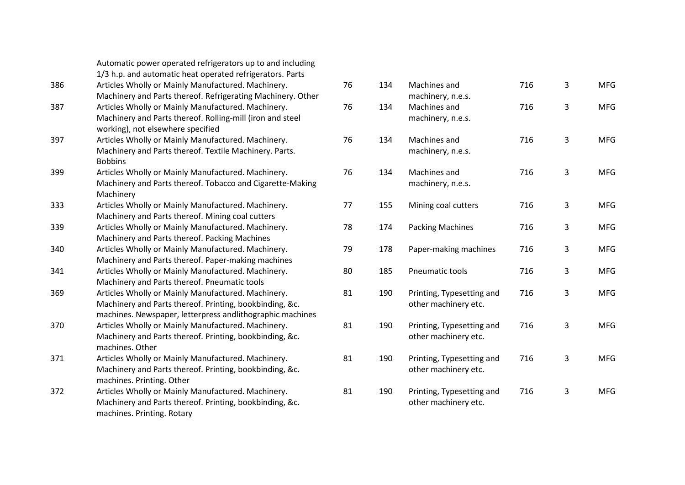|     | Automatic power operated refrigerators up to and including  |
|-----|-------------------------------------------------------------|
|     | 1/3 h.p. and automatic heat operated refrigerators. Parts   |
| 386 | Articles Wholly or Mainly Manufactured. Machinery.          |
|     | Machinery and Parts thereof. Refrigerating Machinery. Other |
| 387 | Articles Wholly or Mainly Manufactured. Machinery.          |
|     | Machinery and Parts thereof. Rolling-mill (iron and steel   |
|     | working), not elsewhere specified                           |
| 397 | Articles Wholly or Mainly Manufactured. Machinery.          |
|     | Machinery and Parts thereof. Textile Machinery. Parts.      |
|     | <b>Bobbins</b>                                              |
| 399 | Articles Wholly or Mainly Manufactured. Machinery.          |
|     | Machinery and Parts thereof. Tobacco and Cigarette-Making   |
|     | Machinery                                                   |
| 333 | Articles Wholly or Mainly Manufactured. Machinery.          |
|     | Machinery and Parts thereof. Mining coal cutters            |
| 339 | Articles Wholly or Mainly Manufactured. Machinery.          |
|     | Machinery and Parts thereof. Packing Machines               |
| 340 | Articles Wholly or Mainly Manufactured. Machinery.          |
|     | Machinery and Parts thereof. Paper-making machines          |
| 341 | Articles Wholly or Mainly Manufactured. Machinery.          |
|     | Machinery and Parts thereof. Pneumatic tools                |
| 369 | Articles Wholly or Mainly Manufactured. Machinery.          |
|     | Machinery and Parts thereof. Printing, bookbinding, &c.     |
|     | machines. Newspaper, letterpress andlithographic machines   |
| 370 | Articles Wholly or Mainly Manufactured. Machinery.          |
|     | Machinery and Parts thereof. Printing, bookbinding, &c.     |
|     | machines. Other                                             |
| 371 | Articles Wholly or Mainly Manufactured. Machinery.          |
|     | Machinery and Parts thereof. Printing, bookbinding, &c.     |
|     | machines. Printing. Other                                   |
| 372 | Articles Wholly or Mainly Manufactured. Machinery.          |
|     | Machinery and Parts thereof. Printing, bookbinding, &c.     |
|     | machines. Printing. Rotary                                  |

| 76 | 134 | Machines and<br>machinery, n.e.s.                 | 716 | 3 | <b>MFG</b> |
|----|-----|---------------------------------------------------|-----|---|------------|
| 76 | 134 | Machines and<br>machinery, n.e.s.                 | 716 | 3 | <b>MFG</b> |
| 76 | 134 | Machines and<br>machinery, n.e.s.                 | 716 | 3 | <b>MFG</b> |
| 76 | 134 | Machines and<br>machinery, n.e.s.                 | 716 | 3 | <b>MFG</b> |
| 77 | 155 | Mining coal cutters                               | 716 | 3 | <b>MFG</b> |
| 78 | 174 | <b>Packing Machines</b>                           | 716 | 3 | <b>MFG</b> |
| 79 | 178 | Paper-making machines                             | 716 | 3 | <b>MFG</b> |
| 80 | 185 | Pneumatic tools                                   | 716 | 3 | <b>MFG</b> |
| 81 | 190 | Printing, Typesetting and<br>other machinery etc. | 716 | 3 | <b>MFG</b> |
| 81 | 190 | Printing, Typesetting and<br>other machinery etc. | 716 | 3 | <b>MFG</b> |
| 81 | 190 | Printing, Typesetting and<br>other machinery etc. | 716 | 3 | <b>MFG</b> |
| 81 | 190 | Printing, Typesetting and<br>other machinery etc. | 716 | 3 | <b>MFG</b> |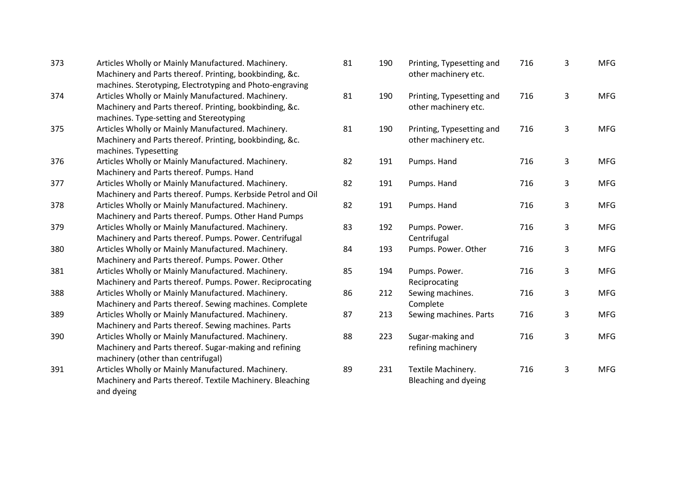| 373 | Articles Wholly or Mainly Manufactured. Machinery.<br>Machinery and Parts thereof. Printing, bookbinding, &c.<br>machines. Sterotyping, Electrotyping and Photo-engraving |
|-----|---------------------------------------------------------------------------------------------------------------------------------------------------------------------------|
| 374 | Articles Wholly or Mainly Manufactured. Machinery.<br>Machinery and Parts thereof. Printing, bookbinding, &c.<br>machines. Type-setting and Stereotyping                  |
| 375 | Articles Wholly or Mainly Manufactured. Machinery.<br>Machinery and Parts thereof. Printing, bookbinding, &c.<br>machines. Typesetting                                    |
| 376 | Articles Wholly or Mainly Manufactured. Machinery.<br>Machinery and Parts thereof. Pumps. Hand                                                                            |
| 377 | Articles Wholly or Mainly Manufactured. Machinery.<br>Machinery and Parts thereof. Pumps. Kerbside Petrol and Oil                                                         |
| 378 | Articles Wholly or Mainly Manufactured. Machinery.<br>Machinery and Parts thereof. Pumps. Other Hand Pumps                                                                |
| 379 | Articles Wholly or Mainly Manufactured. Machinery.<br>Machinery and Parts thereof. Pumps. Power. Centrifugal                                                              |
| 380 | Articles Wholly or Mainly Manufactured. Machinery.<br>Machinery and Parts thereof. Pumps. Power. Other                                                                    |
| 381 | Articles Wholly or Mainly Manufactured. Machinery.<br>Machinery and Parts thereof. Pumps. Power. Reciprocating                                                            |
| 388 | Articles Wholly or Mainly Manufactured. Machinery.<br>Machinery and Parts thereof. Sewing machines. Complete                                                              |
| 389 | Articles Wholly or Mainly Manufactured. Machinery.<br>Machinery and Parts thereof. Sewing machines. Parts                                                                 |
| 390 | Articles Wholly or Mainly Manufactured. Machinery.<br>Machinery and Parts thereof. Sugar-making and refining<br>machinery (other than centrifugal)                        |
| 391 | Articles Wholly or Mainly Manufactured. Machinery.<br>Machinery and Parts thereof. Textile Machinery. Bleaching<br>and dyeing                                             |

| 81 | 190 | Printing, Typesetting and<br>other machinery etc. | 716 | 3 | <b>MFG</b> |
|----|-----|---------------------------------------------------|-----|---|------------|
| 81 | 190 | Printing, Typesetting and<br>other machinery etc. | 716 | 3 | <b>MFG</b> |
| 81 | 190 | Printing, Typesetting and<br>other machinery etc. | 716 | 3 | <b>MFG</b> |
| 82 | 191 | Pumps. Hand                                       | 716 | 3 | <b>MFG</b> |
| 82 | 191 | Pumps. Hand                                       | 716 | 3 | <b>MFG</b> |
| 82 | 191 | Pumps. Hand                                       | 716 | 3 | <b>MFG</b> |
| 83 | 192 | Pumps. Power.<br>Centrifugal                      | 716 | 3 | <b>MFG</b> |
| 84 | 193 | Pumps. Power. Other                               | 716 | 3 | <b>MFG</b> |
| 85 | 194 | Pumps. Power.<br>Reciprocating                    | 716 | 3 | <b>MFG</b> |
| 86 | 212 | Sewing machines.<br>Complete                      | 716 | 3 | <b>MFG</b> |
| 87 | 213 | Sewing machines. Parts                            | 716 | 3 | <b>MFG</b> |
| 88 | 223 | Sugar-making and<br>refining machinery            | 716 | 3 | <b>MFG</b> |
| 89 | 231 | Textile Machinery.<br><b>Bleaching and dyeing</b> | 716 | 3 | <b>MFG</b> |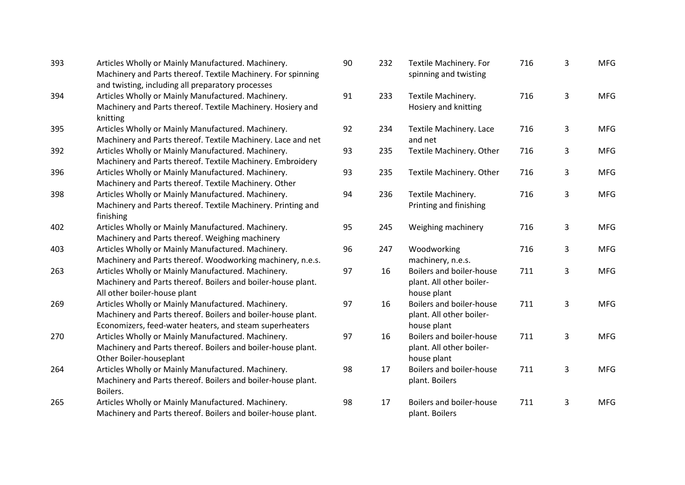| 393 | Articles Wholly or Mainly Manufactured. Machinery.           | 90 |
|-----|--------------------------------------------------------------|----|
|     | Machinery and Parts thereof. Textile Machinery. For spinning |    |
|     | and twisting, including all preparatory processes            |    |
| 394 | Articles Wholly or Mainly Manufactured. Machinery.           | 91 |
|     | Machinery and Parts thereof. Textile Machinery. Hosiery and  |    |
|     | knitting                                                     |    |
| 395 | Articles Wholly or Mainly Manufactured. Machinery.           | 92 |
|     | Machinery and Parts thereof. Textile Machinery. Lace and net |    |
| 392 | Articles Wholly or Mainly Manufactured. Machinery.           | 93 |
|     | Machinery and Parts thereof. Textile Machinery. Embroidery   |    |
| 396 | Articles Wholly or Mainly Manufactured. Machinery.           | 93 |
|     | Machinery and Parts thereof. Textile Machinery. Other        |    |
| 398 | Articles Wholly or Mainly Manufactured. Machinery.           | 94 |
|     | Machinery and Parts thereof. Textile Machinery. Printing and |    |
|     | finishing                                                    |    |
| 402 | Articles Wholly or Mainly Manufactured. Machinery.           | 95 |
|     | Machinery and Parts thereof. Weighing machinery              |    |
| 403 | Articles Wholly or Mainly Manufactured. Machinery.           | 96 |
|     | Machinery and Parts thereof. Woodworking machinery, n.e.s.   |    |
| 263 | Articles Wholly or Mainly Manufactured. Machinery.           | 97 |
|     | Machinery and Parts thereof. Boilers and boiler-house plant. |    |
|     | All other boiler-house plant                                 |    |
| 269 | Articles Wholly or Mainly Manufactured. Machinery.           | 97 |
|     | Machinery and Parts thereof. Boilers and boiler-house plant. |    |
|     | Economizers, feed-water heaters, and steam superheaters      |    |
| 270 | Articles Wholly or Mainly Manufactured. Machinery.           | 97 |
|     | Machinery and Parts thereof. Boilers and boiler-house plant. |    |
|     | Other Boiler-houseplant                                      |    |
| 264 | Articles Wholly or Mainly Manufactured. Machinery.           | 98 |
|     | Machinery and Parts thereof. Boilers and boiler-house plant. |    |
|     | Boilers.                                                     |    |
| 265 | Articles Wholly or Mainly Manufactured. Machinery.           | 98 |
|     | Machinery and Parts thereof. Boilers and boiler-house plant. |    |
|     |                                                              |    |

| 90 | 232 | Textile Machinery. For<br>spinning and twisting                            | 716 | 3 | <b>MFG</b> |
|----|-----|----------------------------------------------------------------------------|-----|---|------------|
| 91 | 233 | Textile Machinery.<br>Hosiery and knitting                                 | 716 | 3 | <b>MFG</b> |
| 92 | 234 | Textile Machinery. Lace<br>and net                                         | 716 | 3 | <b>MFG</b> |
| 93 | 235 | Textile Machinery. Other                                                   | 716 | 3 | <b>MFG</b> |
| 93 | 235 | Textile Machinery. Other                                                   | 716 | 3 | <b>MFG</b> |
| 94 | 236 | Textile Machinery.<br>Printing and finishing                               | 716 | 3 | <b>MFG</b> |
| 95 | 245 | Weighing machinery                                                         | 716 | 3 | <b>MFG</b> |
| 96 | 247 | Woodworking<br>machinery, n.e.s.                                           | 716 | 3 | <b>MFG</b> |
| 97 | 16  | <b>Boilers and boiler-house</b><br>plant. All other boiler-<br>house plant | 711 | 3 | <b>MFG</b> |
| 97 | 16  | <b>Boilers and boiler-house</b><br>plant. All other boiler-<br>house plant | 711 | 3 | <b>MFG</b> |
| 97 | 16  | Boilers and boiler-house<br>plant. All other boiler-<br>house plant        | 711 | 3 | <b>MFG</b> |
| 98 | 17  | <b>Boilers and boiler-house</b><br>plant. Boilers                          | 711 | 3 | <b>MFG</b> |
| 98 | 17  | <b>Boilers and boiler-house</b><br>plant. Boilers                          | 711 | 3 | <b>MFG</b> |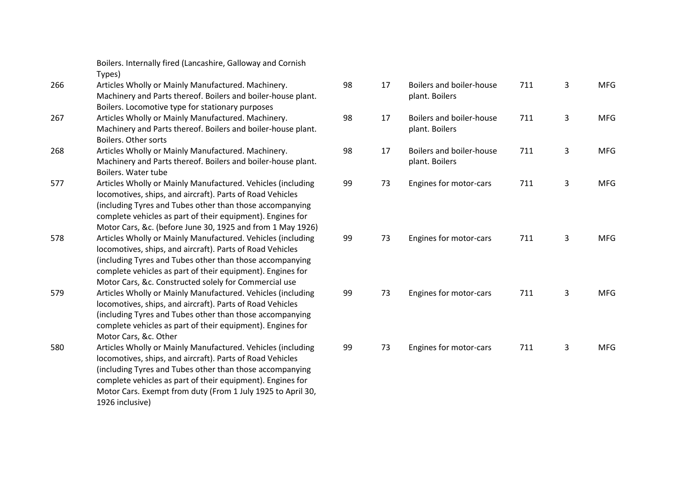|     | Boilers. Internally fired (Lancashire, Galloway and Cornish<br>Types)                                                    |    |
|-----|--------------------------------------------------------------------------------------------------------------------------|----|
| 266 | Articles Wholly or Mainly Manufactured. Machinery.<br>Machinery and Parts thereof. Boilers and boiler-house plant.       | 98 |
|     | Boilers. Locomotive type for stationary purposes                                                                         |    |
| 267 | Articles Wholly or Mainly Manufactured. Machinery.                                                                       | 98 |
|     | Machinery and Parts thereof. Boilers and boiler-house plant.<br>Boilers. Other sorts                                     |    |
| 268 | Articles Wholly or Mainly Manufactured. Machinery.                                                                       | 98 |
|     | Machinery and Parts thereof. Boilers and boiler-house plant.<br>Boilers. Water tube                                      |    |
| 577 | Articles Wholly or Mainly Manufactured. Vehicles (including<br>locomotives, ships, and aircraft). Parts of Road Vehicles | 99 |
|     | (including Tyres and Tubes other than those accompanying<br>complete vehicles as part of their equipment). Engines for   |    |
|     | Motor Cars, &c. (before June 30, 1925 and from 1 May 1926)                                                               |    |
| 578 | Articles Wholly or Mainly Manufactured. Vehicles (including                                                              | 99 |
|     | locomotives, ships, and aircraft). Parts of Road Vehicles                                                                |    |
|     | (including Tyres and Tubes other than those accompanying                                                                 |    |
|     | complete vehicles as part of their equipment). Engines for                                                               |    |
|     | Motor Cars, &c. Constructed solely for Commercial use                                                                    |    |
| 579 | Articles Wholly or Mainly Manufactured. Vehicles (including<br>locomotives, ships, and aircraft). Parts of Road Vehicles | 99 |
|     | (including Tyres and Tubes other than those accompanying                                                                 |    |
|     | complete vehicles as part of their equipment). Engines for                                                               |    |
|     | Motor Cars, &c. Other                                                                                                    |    |
| 580 | Articles Wholly or Mainly Manufactured. Vehicles (including                                                              | 9  |
|     | locomotives, ships, and aircraft). Parts of Road Vehicles                                                                |    |
|     | (including Tyres and Tubes other than those accompanying                                                                 |    |
|     | complete vehicles as part of their equipment). Engines for                                                               |    |
|     | Motor Cars. Exempt from duty (From 1 July 1925 to April 30,<br>1926 inclusive)                                           |    |

| 98 | 17 | Boilers and boiler-house<br>plant. Boilers | 711 | 3 | <b>MFG</b> |
|----|----|--------------------------------------------|-----|---|------------|
| 98 | 17 | Boilers and boiler-house<br>plant. Boilers | 711 | 3 | <b>MFG</b> |
| 98 | 17 | Boilers and boiler-house<br>plant. Boilers | 711 | 3 | <b>MFG</b> |
| 99 | 73 | Engines for motor-cars                     | 711 | 3 | <b>MFG</b> |
|    |    |                                            |     |   |            |
| 99 | 73 | Engines for motor-cars                     | 711 | 3 | <b>MFG</b> |
|    |    |                                            |     |   |            |
| 99 | 73 | Engines for motor-cars                     | 711 | 3 | <b>MFG</b> |
| 99 | 73 | Engines for motor-cars                     | 711 | 3 | <b>MFG</b> |
|    |    |                                            |     |   |            |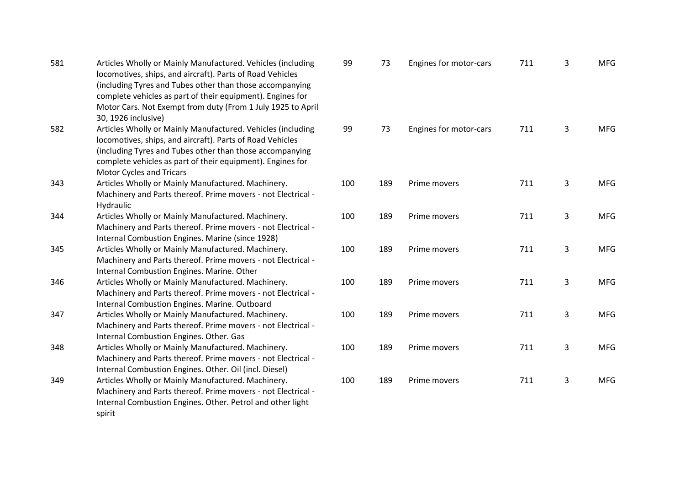| 581 | Articles Wholly or Mainly Manufactured. Vehicles (including<br>locomotives, ships, and aircraft). Parts of Road Vehicles<br>(including Tyres and Tubes other than those accompanying<br>complete vehicles as part of their equipment). Engines for<br>Motor Cars. Not Exempt from duty (From 1 July 1925 to April<br>30, 1926 inclusive) | 99  | 73  | Engines for motor-cars | 711 | 3              | <b>MFG</b> |
|-----|------------------------------------------------------------------------------------------------------------------------------------------------------------------------------------------------------------------------------------------------------------------------------------------------------------------------------------------|-----|-----|------------------------|-----|----------------|------------|
| 582 | Articles Wholly or Mainly Manufactured. Vehicles (including<br>locomotives, ships, and aircraft). Parts of Road Vehicles<br>(including Tyres and Tubes other than those accompanying<br>complete vehicles as part of their equipment). Engines for<br><b>Motor Cycles and Tricars</b>                                                    | 99  | 73  | Engines for motor-cars | 711 | 3              | <b>MFG</b> |
| 343 | Articles Wholly or Mainly Manufactured. Machinery.<br>Machinery and Parts thereof. Prime movers - not Electrical -<br>Hydraulic                                                                                                                                                                                                          | 100 | 189 | Prime movers           | 711 | $\overline{3}$ | <b>MFG</b> |
| 344 | Articles Wholly or Mainly Manufactured. Machinery.<br>Machinery and Parts thereof. Prime movers - not Electrical -<br>Internal Combustion Engines. Marine (since 1928)                                                                                                                                                                   | 100 | 189 | Prime movers           | 711 | 3              | <b>MFG</b> |
| 345 | Articles Wholly or Mainly Manufactured. Machinery.<br>Machinery and Parts thereof. Prime movers - not Electrical -<br>Internal Combustion Engines. Marine. Other                                                                                                                                                                         | 100 | 189 | Prime movers           | 711 | $\overline{3}$ | <b>MFG</b> |
| 346 | Articles Wholly or Mainly Manufactured. Machinery.<br>Machinery and Parts thereof. Prime movers - not Electrical -<br>Internal Combustion Engines. Marine. Outboard                                                                                                                                                                      | 100 | 189 | Prime movers           | 711 | 3              | <b>MFG</b> |
| 347 | Articles Wholly or Mainly Manufactured. Machinery.<br>Machinery and Parts thereof. Prime movers - not Electrical -<br>Internal Combustion Engines. Other. Gas                                                                                                                                                                            | 100 | 189 | Prime movers           | 711 | 3              | <b>MFG</b> |
| 348 | Articles Wholly or Mainly Manufactured. Machinery.<br>Machinery and Parts thereof. Prime movers - not Electrical -<br>Internal Combustion Engines. Other. Oil (incl. Diesel)                                                                                                                                                             | 100 | 189 | Prime movers           | 711 | 3              | <b>MFG</b> |
| 349 | Articles Wholly or Mainly Manufactured. Machinery.<br>Machinery and Parts thereof. Prime movers - not Electrical -<br>Internal Combustion Engines. Other. Petrol and other light<br>spirit                                                                                                                                               | 100 | 189 | Prime movers           | 711 | 3              | <b>MFG</b> |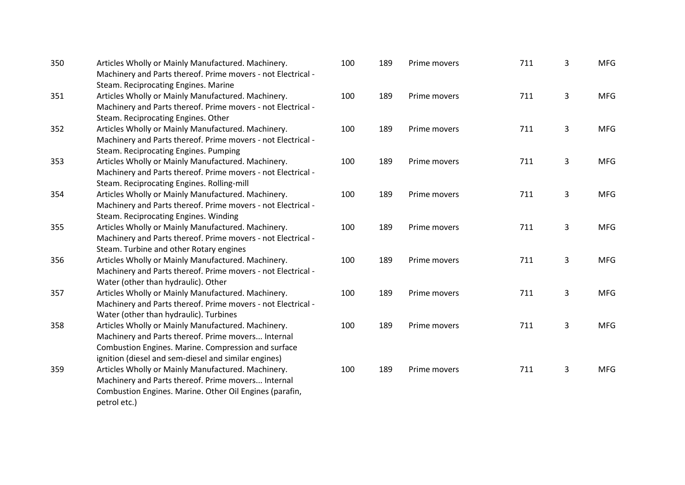| 350 | Articles Wholly or Mainly Manufactured. Machinery.<br>Machinery and Parts thereof. Prime movers - not Electrical -<br>Steam. Reciprocating Engines. Marine                                                              | 100 | 189 | Prime movers | 711 | 3              | <b>MFG</b> |
|-----|-------------------------------------------------------------------------------------------------------------------------------------------------------------------------------------------------------------------------|-----|-----|--------------|-----|----------------|------------|
| 351 | Articles Wholly or Mainly Manufactured. Machinery.<br>Machinery and Parts thereof. Prime movers - not Electrical -<br>Steam. Reciprocating Engines. Other                                                               | 100 | 189 | Prime movers | 711 | $\overline{3}$ | <b>MFG</b> |
| 352 | Articles Wholly or Mainly Manufactured. Machinery.<br>Machinery and Parts thereof. Prime movers - not Electrical -<br>Steam. Reciprocating Engines. Pumping                                                             | 100 | 189 | Prime movers | 711 | 3              | <b>MFG</b> |
| 353 | Articles Wholly or Mainly Manufactured. Machinery.<br>Machinery and Parts thereof. Prime movers - not Electrical -<br>Steam. Reciprocating Engines. Rolling-mill                                                        | 100 | 189 | Prime movers | 711 | 3              | <b>MFG</b> |
| 354 | Articles Wholly or Mainly Manufactured. Machinery.<br>Machinery and Parts thereof. Prime movers - not Electrical -<br>Steam. Reciprocating Engines. Winding                                                             | 100 | 189 | Prime movers | 711 | 3              | <b>MFG</b> |
| 355 | Articles Wholly or Mainly Manufactured. Machinery.<br>Machinery and Parts thereof. Prime movers - not Electrical -<br>Steam. Turbine and other Rotary engines                                                           | 100 | 189 | Prime movers | 711 | 3              | <b>MFG</b> |
| 356 | Articles Wholly or Mainly Manufactured. Machinery.<br>Machinery and Parts thereof. Prime movers - not Electrical -<br>Water (other than hydraulic). Other                                                               | 100 | 189 | Prime movers | 711 | $\mathbf{3}$   | <b>MFG</b> |
| 357 | Articles Wholly or Mainly Manufactured. Machinery.<br>Machinery and Parts thereof. Prime movers - not Electrical -<br>Water (other than hydraulic). Turbines                                                            | 100 | 189 | Prime movers | 711 | 3              | <b>MFG</b> |
| 358 | Articles Wholly or Mainly Manufactured. Machinery.<br>Machinery and Parts thereof. Prime movers Internal<br>Combustion Engines. Marine. Compression and surface<br>ignition (diesel and sem-diesel and similar engines) | 100 | 189 | Prime movers | 711 | 3              | <b>MFG</b> |
| 359 | Articles Wholly or Mainly Manufactured. Machinery.<br>Machinery and Parts thereof. Prime movers Internal<br>Combustion Engines. Marine. Other Oil Engines (parafin,<br>petrol etc.)                                     | 100 | 189 | Prime movers | 711 | 3              | <b>MFG</b> |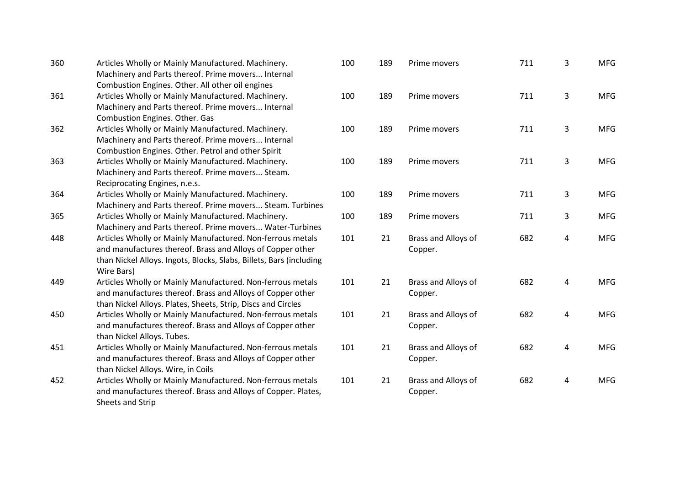| 360 | Articles Wholly or Mainly Manufactured. Machinery.                  |
|-----|---------------------------------------------------------------------|
|     | Machinery and Parts thereof. Prime movers Internal                  |
|     | Combustion Engines. Other. All other oil engines                    |
| 361 | Articles Wholly or Mainly Manufactured. Machinery.                  |
|     | Machinery and Parts thereof. Prime movers Internal                  |
|     | Combustion Engines. Other. Gas                                      |
| 362 | Articles Wholly or Mainly Manufactured. Machinery.                  |
|     | Machinery and Parts thereof. Prime movers Internal                  |
|     | Combustion Engines. Other. Petrol and other Spirit                  |
| 363 | Articles Wholly or Mainly Manufactured. Machinery.                  |
|     | Machinery and Parts thereof. Prime movers Steam.                    |
|     | Reciprocating Engines, n.e.s.                                       |
| 364 | Articles Wholly or Mainly Manufactured. Machinery.                  |
|     | Machinery and Parts thereof. Prime movers Steam. Turbines           |
| 365 | Articles Wholly or Mainly Manufactured. Machinery.                  |
|     | Machinery and Parts thereof. Prime movers Water-Turbines            |
| 448 | Articles Wholly or Mainly Manufactured. Non-ferrous metals          |
|     | and manufactures thereof. Brass and Alloys of Copper other          |
|     | than Nickel Alloys. Ingots, Blocks, Slabs, Billets, Bars (including |
|     | Wire Bars)                                                          |
| 449 | Articles Wholly or Mainly Manufactured. Non-ferrous metals          |
|     | and manufactures thereof. Brass and Alloys of Copper other          |
|     | than Nickel Alloys. Plates, Sheets, Strip, Discs and Circles        |
| 450 | Articles Wholly or Mainly Manufactured. Non-ferrous metals          |
|     | and manufactures thereof. Brass and Alloys of Copper other          |
|     | than Nickel Alloys. Tubes.                                          |
| 451 | Articles Wholly or Mainly Manufactured. Non-ferrous metals          |
|     | and manufactures thereof. Brass and Alloys of Copper other          |
|     | than Nickel Alloys. Wire, in Coils                                  |
| 452 | Articles Wholly or Mainly Manufactured. Non-ferrous metals          |
|     | and manufactures thereof. Brass and Alloys of Copper. Plates,       |
|     | Sheets and Strip                                                    |

| 100 | 189 | Prime movers                   | 711 | 3 | <b>MFG</b> |
|-----|-----|--------------------------------|-----|---|------------|
| 100 | 189 | Prime movers                   | 711 | 3 | <b>MFG</b> |
| 100 | 189 | Prime movers                   | 711 | 3 | <b>MFG</b> |
| 100 | 189 | Prime movers                   | 711 | 3 | <b>MFG</b> |
| 100 | 189 | Prime movers                   | 711 | 3 | <b>MFG</b> |
| 100 | 189 | Prime movers                   | 711 | 3 | <b>MFG</b> |
| 101 | 21  | Brass and Alloys of<br>Copper. | 682 | 4 | <b>MFG</b> |
| 101 | 21  | Brass and Alloys of<br>Copper. | 682 | 4 | <b>MFG</b> |
| 101 | 21  | Brass and Alloys of<br>Copper. | 682 | 4 | <b>MFG</b> |
| 101 | 21  | Brass and Alloys of<br>Copper. | 682 | 4 | <b>MFG</b> |
| 101 | 21  | Brass and Alloys of<br>Copper. | 682 | 4 | <b>MFG</b> |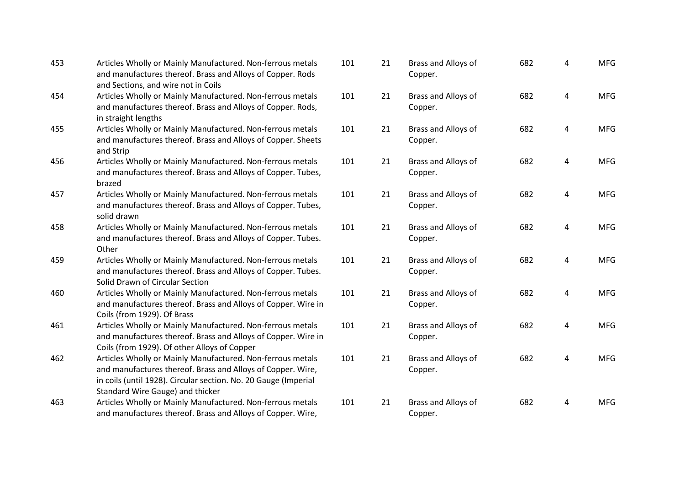| 453 | Articles Wholly or Mainly Manufactured. Non-ferrous metals<br>and manufactures thereof. Brass and Alloys of Copper. Rods<br>and Sections, and wire not in Coils                                                                  | 1(             |
|-----|----------------------------------------------------------------------------------------------------------------------------------------------------------------------------------------------------------------------------------|----------------|
| 454 | Articles Wholly or Mainly Manufactured. Non-ferrous metals<br>and manufactures thereof. Brass and Alloys of Copper. Rods,<br>in straight lengths                                                                                 | 1(             |
| 455 | Articles Wholly or Mainly Manufactured. Non-ferrous metals<br>and manufactures thereof. Brass and Alloys of Copper. Sheets<br>and Strip                                                                                          | 1(             |
| 456 | Articles Wholly or Mainly Manufactured. Non-ferrous metals<br>and manufactures thereof. Brass and Alloys of Copper. Tubes,<br>brazed                                                                                             | 1(             |
| 457 | Articles Wholly or Mainly Manufactured. Non-ferrous metals<br>and manufactures thereof. Brass and Alloys of Copper. Tubes,<br>solid drawn                                                                                        | 1(             |
| 458 | Articles Wholly or Mainly Manufactured. Non-ferrous metals<br>and manufactures thereof. Brass and Alloys of Copper. Tubes.<br>Other                                                                                              | 1(             |
| 459 | Articles Wholly or Mainly Manufactured. Non-ferrous metals<br>and manufactures thereof. Brass and Alloys of Copper. Tubes.<br>Solid Drawn of Circular Section                                                                    | 1(             |
| 460 | Articles Wholly or Mainly Manufactured. Non-ferrous metals<br>and manufactures thereof. Brass and Alloys of Copper. Wire in<br>Coils (from 1929). Of Brass                                                                       | 1 <sub>0</sub> |
| 461 | Articles Wholly or Mainly Manufactured. Non-ferrous metals<br>and manufactures thereof. Brass and Alloys of Copper. Wire in<br>Coils (from 1929). Of other Alloys of Copper                                                      | 1(             |
| 462 | Articles Wholly or Mainly Manufactured. Non-ferrous metals<br>and manufactures thereof. Brass and Alloys of Copper. Wire,<br>in coils (until 1928). Circular section. No. 20 Gauge (Imperial<br>Standard Wire Gauge) and thicker | 1(             |
| 463 | Articles Wholly or Mainly Manufactured. Non-ferrous metals<br>and manufactures thereof. Brass and Alloys of Copper. Wire,                                                                                                        | 1(             |

| 101 | 21 | Brass and Alloys of<br>Copper. | 682 | 4              | <b>MFG</b> |
|-----|----|--------------------------------|-----|----------------|------------|
| 101 | 21 | Brass and Alloys of<br>Copper. | 682 | 4              | <b>MFG</b> |
| 101 | 21 | Brass and Alloys of<br>Copper. | 682 | 4              | <b>MFG</b> |
| 101 | 21 | Brass and Alloys of<br>Copper. | 682 | 4              | <b>MFG</b> |
| 101 | 21 | Brass and Alloys of<br>Copper. | 682 | $\overline{4}$ | <b>MFG</b> |
| 101 | 21 | Brass and Alloys of<br>Copper. | 682 | 4              | <b>MFG</b> |
| 101 | 21 | Brass and Alloys of<br>Copper. | 682 | 4              | <b>MFG</b> |
| 101 | 21 | Brass and Alloys of<br>Copper. | 682 | 4              | <b>MFG</b> |
| 101 | 21 | Brass and Alloys of<br>Copper. | 682 | 4              | <b>MFG</b> |
| 101 | 21 | Brass and Alloys of<br>Copper. | 682 | 4              | <b>MFG</b> |
| 101 | 21 | Brass and Alloys of<br>Copper. | 682 | 4              | <b>MFG</b> |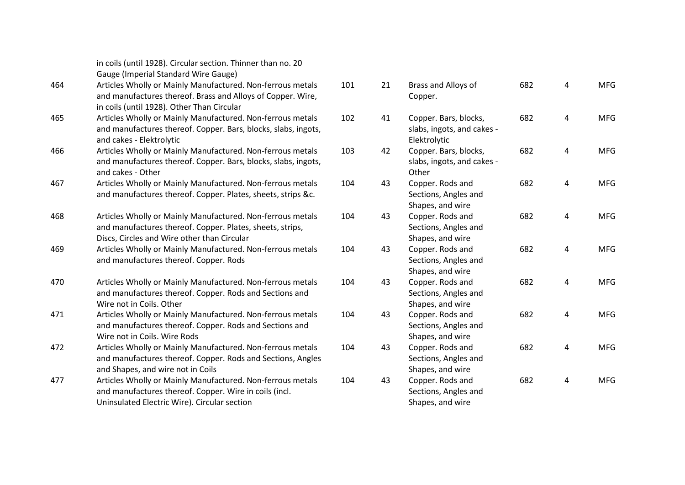|     | in coils (until 1928). Circular section. Thinner than no. 20<br>Gauge (Imperial Standard Wire Gauge)                                                                    |     |
|-----|-------------------------------------------------------------------------------------------------------------------------------------------------------------------------|-----|
| 464 | Articles Wholly or Mainly Manufactured. Non-ferrous metals<br>and manufactures thereof. Brass and Alloys of Copper. Wire,<br>in coils (until 1928). Other Than Circular | 101 |
| 465 | Articles Wholly or Mainly Manufactured. Non-ferrous metals<br>and manufactures thereof. Copper. Bars, blocks, slabs, ingots,<br>and cakes - Elektrolytic                | 102 |
| 466 | Articles Wholly or Mainly Manufactured. Non-ferrous metals<br>and manufactures thereof. Copper. Bars, blocks, slabs, ingots,<br>and cakes - Other                       | 103 |
| 467 | Articles Wholly or Mainly Manufactured. Non-ferrous metals<br>and manufactures thereof. Copper. Plates, sheets, strips &c.                                              | 104 |
| 468 | Articles Wholly or Mainly Manufactured. Non-ferrous metals<br>and manufactures thereof. Copper. Plates, sheets, strips,<br>Discs, Circles and Wire other than Circular  | 104 |
| 469 | Articles Wholly or Mainly Manufactured. Non-ferrous metals<br>and manufactures thereof. Copper. Rods                                                                    | 104 |
| 470 | Articles Wholly or Mainly Manufactured. Non-ferrous metals<br>and manufactures thereof. Copper. Rods and Sections and<br>Wire not in Coils. Other                       | 104 |
| 471 | Articles Wholly or Mainly Manufactured. Non-ferrous metals<br>and manufactures thereof. Copper. Rods and Sections and<br>Wire not in Coils. Wire Rods                   | 104 |
| 472 | Articles Wholly or Mainly Manufactured. Non-ferrous metals<br>and manufactures thereof. Copper. Rods and Sections, Angles<br>and Shapes, and wire not in Coils          | 104 |
| 477 | Articles Wholly or Mainly Manufactured. Non-ferrous metals<br>and manufactures thereof. Copper. Wire in coils (incl.<br>Uninsulated Electric Wire). Circular section    | 104 |

| 101 | 21 | Brass and Alloys of<br>Copper.                                      | 682 | 4 | <b>MFG</b> |
|-----|----|---------------------------------------------------------------------|-----|---|------------|
| 102 | 41 | Copper. Bars, blocks,<br>slabs, ingots, and cakes -<br>Elektrolytic | 682 | 4 | <b>MFG</b> |
| 103 | 42 | Copper. Bars, blocks,<br>slabs, ingots, and cakes -<br>Other        | 682 | 4 | <b>MFG</b> |
| 104 | 43 | Copper. Rods and<br>Sections, Angles and<br>Shapes, and wire        | 682 | 4 | <b>MFG</b> |
| 104 | 43 | Copper. Rods and<br>Sections, Angles and<br>Shapes, and wire        | 682 | 4 | <b>MFG</b> |
| 104 | 43 | Copper. Rods and<br>Sections, Angles and<br>Shapes, and wire        | 682 | 4 | <b>MFG</b> |
| 104 | 43 | Copper. Rods and<br>Sections, Angles and<br>Shapes, and wire        | 682 | 4 | <b>MFG</b> |
| 104 | 43 | Copper. Rods and<br>Sections, Angles and<br>Shapes, and wire        | 682 | 4 | <b>MFG</b> |
| 104 | 43 | Copper. Rods and<br>Sections, Angles and<br>Shapes, and wire        | 682 | 4 | <b>MFG</b> |
| 104 | 43 | Copper. Rods and<br>Sections, Angles and<br>Shapes, and wire        | 682 | 4 | <b>MFG</b> |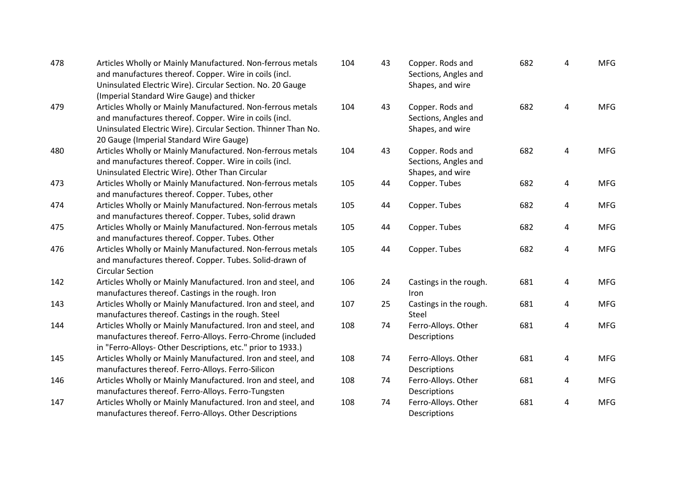| 478 | Articles Wholly or Mainly Manufactured. Non-ferrous metals<br>and manufactures thereof. Copper. Wire in coils (incl.<br>Uninsulated Electric Wire). Circular Section. No. 20 Gauge<br>(Imperial Standard Wire Gauge) and thicker  | 104 | 43 | Copper. Rods and<br>Sections, Angles and<br>Shapes, and wire | 682 | $\overline{4}$          | <b>MFG</b> |
|-----|-----------------------------------------------------------------------------------------------------------------------------------------------------------------------------------------------------------------------------------|-----|----|--------------------------------------------------------------|-----|-------------------------|------------|
| 479 | Articles Wholly or Mainly Manufactured. Non-ferrous metals<br>and manufactures thereof. Copper. Wire in coils (incl.<br>Uninsulated Electric Wire). Circular Section. Thinner Than No.<br>20 Gauge (Imperial Standard Wire Gauge) | 104 | 43 | Copper. Rods and<br>Sections, Angles and<br>Shapes, and wire | 682 | 4                       | <b>MFG</b> |
| 480 | Articles Wholly or Mainly Manufactured. Non-ferrous metals<br>and manufactures thereof. Copper. Wire in coils (incl.<br>Uninsulated Electric Wire). Other Than Circular                                                           | 104 | 43 | Copper. Rods and<br>Sections, Angles and<br>Shapes, and wire | 682 | $\overline{4}$          | <b>MFG</b> |
| 473 | Articles Wholly or Mainly Manufactured. Non-ferrous metals<br>and manufactures thereof. Copper. Tubes, other                                                                                                                      | 105 | 44 | Copper. Tubes                                                | 682 | $\overline{\mathbf{4}}$ | <b>MFG</b> |
| 474 | Articles Wholly or Mainly Manufactured. Non-ferrous metals<br>and manufactures thereof. Copper. Tubes, solid drawn                                                                                                                | 105 | 44 | Copper. Tubes                                                | 682 | $\overline{4}$          | <b>MFG</b> |
| 475 | Articles Wholly or Mainly Manufactured. Non-ferrous metals<br>and manufactures thereof. Copper. Tubes. Other                                                                                                                      | 105 | 44 | Copper. Tubes                                                | 682 | 4                       | <b>MFG</b> |
| 476 | Articles Wholly or Mainly Manufactured. Non-ferrous metals<br>and manufactures thereof. Copper. Tubes. Solid-drawn of<br><b>Circular Section</b>                                                                                  | 105 | 44 | Copper. Tubes                                                | 682 | $\overline{4}$          | <b>MFG</b> |
| 142 | Articles Wholly or Mainly Manufactured. Iron and steel, and<br>manufactures thereof. Castings in the rough. Iron                                                                                                                  | 106 | 24 | Castings in the rough.<br>Iron                               | 681 | 4                       | <b>MFG</b> |
| 143 | Articles Wholly or Mainly Manufactured. Iron and steel, and<br>manufactures thereof. Castings in the rough. Steel                                                                                                                 | 107 | 25 | Castings in the rough.<br>Steel                              | 681 | $\overline{4}$          | <b>MFG</b> |
| 144 | Articles Wholly or Mainly Manufactured. Iron and steel, and<br>manufactures thereof. Ferro-Alloys. Ferro-Chrome (included<br>in "Ferro-Alloys- Other Descriptions, etc." prior to 1933.)                                          | 108 | 74 | Ferro-Alloys. Other<br>Descriptions                          | 681 | 4                       | <b>MFG</b> |
| 145 | Articles Wholly or Mainly Manufactured. Iron and steel, and<br>manufactures thereof. Ferro-Alloys. Ferro-Silicon                                                                                                                  | 108 | 74 | Ferro-Alloys. Other<br>Descriptions                          | 681 | 4                       | <b>MFG</b> |
| 146 | Articles Wholly or Mainly Manufactured. Iron and steel, and<br>manufactures thereof. Ferro-Alloys. Ferro-Tungsten                                                                                                                 | 108 | 74 | Ferro-Alloys. Other<br>Descriptions                          | 681 | 4                       | <b>MFG</b> |
| 147 | Articles Wholly or Mainly Manufactured. Iron and steel, and<br>manufactures thereof. Ferro-Alloys. Other Descriptions                                                                                                             | 108 | 74 | Ferro-Alloys. Other<br>Descriptions                          | 681 | 4                       | <b>MFG</b> |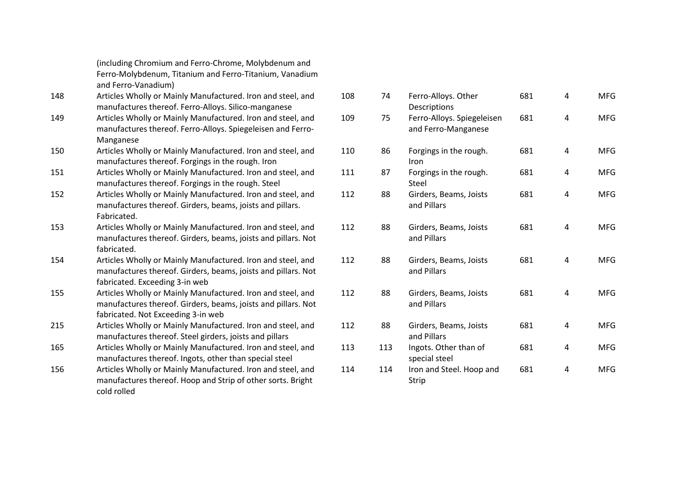(including Chromium and Ferro -Chrome, Molybdenum and Ferro -Molybdenum, Titanium and Ferro -Titanium, Vanadium and Ferro -Vanadium)

- 148 Articles Wholly or Mainly Manufactured. Iron and steel, and manufactures thereof. Ferro -Alloys. Silico -manganese
- 149 Articles Wholly or Mainly Manufactured. Iron and steel, and manufactures thereof. Ferro -Alloys. Spiegeleisen and Ferro - Manganese
- 150 Articles Wholly or Mainly Manufactured. Iron and steel, and manufactures thereof. Forgings in the rough. Iron
- 151 Articles Wholly or Mainly Manufactured. Iron and steel, and manufactures thereof. Forgings in the rough. Steel
- 152 Articles Wholly or Mainly Manufactured. Iron and steel, and manufactures thereof. Girders, beams, joists and pillars. Fabricated.
- 153 Articles Wholly or Mainly Manufactured. Iron and steel, and manufactures thereof. Girders, beams, joists and pillars. Not fabricated.
- 154 Articles Wholly or Mainly Manufactured. Iron and steel, and manufactures thereof. Girders, beams, joists and pillars. Not fabricated. Exceeding 3 -in web
- 155 Articles Wholly or Mainly Manufactured. Iron and steel, and manufactures thereof. Girders, beams, joists and pillars. Not fabricated. Not Exceeding 3 -in web
- 215 Articles Wholly or Mainly Manufactured. Iron and steel, and manufactures thereof. Steel girders, joists and pillars
- 165 Articles Wholly or Mainly Manufactured. Iron and steel, and manufactures thereof. Ingots, other than special steel
- 156 Articles Wholly or Mainly Manufactured. Iron and steel, and manufactures thereof. Hoop and Strip of other sorts. Bright cold rolled

| 108 | 74  | Ferro-Alloys. Other<br>Descriptions               | 681 | 4 | <b>MFG</b> |
|-----|-----|---------------------------------------------------|-----|---|------------|
| 109 | 75  | Ferro-Alloys. Spiegeleisen<br>and Ferro-Manganese | 681 | 4 | <b>MFG</b> |
| 110 | 86  | Forgings in the rough.<br>Iron                    | 681 | 4 | <b>MFG</b> |
| 111 | 87  | Forgings in the rough.<br>Steel                   | 681 | 4 | <b>MFG</b> |
| 112 | 88  | Girders, Beams, Joists<br>and Pillars             | 681 | 4 | <b>MFG</b> |
| 112 | 88  | Girders, Beams, Joists<br>and Pillars             | 681 | 4 | <b>MFG</b> |
| 112 | 88  | Girders, Beams, Joists<br>and Pillars             | 681 | 4 | <b>MFG</b> |
| 112 | 88  | Girders, Beams, Joists<br>and Pillars             | 681 | 4 | <b>MFG</b> |
| 112 | 88  | Girders, Beams, Joists<br>and Pillars             | 681 | 4 | <b>MFG</b> |
| 113 | 113 | Ingots. Other than of<br>special steel            | 681 | 4 | <b>MFG</b> |
| 114 | 114 | Iron and Steel. Hoop and<br>Strip                 | 681 | 4 | <b>MFG</b> |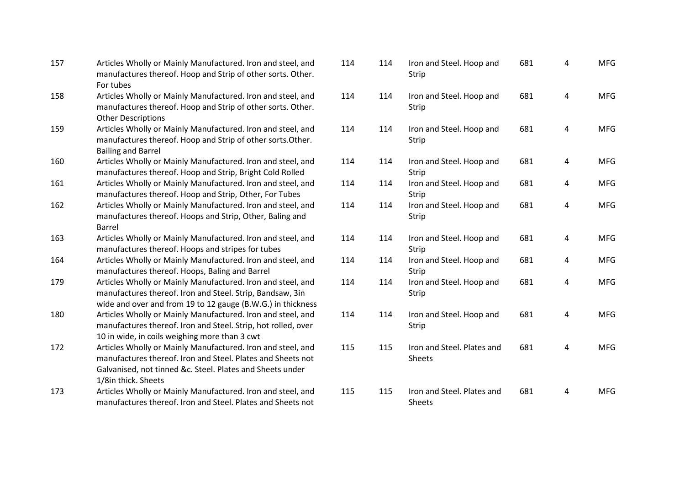| 157 | Articles Wholly or Mainly Manufactured. Iron and steel, and<br>manufactures thereof. Hoop and Strip of other sorts. Other.<br>For tubes                                                                        | 11 <sup>2</sup> |
|-----|----------------------------------------------------------------------------------------------------------------------------------------------------------------------------------------------------------------|-----------------|
| 158 | Articles Wholly or Mainly Manufactured. Iron and steel, and<br>manufactures thereof. Hoop and Strip of other sorts. Other.<br><b>Other Descriptions</b>                                                        | 11 <sup>2</sup> |
| 159 | Articles Wholly or Mainly Manufactured. Iron and steel, and<br>manufactures thereof. Hoop and Strip of other sorts. Other.<br><b>Bailing and Barrel</b>                                                        | 11 <sup>2</sup> |
| 160 | Articles Wholly or Mainly Manufactured. Iron and steel, and<br>manufactures thereof. Hoop and Strip, Bright Cold Rolled                                                                                        | 11 <sup>2</sup> |
| 161 | Articles Wholly or Mainly Manufactured. Iron and steel, and<br>manufactures thereof. Hoop and Strip, Other, For Tubes                                                                                          | 11 <sup>2</sup> |
| 162 | Articles Wholly or Mainly Manufactured. Iron and steel, and<br>manufactures thereof. Hoops and Strip, Other, Baling and<br>Barrel                                                                              | 11 <sup>2</sup> |
| 163 | Articles Wholly or Mainly Manufactured. Iron and steel, and<br>manufactures thereof. Hoops and stripes for tubes                                                                                               | 11 <sup>2</sup> |
| 164 | Articles Wholly or Mainly Manufactured. Iron and steel, and<br>manufactures thereof. Hoops, Baling and Barrel                                                                                                  | 11 <sup>2</sup> |
| 179 | Articles Wholly or Mainly Manufactured. Iron and steel, and<br>manufactures thereof. Iron and Steel. Strip, Bandsaw, 3in<br>wide and over and from 19 to 12 gauge (B.W.G.) in thickness                        | 11 <sup>2</sup> |
| 180 | Articles Wholly or Mainly Manufactured. Iron and steel, and<br>manufactures thereof. Iron and Steel. Strip, hot rolled, over<br>10 in wide, in coils weighing more than 3 cwt                                  | 11 <sup>2</sup> |
| 172 | Articles Wholly or Mainly Manufactured. Iron and steel, and<br>manufactures thereof. Iron and Steel. Plates and Sheets not<br>Galvanised, not tinned &c. Steel. Plates and Sheets under<br>1/8in thick. Sheets | 115             |
| 173 | Articles Wholly or Mainly Manufactured. Iron and steel, and<br>manufactures thereof. Iron and Steel. Plates and Sheets not                                                                                     | 115             |

| 114 | 114 | Iron and Steel. Hoop and<br>Strip           | 681 | 4 | <b>MFG</b> |
|-----|-----|---------------------------------------------|-----|---|------------|
| 114 | 114 | Iron and Steel. Hoop and<br>Strip           | 681 | 4 | <b>MFG</b> |
| 114 | 114 | Iron and Steel. Hoop and<br>Strip           | 681 | 4 | <b>MFG</b> |
| 114 | 114 | Iron and Steel. Hoop and<br>Strip           | 681 | 4 | <b>MFG</b> |
| 114 | 114 | Iron and Steel. Hoop and<br><b>Strip</b>    | 681 | 4 | <b>MFG</b> |
| 114 | 114 | Iron and Steel. Hoop and<br>Strip           | 681 | 4 | <b>MFG</b> |
| 114 | 114 | Iron and Steel. Hoop and<br><b>Strip</b>    | 681 | 4 | <b>MFG</b> |
| 114 | 114 | Iron and Steel. Hoop and<br>Strip           | 681 | 4 | <b>MFG</b> |
| 114 | 114 | Iron and Steel. Hoop and<br>Strip           | 681 | 4 | <b>MFG</b> |
| 114 | 114 | Iron and Steel. Hoop and<br>Strip           | 681 | 4 | <b>MFG</b> |
| 115 | 115 | Iron and Steel. Plates and<br><b>Sheets</b> | 681 | 4 | <b>MFG</b> |
| 115 | 115 | Iron and Steel. Plates and<br><b>Sheets</b> | 681 | 4 | <b>MFG</b> |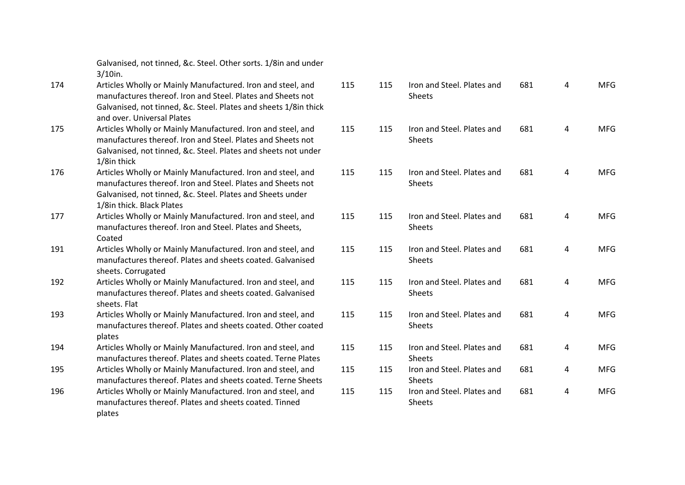Galvanised, not tinned, &c. Steel. Other sorts. 1/8in and under 3/10in.

- 174 Articles Wholly or Mainly Manufactured. Iron and steel, and manufactures thereof. Iron and Steel. Plates and Sheets not Galvanised, not tinned, &c. Steel. Plates and sheets 1/8in thick and over. Universal Plates
- 175 Articles Wholly or Mainly Manufactured. Iron and steel, and manufactures thereof. Iron and Steel. Plates and Sheets not Galvanised, not tinned, &c. Steel. Plates and sheets not under 1/8in thick
- 176 Articles Wholly or Mainly Manufactured. Iron and steel, and manufactures thereof. Iron and Steel. Plates and Sheets not Galvanised, not tinned, &c. Steel. Plates and Sheets under 1/8in thick. Black Plates
- 177 Articles Wholly or Mainly Manufactured. Iron and steel, and manufactures thereof. Iron and Steel. Plates and Sheets, Coated
- 191 Articles Wholly or Mainly Manufactured. Iron and steel, and manufactures thereof. Plates and sheets coated. Galvanised sheets. Corrugated
- 192 Articles Wholly or Mainly Manufactured. Iron and steel, and manufactures thereof. Plates and sheets coated. Galvanised sheets. Flat
- 193 Articles Wholly or Mainly Manufactured. Iron and steel, and manufactures thereof. Plates and sheets coated. Other coated plates
- 194 Articles Wholly or Mainly Manufactured. Iron and steel, and manufactures thereof. Plates and sheets coated. Terne Plates
- 195 Articles Wholly or Mainly Manufactured. Iron and steel, and manufactures thereof. Plates and sheets coated. Terne Sheets
- 196 Articles Wholly or Mainly Manufactured. Iron and steel, and manufactures thereof. Plates and sheets coated. Tinned plates

| 115 | 115 | Iron and Steel. Plates and<br><b>Sheets</b> | 681 | 4 | <b>MFG</b> |
|-----|-----|---------------------------------------------|-----|---|------------|
| 115 | 115 | Iron and Steel. Plates and<br><b>Sheets</b> | 681 | 4 | <b>MFG</b> |
| 115 | 115 | Iron and Steel. Plates and<br><b>Sheets</b> | 681 | 4 | <b>MFG</b> |
| 115 | 115 | Iron and Steel. Plates and<br><b>Sheets</b> | 681 | 4 | <b>MFG</b> |
| 115 | 115 | Iron and Steel. Plates and<br><b>Sheets</b> | 681 | 4 | <b>MFG</b> |
| 115 | 115 | Iron and Steel. Plates and<br><b>Sheets</b> | 681 | 4 | <b>MFG</b> |
| 115 | 115 | Iron and Steel. Plates and<br><b>Sheets</b> | 681 | 4 | <b>MFG</b> |
| 115 | 115 | Iron and Steel. Plates and<br><b>Sheets</b> | 681 | 4 | <b>MFG</b> |
| 115 | 115 | Iron and Steel. Plates and<br><b>Sheets</b> | 681 | 4 | <b>MFG</b> |
| 115 | 115 | Iron and Steel. Plates and<br><b>Sheets</b> | 681 | 4 | <b>MFG</b> |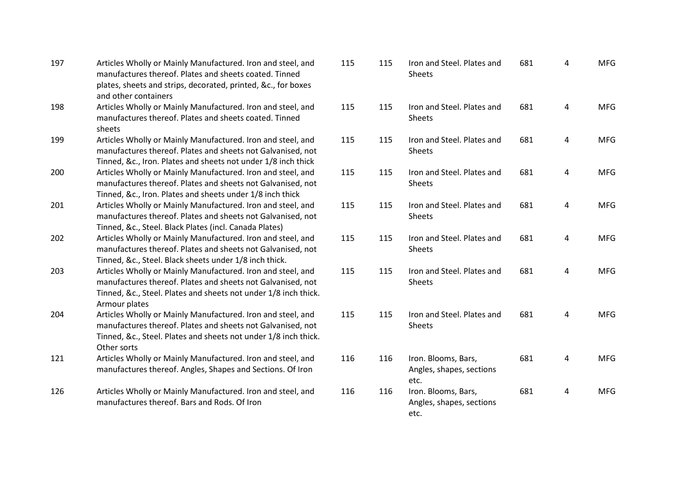| 197 | Articles Wholly or Mainly Manufactured. Iron and steel, and<br>manufactures thereof. Plates and sheets coated. Tinned<br>plates, sheets and strips, decorated, printed, &c., for boxes<br>and other containers | 115 |
|-----|----------------------------------------------------------------------------------------------------------------------------------------------------------------------------------------------------------------|-----|
| 198 | Articles Wholly or Mainly Manufactured. Iron and steel, and<br>manufactures thereof. Plates and sheets coated. Tinned<br>sheets                                                                                | 115 |
| 199 | Articles Wholly or Mainly Manufactured. Iron and steel, and<br>manufactures thereof. Plates and sheets not Galvanised, not<br>Tinned, &c., Iron. Plates and sheets not under 1/8 inch thick                    | 115 |
| 200 | Articles Wholly or Mainly Manufactured. Iron and steel, and<br>manufactures thereof. Plates and sheets not Galvanised, not<br>Tinned, &c., Iron. Plates and sheets under 1/8 inch thick                        | 115 |
| 201 | Articles Wholly or Mainly Manufactured. Iron and steel, and<br>manufactures thereof. Plates and sheets not Galvanised, not<br>Tinned, &c., Steel. Black Plates (incl. Canada Plates)                           | 115 |
| 202 | Articles Wholly or Mainly Manufactured. Iron and steel, and<br>manufactures thereof. Plates and sheets not Galvanised, not<br>Tinned, &c., Steel. Black sheets under 1/8 inch thick.                           | 115 |
| 203 | Articles Wholly or Mainly Manufactured. Iron and steel, and<br>manufactures thereof. Plates and sheets not Galvanised, not<br>Tinned, &c., Steel. Plates and sheets not under 1/8 inch thick.<br>Armour plates | 115 |
| 204 | Articles Wholly or Mainly Manufactured. Iron and steel, and<br>manufactures thereof. Plates and sheets not Galvanised, not<br>Tinned, &c., Steel. Plates and sheets not under 1/8 inch thick.<br>Other sorts   | 115 |
| 121 | Articles Wholly or Mainly Manufactured. Iron and steel, and<br>manufactures thereof. Angles, Shapes and Sections. Of Iron                                                                                      | 116 |
| 126 | Articles Wholly or Mainly Manufactured. Iron and steel, and<br>manufactures thereof. Bars and Rods. Of Iron                                                                                                    | 116 |

| 115 | 115 | Iron and Steel. Plates and<br><b>Sheets</b>             | 681 | 4              | <b>MFG</b> |
|-----|-----|---------------------------------------------------------|-----|----------------|------------|
| 115 | 115 | Iron and Steel. Plates and<br><b>Sheets</b>             | 681 | 4              | <b>MFG</b> |
| 115 | 115 | Iron and Steel. Plates and<br><b>Sheets</b>             | 681 | 4              | <b>MFG</b> |
| 115 | 115 | Iron and Steel. Plates and<br><b>Sheets</b>             | 681 | 4              | <b>MFG</b> |
| 115 | 115 | Iron and Steel. Plates and<br><b>Sheets</b>             | 681 | 4              | <b>MFG</b> |
| 115 | 115 | Iron and Steel. Plates and<br><b>Sheets</b>             | 681 | 4              | <b>MFG</b> |
| 115 | 115 | Iron and Steel. Plates and<br><b>Sheets</b>             | 681 | 4              | <b>MFG</b> |
| 115 | 115 | Iron and Steel. Plates and<br><b>Sheets</b>             | 681 | 4              | <b>MFG</b> |
| 116 | 116 | Iron. Blooms, Bars,<br>Angles, shapes, sections<br>etc. | 681 | 4              | <b>MFG</b> |
| 116 | 116 | Iron. Blooms, Bars,<br>Angles, shapes, sections<br>etc. | 681 | $\overline{4}$ | <b>MFG</b> |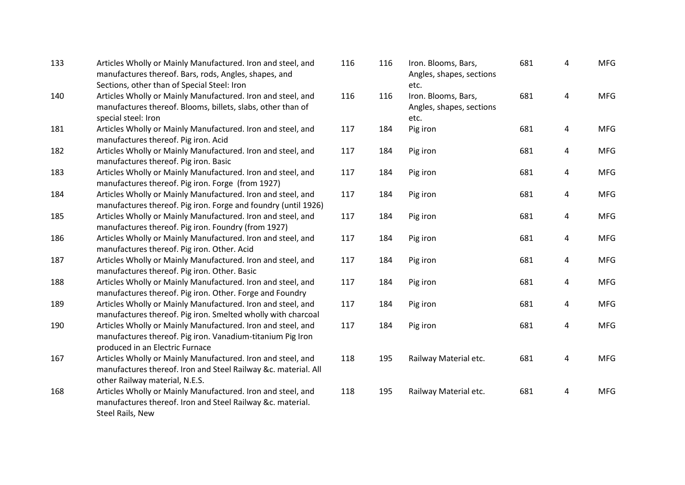| 133 | Articles Wholly or Mainly Manufactured. Iron and steel, and<br>manufactures thereof. Bars, rods, Angles, shapes, and<br>Sections, other than of Special Steel: Iron | 116 | 116 | Iron. Blooms, Bars,<br>Angles, shapes, sections<br>etc. | 681 | 4 | <b>MFG</b> |
|-----|---------------------------------------------------------------------------------------------------------------------------------------------------------------------|-----|-----|---------------------------------------------------------|-----|---|------------|
| 140 | Articles Wholly or Mainly Manufactured. Iron and steel, and<br>manufactures thereof. Blooms, billets, slabs, other than of<br>special steel: Iron                   | 116 | 116 | Iron. Blooms, Bars,<br>Angles, shapes, sections<br>etc. | 681 | 4 | <b>MFG</b> |
| 181 | Articles Wholly or Mainly Manufactured. Iron and steel, and<br>manufactures thereof. Pig iron. Acid                                                                 | 117 | 184 | Pig iron                                                | 681 | 4 | <b>MFG</b> |
| 182 | Articles Wholly or Mainly Manufactured. Iron and steel, and<br>manufactures thereof. Pig iron. Basic                                                                | 117 | 184 | Pig iron                                                | 681 | 4 | <b>MFG</b> |
| 183 | Articles Wholly or Mainly Manufactured. Iron and steel, and<br>manufactures thereof. Pig iron. Forge (from 1927)                                                    | 117 | 184 | Pig iron                                                | 681 | 4 | <b>MFG</b> |
| 184 | Articles Wholly or Mainly Manufactured. Iron and steel, and<br>manufactures thereof. Pig iron. Forge and foundry (until 1926)                                       | 117 | 184 | Pig iron                                                | 681 | 4 | <b>MFG</b> |
| 185 | Articles Wholly or Mainly Manufactured. Iron and steel, and<br>manufactures thereof. Pig iron. Foundry (from 1927)                                                  | 117 | 184 | Pig iron                                                | 681 | 4 | <b>MFG</b> |
| 186 | Articles Wholly or Mainly Manufactured. Iron and steel, and<br>manufactures thereof. Pig iron. Other. Acid                                                          | 117 | 184 | Pig iron                                                | 681 | 4 | <b>MFG</b> |
| 187 | Articles Wholly or Mainly Manufactured. Iron and steel, and<br>manufactures thereof. Pig iron. Other. Basic                                                         | 117 | 184 | Pig iron                                                | 681 | 4 | <b>MFG</b> |
| 188 | Articles Wholly or Mainly Manufactured. Iron and steel, and<br>manufactures thereof. Pig iron. Other. Forge and Foundry                                             | 117 | 184 | Pig iron                                                | 681 | 4 | <b>MFG</b> |
| 189 | Articles Wholly or Mainly Manufactured. Iron and steel, and<br>manufactures thereof. Pig iron. Smelted wholly with charcoal                                         | 117 | 184 | Pig iron                                                | 681 | 4 | <b>MFG</b> |
| 190 | Articles Wholly or Mainly Manufactured. Iron and steel, and<br>manufactures thereof. Pig iron. Vanadium-titanium Pig Iron<br>produced in an Electric Furnace        | 117 | 184 | Pig iron                                                | 681 | 4 | <b>MFG</b> |
| 167 | Articles Wholly or Mainly Manufactured. Iron and steel, and<br>manufactures thereof. Iron and Steel Railway &c. material. All<br>other Railway material, N.E.S.     | 118 | 195 | Railway Material etc.                                   | 681 | 4 | <b>MFG</b> |
| 168 | Articles Wholly or Mainly Manufactured. Iron and steel, and<br>manufactures thereof. Iron and Steel Railway &c. material.<br>Steel Rails, New                       | 118 | 195 | Railway Material etc.                                   | 681 | 4 | <b>MFG</b> |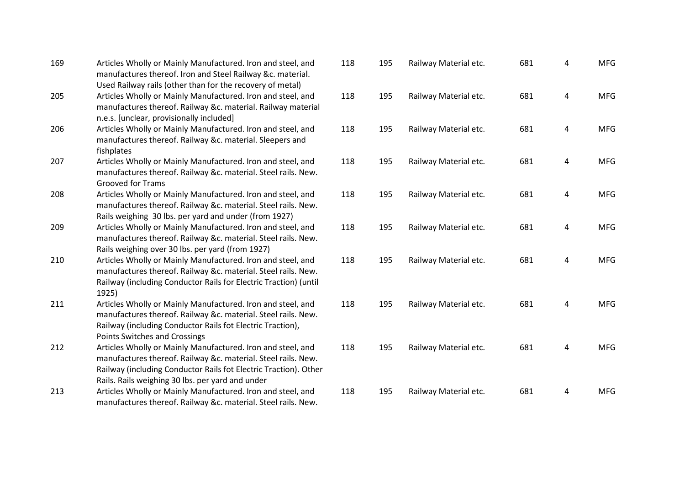| 169 | Articles Wholly or Mainly Manufactured. Iron and steel, and      |  |
|-----|------------------------------------------------------------------|--|
|     | manufactures thereof. Iron and Steel Railway &c. material.       |  |
|     | Used Railway rails (other than for the recovery of metal)        |  |
| 205 | Articles Wholly or Mainly Manufactured. Iron and steel, and      |  |
|     | manufactures thereof. Railway &c. material. Railway material     |  |
|     | n.e.s. [unclear, provisionally included]                         |  |
| 206 | Articles Wholly or Mainly Manufactured. Iron and steel, and      |  |
|     | manufactures thereof. Railway &c. material. Sleepers and         |  |
|     | fishplates                                                       |  |
| 207 | Articles Wholly or Mainly Manufactured. Iron and steel, and      |  |
|     | manufactures thereof. Railway &c. material. Steel rails. New.    |  |
|     | <b>Grooved for Trams</b>                                         |  |
| 208 | Articles Wholly or Mainly Manufactured. Iron and steel, and      |  |
|     | manufactures thereof. Railway &c. material. Steel rails. New.    |  |
|     | Rails weighing 30 lbs. per yard and under (from 1927)            |  |
| 209 | Articles Wholly or Mainly Manufactured. Iron and steel, and      |  |
|     | manufactures thereof. Railway &c. material. Steel rails. New.    |  |
|     | Rails weighing over 30 lbs. per yard (from 1927)                 |  |
| 210 | Articles Wholly or Mainly Manufactured. Iron and steel, and      |  |
|     | manufactures thereof. Railway &c. material. Steel rails. New.    |  |
|     | Railway (including Conductor Rails for Electric Traction) (until |  |
|     | 1925)                                                            |  |
| 211 | Articles Wholly or Mainly Manufactured. Iron and steel, and      |  |
|     | manufactures thereof. Railway &c. material. Steel rails. New.    |  |
|     | Railway (including Conductor Rails fot Electric Traction),       |  |
|     | <b>Points Switches and Crossings</b>                             |  |
| 212 | Articles Wholly or Mainly Manufactured. Iron and steel, and      |  |
|     | manufactures thereof. Railway &c. material. Steel rails. New.    |  |
|     | Railway (including Conductor Rails fot Electric Traction). Other |  |
|     | Rails. Rails weighing 30 lbs. per yard and under                 |  |
| 213 | Articles Wholly or Mainly Manufactured. Iron and steel, and      |  |
|     | manufactures thereof. Railway &c. material. Steel rails. New.    |  |

| 118 | 195 | Railway Material etc. | 681 | 4 | <b>MFG</b> |
|-----|-----|-----------------------|-----|---|------------|
| 118 | 195 | Railway Material etc. | 681 | 4 | <b>MFG</b> |
| 118 | 195 | Railway Material etc. | 681 | 4 | <b>MFG</b> |
| 118 | 195 | Railway Material etc. | 681 | 4 | <b>MFG</b> |
| 118 | 195 | Railway Material etc. | 681 | 4 | <b>MFG</b> |
| 118 | 195 | Railway Material etc. | 681 | 4 | <b>MFG</b> |
| 118 | 195 | Railway Material etc. | 681 | 4 | <b>MFG</b> |
| 118 | 195 | Railway Material etc. | 681 | 4 | <b>MFG</b> |
| 118 | 195 | Railway Material etc. | 681 | 4 | <b>MFG</b> |
| 118 | 195 | Railway Material etc. | 681 | 4 | <b>MFG</b> |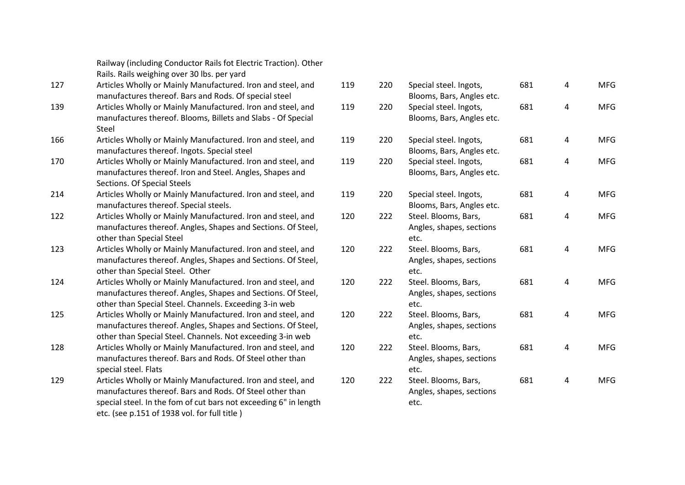| Railway (including Conductor Rails fot Electric Traction). Other |
|------------------------------------------------------------------|
| Rails. Rails weighing over 30 lbs. per yard                      |

- 127 Articles Wholly or Mainly Manufactured. Iron and steel, and manufactures thereof. Bars and Rods. Of special steel
- 139 Articles Wholly or Mainly Manufactured. Iron and steel, and manufactures thereof. Blooms, Billets and Slabs - Of Special Steel
- 166 Articles Wholly or Mainly Manufactured. Iron and steel, and manufactures thereof. Ingots. Special steel
- 170 Articles Wholly or Mainly Manufactured. Iron and steel, and manufactures thereof. Iron and Steel. Angles, Shapes and Sections. Of Special Steels
- 214 Articles Wholly or Mainly Manufactured. Iron and steel, and manufactures thereof. Special steels.
- 122 Articles Wholly or Mainly Manufactured. Iron and steel, and manufactures thereof. Angles, Shapes and Sections. Of Steel, other than Special Steel
- 123 Articles Wholly or Mainly Manufactured. Iron and steel, and manufactures thereof. Angles, Shapes and Sections. Of Steel, other than Special Steel. Other
- 124 Articles Wholly or Mainly Manufactured. Iron and steel, and manufactures thereof. Angles, Shapes and Sections. Of Steel, other than Special Steel. Channels. Exceeding 3 -in web
- 125 Articles Wholly or Mainly Manufactured. Iron and steel, and manufactures thereof. Angles, Shapes and Sections. Of Steel, other than Special Steel. Channels. Not exceeding 3 -in web
- 128 Articles Wholly or Mainly Manufactured. Iron and steel, and manufactures thereof. Bars and Rods. Of Steel other than special steel. Flats
- 129 Articles Wholly or Mainly Manufactured. Iron and steel, and manufactures thereof. Bars and Rods. Of Steel other than special steel. In the fom of cut bars not exceeding 6" in length etc. (see p.151 of 1938 vol. for full title )

| 119 | 220 | Special steel. Ingots,<br>Blooms, Bars, Angles etc.      | 681 | 4 | <b>MFG</b> |
|-----|-----|----------------------------------------------------------|-----|---|------------|
| 119 | 220 | Special steel. Ingots,<br>Blooms, Bars, Angles etc.      | 681 | 4 | <b>MFG</b> |
| 119 | 220 | Special steel. Ingots,<br>Blooms, Bars, Angles etc.      | 681 | 4 | <b>MFG</b> |
| 119 | 220 | Special steel. Ingots,<br>Blooms, Bars, Angles etc.      | 681 | 4 | <b>MFG</b> |
| 119 | 220 | Special steel. Ingots,<br>Blooms, Bars, Angles etc.      | 681 | 4 | <b>MFG</b> |
| 120 | 222 | Steel. Blooms, Bars,<br>Angles, shapes, sections<br>etc. | 681 | 4 | <b>MFG</b> |
| 120 | 222 | Steel. Blooms, Bars,<br>Angles, shapes, sections<br>etc. | 681 | 4 | <b>MFG</b> |
| 120 | 222 | Steel. Blooms, Bars,<br>Angles, shapes, sections<br>etc. | 681 | 4 | <b>MFG</b> |
| 120 | 222 | Steel. Blooms, Bars,<br>Angles, shapes, sections<br>etc. | 681 | 4 | <b>MFG</b> |
| 120 | 222 | Steel. Blooms, Bars,<br>Angles, shapes, sections<br>etc. | 681 | 4 | <b>MFG</b> |
| 120 | 222 | Steel. Blooms, Bars,<br>Angles, shapes, sections<br>etc. | 681 | 4 | <b>MFG</b> |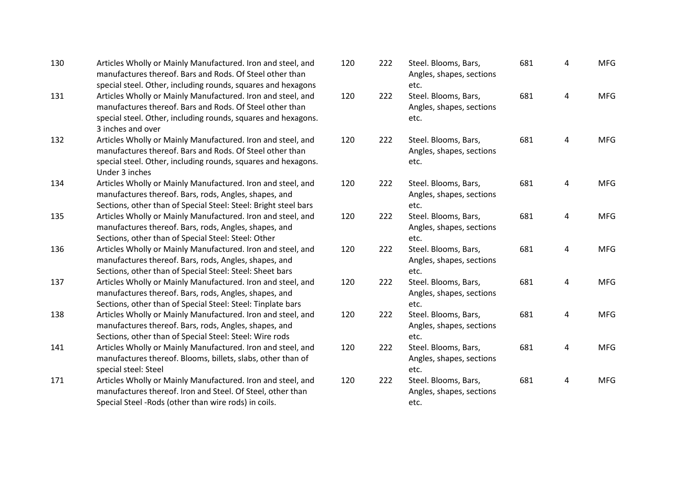| 130 | Articles Wholly or Mainly Manufactured. Iron and steel, and<br>manufactures thereof. Bars and Rods. Of Steel other than<br>special steel. Other, including rounds, squares and hexagons                       | 120 | 222 | Steel. Blooms, Bars,<br>Angles, shapes, sections<br>etc. | 681 | 4 |
|-----|---------------------------------------------------------------------------------------------------------------------------------------------------------------------------------------------------------------|-----|-----|----------------------------------------------------------|-----|---|
| 131 | Articles Wholly or Mainly Manufactured. Iron and steel, and<br>manufactures thereof. Bars and Rods. Of Steel other than<br>special steel. Other, including rounds, squares and hexagons.<br>3 inches and over | 120 | 222 | Steel. Blooms, Bars,<br>Angles, shapes, sections<br>etc. | 681 | 4 |
| 132 | Articles Wholly or Mainly Manufactured. Iron and steel, and<br>manufactures thereof. Bars and Rods. Of Steel other than<br>special steel. Other, including rounds, squares and hexagons.<br>Under 3 inches    | 120 | 222 | Steel. Blooms, Bars,<br>Angles, shapes, sections<br>etc. | 681 | 4 |
| 134 | Articles Wholly or Mainly Manufactured. Iron and steel, and<br>manufactures thereof. Bars, rods, Angles, shapes, and<br>Sections, other than of Special Steel: Steel: Bright steel bars                       | 120 | 222 | Steel. Blooms, Bars,<br>Angles, shapes, sections<br>etc. | 681 | 4 |
| 135 | Articles Wholly or Mainly Manufactured. Iron and steel, and<br>manufactures thereof. Bars, rods, Angles, shapes, and<br>Sections, other than of Special Steel: Steel: Other                                   | 120 | 222 | Steel. Blooms, Bars,<br>Angles, shapes, sections<br>etc. | 681 | 4 |
| 136 | Articles Wholly or Mainly Manufactured. Iron and steel, and<br>manufactures thereof. Bars, rods, Angles, shapes, and<br>Sections, other than of Special Steel: Steel: Sheet bars                              | 120 | 222 | Steel. Blooms, Bars,<br>Angles, shapes, sections<br>etc. | 681 | 4 |
| 137 | Articles Wholly or Mainly Manufactured. Iron and steel, and<br>manufactures thereof. Bars, rods, Angles, shapes, and<br>Sections, other than of Special Steel: Steel: Tinplate bars                           | 120 | 222 | Steel. Blooms, Bars,<br>Angles, shapes, sections<br>etc. | 681 | 4 |
| 138 | Articles Wholly or Mainly Manufactured. Iron and steel, and<br>manufactures thereof. Bars, rods, Angles, shapes, and<br>Sections, other than of Special Steel: Steel: Wire rods                               | 120 | 222 | Steel. Blooms, Bars,<br>Angles, shapes, sections<br>etc. | 681 | 4 |
| 141 | Articles Wholly or Mainly Manufactured. Iron and steel, and<br>manufactures thereof. Blooms, billets, slabs, other than of<br>special steel: Steel                                                            | 120 | 222 | Steel. Blooms, Bars,<br>Angles, shapes, sections<br>etc. | 681 | 4 |
| 171 | Articles Wholly or Mainly Manufactured. Iron and steel, and<br>manufactures thereof. Iron and Steel. Of Steel, other than<br>Special Steel - Rods (other than wire rods) in coils.                            | 120 | 222 | Steel. Blooms, Bars,<br>Angles, shapes, sections<br>etc. | 681 | 4 |
|     |                                                                                                                                                                                                               |     |     |                                                          |     |   |

MFG

MFG

MFG

MFG

MFG

MFG

MFG

MFG

MFG

MFG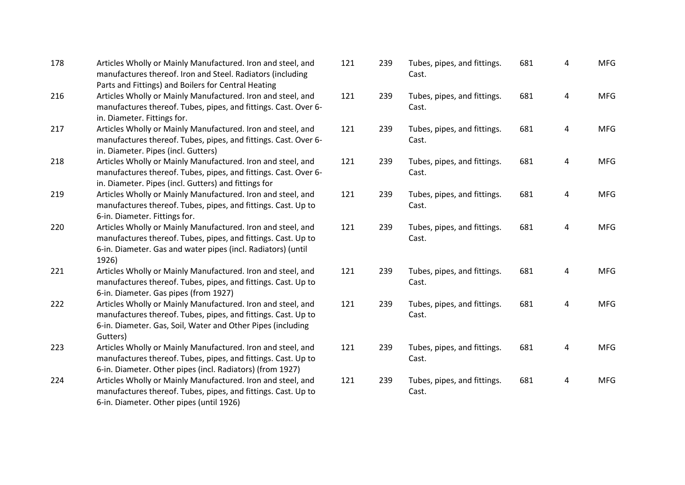| 178 | Articles Wholly or Mainly Manufactured. Iron and steel, and<br>manufactures thereof. Iron and Steel. Radiators (including<br>Parts and Fittings) and Boilers for Central Heating                        | 12 <sub>2</sub> |
|-----|---------------------------------------------------------------------------------------------------------------------------------------------------------------------------------------------------------|-----------------|
| 216 | Articles Wholly or Mainly Manufactured. Iron and steel, and<br>manufactures thereof. Tubes, pipes, and fittings. Cast. Over 6-<br>in. Diameter. Fittings for.                                           | 12 <sub>1</sub> |
| 217 | Articles Wholly or Mainly Manufactured. Iron and steel, and<br>manufactures thereof. Tubes, pipes, and fittings. Cast. Over 6-<br>in. Diameter. Pipes (incl. Gutters)                                   | 12 <sup>2</sup> |
| 218 | Articles Wholly or Mainly Manufactured. Iron and steel, and<br>manufactures thereof. Tubes, pipes, and fittings. Cast. Over 6-<br>in. Diameter. Pipes (incl. Gutters) and fittings for                  | 12 <sup>2</sup> |
| 219 | Articles Wholly or Mainly Manufactured. Iron and steel, and<br>manufactures thereof. Tubes, pipes, and fittings. Cast. Up to<br>6-in. Diameter. Fittings for.                                           | 12 <sub>2</sub> |
| 220 | Articles Wholly or Mainly Manufactured. Iron and steel, and<br>manufactures thereof. Tubes, pipes, and fittings. Cast. Up to<br>6-in. Diameter. Gas and water pipes (incl. Radiators) (until<br>1926)   | 12 <sub>2</sub> |
| 221 | Articles Wholly or Mainly Manufactured. Iron and steel, and<br>manufactures thereof. Tubes, pipes, and fittings. Cast. Up to<br>6-in. Diameter. Gas pipes (from 1927)                                   | 12 <sup>2</sup> |
| 222 | Articles Wholly or Mainly Manufactured. Iron and steel, and<br>manufactures thereof. Tubes, pipes, and fittings. Cast. Up to<br>6-in. Diameter. Gas, Soil, Water and Other Pipes (including<br>Gutters) | 12 <sub>2</sub> |
| 223 | Articles Wholly or Mainly Manufactured. Iron and steel, and<br>manufactures thereof. Tubes, pipes, and fittings. Cast. Up to<br>6-in. Diameter. Other pipes (incl. Radiators) (from 1927)               | 12 <sub>2</sub> |
| 224 | Articles Wholly or Mainly Manufactured. Iron and steel, and<br>manufactures thereof. Tubes, pipes, and fittings. Cast. Up to<br>6-in. Diameter. Other pipes (until 1926)                                | 12 <sup>2</sup> |
|     |                                                                                                                                                                                                         |                 |

| 121 | 239 | Tubes, pipes, and fittings.<br>Cast. | 681 | 4              | <b>MFG</b> |
|-----|-----|--------------------------------------|-----|----------------|------------|
| 121 | 239 | Tubes, pipes, and fittings.<br>Cast. | 681 | 4              | <b>MFG</b> |
| 121 | 239 | Tubes, pipes, and fittings.<br>Cast. | 681 | 4              | <b>MFG</b> |
| 121 | 239 | Tubes, pipes, and fittings.<br>Cast. | 681 | $\overline{4}$ | <b>MFG</b> |
| 121 | 239 | Tubes, pipes, and fittings.<br>Cast. | 681 | 4              | <b>MFG</b> |
| 121 | 239 | Tubes, pipes, and fittings.<br>Cast. | 681 | 4              | <b>MFG</b> |
| 121 | 239 | Tubes, pipes, and fittings.<br>Cast. | 681 | 4              | <b>MFG</b> |
| 121 | 239 | Tubes, pipes, and fittings.<br>Cast. | 681 | 4              | <b>MFG</b> |
| 121 | 239 | Tubes, pipes, and fittings.<br>Cast. | 681 | 4              | <b>MFG</b> |
| 121 | 239 | Tubes, pipes, and fittings.<br>Cast. | 681 | 4              | <b>MFG</b> |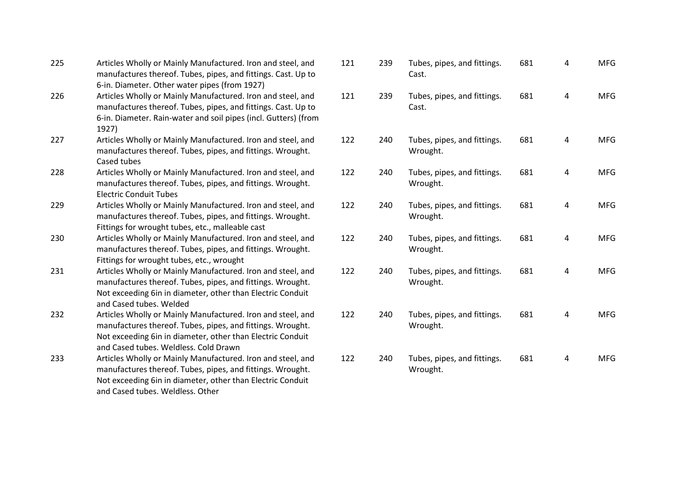| 225 | Articles Wholly or Mainly Manufactured. Iron and steel, and<br>manufactures thereof. Tubes, pipes, and fittings. Cast. Up to<br>6-in. Diameter. Other water pipes (from 1927)                                                    | 121 |
|-----|----------------------------------------------------------------------------------------------------------------------------------------------------------------------------------------------------------------------------------|-----|
| 226 | Articles Wholly or Mainly Manufactured. Iron and steel, and<br>manufactures thereof. Tubes, pipes, and fittings. Cast. Up to<br>6-in. Diameter. Rain-water and soil pipes (incl. Gutters) (from<br>1927)                         | 121 |
| 227 | Articles Wholly or Mainly Manufactured. Iron and steel, and<br>manufactures thereof. Tubes, pipes, and fittings. Wrought.<br>Cased tubes                                                                                         | 122 |
| 228 | Articles Wholly or Mainly Manufactured. Iron and steel, and<br>manufactures thereof. Tubes, pipes, and fittings. Wrought.<br><b>Electric Conduit Tubes</b>                                                                       | 122 |
| 229 | Articles Wholly or Mainly Manufactured. Iron and steel, and<br>manufactures thereof. Tubes, pipes, and fittings. Wrought.<br>Fittings for wrought tubes, etc., malleable cast                                                    | 122 |
| 230 | Articles Wholly or Mainly Manufactured. Iron and steel, and<br>manufactures thereof. Tubes, pipes, and fittings. Wrought.<br>Fittings for wrought tubes, etc., wrought                                                           | 122 |
| 231 | Articles Wholly or Mainly Manufactured. Iron and steel, and<br>manufactures thereof. Tubes, pipes, and fittings. Wrought.<br>Not exceeding 6in in diameter, other than Electric Conduit<br>and Cased tubes. Welded               | 122 |
| 232 | Articles Wholly or Mainly Manufactured. Iron and steel, and<br>manufactures thereof. Tubes, pipes, and fittings. Wrought.<br>Not exceeding 6in in diameter, other than Electric Conduit<br>and Cased tubes. Weldless, Cold Drawn | 122 |
| 233 | Articles Wholly or Mainly Manufactured. Iron and steel, and<br>manufactures thereof. Tubes, pipes, and fittings. Wrought.<br>Not exceeding 6in in diameter, other than Electric Conduit<br>and Cased tubes. Weldless. Other      | 122 |

| 121 | 239 | Tubes, pipes, and fittings.<br>Cast.    | 681 | 4 | <b>MFG</b> |
|-----|-----|-----------------------------------------|-----|---|------------|
| 121 | 239 | Tubes, pipes, and fittings.<br>Cast.    | 681 | 4 | <b>MFG</b> |
| 122 | 240 | Tubes, pipes, and fittings.<br>Wrought. | 681 | 4 | <b>MFG</b> |
| 122 | 240 | Tubes, pipes, and fittings.<br>Wrought. | 681 | 4 | <b>MFG</b> |
| 122 | 240 | Tubes, pipes, and fittings.<br>Wrought. | 681 | 4 | <b>MFG</b> |
| 122 | 240 | Tubes, pipes, and fittings.<br>Wrought. | 681 | 4 | <b>MFG</b> |
| 122 | 240 | Tubes, pipes, and fittings.<br>Wrought. | 681 | 4 | <b>MFG</b> |
| 122 | 240 | Tubes, pipes, and fittings.<br>Wrought. | 681 | 4 | <b>MFG</b> |
| 122 | 240 | Tubes, pipes, and fittings.<br>Wrought. | 681 | 4 | <b>MFG</b> |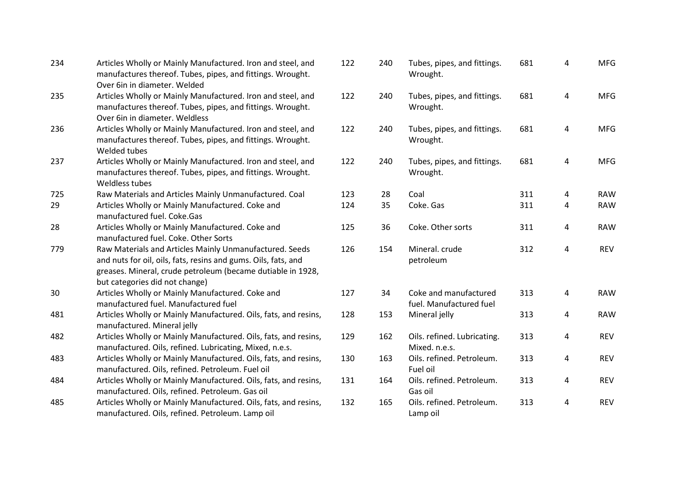| 234 | Articles Wholly or Mainly Manufactured. Iron and steel, and<br>manufactures thereof. Tubes, pipes, and fittings. Wrought.                                                                                                  | 122 | 240 | Tubes, pipes, and fittings.<br>Wrought.          | 681 | 4 | <b>MFG</b> |
|-----|----------------------------------------------------------------------------------------------------------------------------------------------------------------------------------------------------------------------------|-----|-----|--------------------------------------------------|-----|---|------------|
| 235 | Over 6in in diameter. Welded<br>Articles Wholly or Mainly Manufactured. Iron and steel, and<br>manufactures thereof. Tubes, pipes, and fittings. Wrought.                                                                  | 122 | 240 | Tubes, pipes, and fittings.<br>Wrought.          | 681 | 4 | <b>MFG</b> |
| 236 | Over 6in in diameter. Weldless<br>Articles Wholly or Mainly Manufactured. Iron and steel, and<br>manufactures thereof. Tubes, pipes, and fittings. Wrought.<br>Welded tubes                                                | 122 | 240 | Tubes, pipes, and fittings.<br>Wrought.          | 681 | 4 | <b>MFG</b> |
| 237 | Articles Wholly or Mainly Manufactured. Iron and steel, and<br>manufactures thereof. Tubes, pipes, and fittings. Wrought.<br>Weldless tubes                                                                                | 122 | 240 | Tubes, pipes, and fittings.<br>Wrought.          | 681 | 4 | <b>MFG</b> |
| 725 | Raw Materials and Articles Mainly Unmanufactured. Coal                                                                                                                                                                     | 123 | 28  | Coal                                             | 311 | 4 | <b>RAW</b> |
| 29  | Articles Wholly or Mainly Manufactured. Coke and<br>manufactured fuel. Coke.Gas                                                                                                                                            | 124 | 35  | Coke. Gas                                        | 311 | 4 | <b>RAW</b> |
| 28  | Articles Wholly or Mainly Manufactured. Coke and<br>manufactured fuel. Coke. Other Sorts                                                                                                                                   | 125 | 36  | Coke. Other sorts                                | 311 | 4 | <b>RAW</b> |
| 779 | Raw Materials and Articles Mainly Unmanufactured. Seeds<br>and nuts for oil, oils, fats, resins and gums. Oils, fats, and<br>greases. Mineral, crude petroleum (became dutiable in 1928,<br>but categories did not change) | 126 | 154 | Mineral, crude<br>petroleum                      | 312 | 4 | <b>REV</b> |
| 30  | Articles Wholly or Mainly Manufactured. Coke and<br>manufactured fuel. Manufactured fuel                                                                                                                                   | 127 | 34  | Coke and manufactured<br>fuel. Manufactured fuel | 313 | 4 | <b>RAW</b> |
| 481 | Articles Wholly or Mainly Manufactured. Oils, fats, and resins,<br>manufactured. Mineral jelly                                                                                                                             | 128 | 153 | Mineral jelly                                    | 313 | 4 | <b>RAW</b> |
| 482 | Articles Wholly or Mainly Manufactured. Oils, fats, and resins,<br>manufactured. Oils, refined. Lubricating, Mixed, n.e.s.                                                                                                 | 129 | 162 | Oils. refined. Lubricating.<br>Mixed. n.e.s.     | 313 | 4 | <b>REV</b> |
| 483 | Articles Wholly or Mainly Manufactured. Oils, fats, and resins,<br>manufactured. Oils, refined. Petroleum. Fuel oil                                                                                                        | 130 | 163 | Oils. refined. Petroleum.<br>Fuel oil            | 313 | 4 | <b>REV</b> |
| 484 | Articles Wholly or Mainly Manufactured. Oils, fats, and resins,<br>manufactured. Oils, refined. Petroleum. Gas oil                                                                                                         | 131 | 164 | Oils. refined. Petroleum.<br>Gas oil             | 313 | 4 | <b>REV</b> |
| 485 | Articles Wholly or Mainly Manufactured. Oils, fats, and resins,<br>manufactured. Oils, refined. Petroleum. Lamp oil                                                                                                        | 132 | 165 | Oils. refined. Petroleum.<br>Lamp oil            | 313 | 4 | <b>REV</b> |

| 122 | 240 | Tubes, pipes, and fittings.<br>Wrought.          | 681 | 4 | <b>MFG</b> |
|-----|-----|--------------------------------------------------|-----|---|------------|
| 122 | 240 | Tubes, pipes, and fittings.<br>Wrought.          | 681 | 4 | <b>MFG</b> |
| 122 | 240 | Tubes, pipes, and fittings.<br>Wrought.          | 681 | 4 | <b>MFG</b> |
| 122 | 240 | Tubes, pipes, and fittings.<br>Wrought.          | 681 | 4 | <b>MFG</b> |
| 123 | 28  | Coal                                             | 311 | 4 | <b>RAW</b> |
| 124 | 35  | Coke. Gas                                        | 311 | 4 | <b>RAW</b> |
| 125 | 36  | Coke. Other sorts                                | 311 | 4 | <b>RAW</b> |
| 126 | 154 | Mineral. crude<br>petroleum                      | 312 | 4 | <b>REV</b> |
| 127 | 34  | Coke and manufactured<br>fuel. Manufactured fuel | 313 | 4 | <b>RAW</b> |
| 128 | 153 | Mineral jelly                                    | 313 | 4 | <b>RAW</b> |
| 129 | 162 | Oils. refined. Lubricating.<br>Mixed. n.e.s.     | 313 | 4 | <b>REV</b> |
| 130 | 163 | Oils. refined. Petroleum.<br>Fuel oil            | 313 | 4 | <b>REV</b> |
| 131 | 164 | Oils. refined. Petroleum.<br>Gas oil             | 313 | 4 | <b>REV</b> |
| 132 | 165 | Oils. refined. Petroleum.<br>Lamp oil            | 313 | 4 | <b>REV</b> |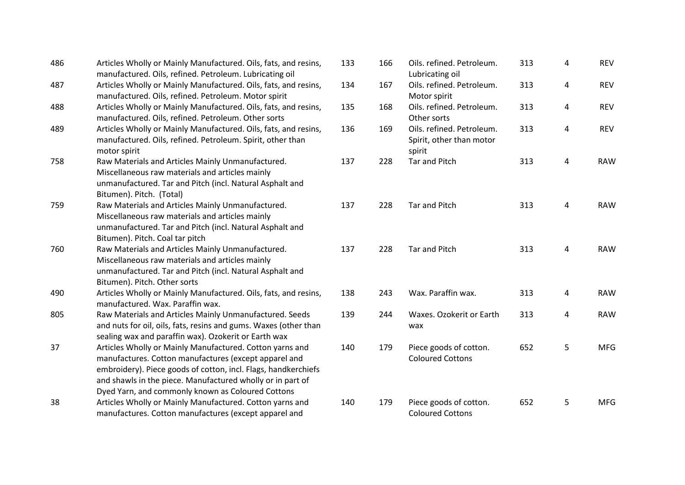| 486 | Articles Wholly or Mainly Manufactured. Oils, fats, and resins,<br>manufactured. Oils, refined. Petroleum. Lubricating oil                                                                                                                                                                             | 133 | 166 | Oils. refined. Petroleum.<br>Lubricating oil                    | 313 | 4              | <b>REV</b> |
|-----|--------------------------------------------------------------------------------------------------------------------------------------------------------------------------------------------------------------------------------------------------------------------------------------------------------|-----|-----|-----------------------------------------------------------------|-----|----------------|------------|
| 487 | Articles Wholly or Mainly Manufactured. Oils, fats, and resins,<br>manufactured. Oils, refined. Petroleum. Motor spirit                                                                                                                                                                                | 134 | 167 | Oils. refined. Petroleum.<br>Motor spirit                       | 313 | 4              | <b>REV</b> |
| 488 | Articles Wholly or Mainly Manufactured. Oils, fats, and resins,<br>manufactured. Oils, refined. Petroleum. Other sorts                                                                                                                                                                                 | 135 | 168 | Oils. refined. Petroleum.<br>Other sorts                        | 313 | 4              | <b>REV</b> |
| 489 | Articles Wholly or Mainly Manufactured. Oils, fats, and resins,<br>manufactured. Oils, refined. Petroleum. Spirit, other than<br>motor spirit                                                                                                                                                          | 136 | 169 | Oils. refined. Petroleum.<br>Spirit, other than motor<br>spirit | 313 | $\overline{4}$ | <b>REV</b> |
| 758 | Raw Materials and Articles Mainly Unmanufactured.<br>Miscellaneous raw materials and articles mainly<br>unmanufactured. Tar and Pitch (incl. Natural Asphalt and<br>Bitumen). Pitch. (Total)                                                                                                           | 137 | 228 | <b>Tar and Pitch</b>                                            | 313 | 4              | <b>RAW</b> |
| 759 | Raw Materials and Articles Mainly Unmanufactured.<br>Miscellaneous raw materials and articles mainly<br>unmanufactured. Tar and Pitch (incl. Natural Asphalt and<br>Bitumen). Pitch. Coal tar pitch                                                                                                    | 137 | 228 | <b>Tar and Pitch</b>                                            | 313 | $\overline{4}$ | <b>RAW</b> |
| 760 | Raw Materials and Articles Mainly Unmanufactured.<br>Miscellaneous raw materials and articles mainly<br>unmanufactured. Tar and Pitch (incl. Natural Asphalt and<br>Bitumen). Pitch. Other sorts                                                                                                       | 137 | 228 | <b>Tar and Pitch</b>                                            | 313 | 4              | <b>RAW</b> |
| 490 | Articles Wholly or Mainly Manufactured. Oils, fats, and resins,<br>manufactured. Wax. Paraffin wax.                                                                                                                                                                                                    | 138 | 243 | Wax. Paraffin wax.                                              | 313 | 4              | <b>RAW</b> |
| 805 | Raw Materials and Articles Mainly Unmanufactured. Seeds<br>and nuts for oil, oils, fats, resins and gums. Waxes (other than<br>sealing wax and paraffin wax). Ozokerit or Earth wax                                                                                                                    | 139 | 244 | Waxes. Ozokerit or Earth<br>wax                                 | 313 | 4              | <b>RAW</b> |
| 37  | Articles Wholly or Mainly Manufactured. Cotton yarns and<br>manufactures. Cotton manufactures (except apparel and<br>embroidery). Piece goods of cotton, incl. Flags, handkerchiefs<br>and shawls in the piece. Manufactured wholly or in part of<br>Dyed Yarn, and commonly known as Coloured Cottons | 140 | 179 | Piece goods of cotton.<br><b>Coloured Cottons</b>               | 652 | 5              | <b>MFG</b> |
| 38  | Articles Wholly or Mainly Manufactured. Cotton yarns and<br>manufactures. Cotton manufactures (except apparel and                                                                                                                                                                                      | 140 | 179 | Piece goods of cotton.<br><b>Coloured Cottons</b>               | 652 | 5              | <b>MFG</b> |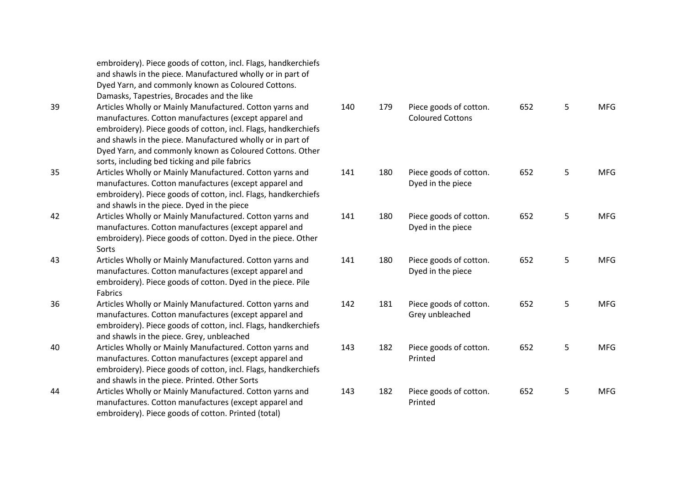|    | embroidery). Piece goods of cotton, incl. Flags, handkerchiefs<br>and shawls in the piece. Manufactured wholly or in part of<br>Dyed Yarn, and commonly known as Coloured Cottons.<br>Damasks, Tapestries, Brocades and the like                                                                                                                               |     |     |                                                   |
|----|----------------------------------------------------------------------------------------------------------------------------------------------------------------------------------------------------------------------------------------------------------------------------------------------------------------------------------------------------------------|-----|-----|---------------------------------------------------|
| 39 | Articles Wholly or Mainly Manufactured. Cotton yarns and<br>manufactures. Cotton manufactures (except apparel and<br>embroidery). Piece goods of cotton, incl. Flags, handkerchiefs<br>and shawls in the piece. Manufactured wholly or in part of<br>Dyed Yarn, and commonly known as Coloured Cottons. Other<br>sorts, including bed ticking and pile fabrics | 140 | 179 | Piece goods of cotton.<br><b>Coloured Cottons</b> |
| 35 | Articles Wholly or Mainly Manufactured. Cotton yarns and<br>manufactures. Cotton manufactures (except apparel and<br>embroidery). Piece goods of cotton, incl. Flags, handkerchiefs<br>and shawls in the piece. Dyed in the piece                                                                                                                              | 141 | 180 | Piece goods of cotton.<br>Dyed in the piece       |
| 42 | Articles Wholly or Mainly Manufactured. Cotton yarns and<br>manufactures. Cotton manufactures (except apparel and<br>embroidery). Piece goods of cotton. Dyed in the piece. Other<br>Sorts                                                                                                                                                                     | 141 | 180 | Piece goods of cotton.<br>Dyed in the piece       |
| 43 | Articles Wholly or Mainly Manufactured. Cotton yarns and<br>manufactures. Cotton manufactures (except apparel and<br>embroidery). Piece goods of cotton. Dyed in the piece. Pile<br>Fabrics                                                                                                                                                                    | 141 | 180 | Piece goods of cotton.<br>Dyed in the piece       |
| 36 | Articles Wholly or Mainly Manufactured. Cotton yarns and<br>manufactures. Cotton manufactures (except apparel and<br>embroidery). Piece goods of cotton, incl. Flags, handkerchiefs<br>and shawls in the piece. Grey, unbleached                                                                                                                               | 142 | 181 | Piece goods of cotton.<br>Grey unbleached         |
| 40 | Articles Wholly or Mainly Manufactured. Cotton yarns and<br>manufactures. Cotton manufactures (except apparel and<br>embroidery). Piece goods of cotton, incl. Flags, handkerchiefs<br>and shawls in the piece. Printed. Other Sorts                                                                                                                           | 143 | 182 | Piece goods of cotton.<br>Printed                 |
| 44 | Articles Wholly or Mainly Manufactured. Cotton yarns and<br>manufactures. Cotton manufactures (except apparel and<br>embroidery). Piece goods of cotton. Printed (total)                                                                                                                                                                                       | 143 | 182 | Piece goods of cotton.<br>Printed                 |

| 140 | 179 | Piece goods of cotton.<br><b>Coloured Cottons</b> | 652 | 5 | <b>MFG</b> |
|-----|-----|---------------------------------------------------|-----|---|------------|
| 141 | 180 | Piece goods of cotton.<br>Dyed in the piece       | 652 | 5 | <b>MFG</b> |
| 141 | 180 | Piece goods of cotton.<br>Dyed in the piece       | 652 | 5 | <b>MFG</b> |
| 141 | 180 | Piece goods of cotton.<br>Dyed in the piece       | 652 | 5 | <b>MFG</b> |
| 142 | 181 | Piece goods of cotton.<br>Grey unbleached         | 652 | 5 | <b>MFG</b> |
| 143 | 182 | Piece goods of cotton.<br>Printed                 | 652 | 5 | <b>MFG</b> |
| 143 | 182 | Piece goods of cotton.<br>n 200 - 10              | 652 | 5 | <b>MFG</b> |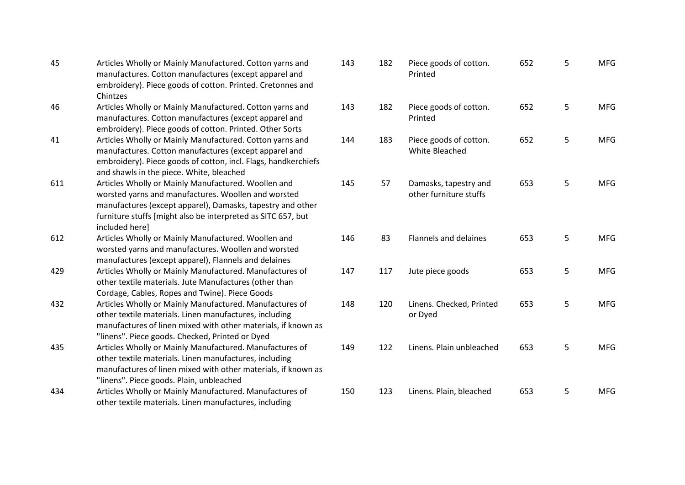| 45  | Articles Wholly or Mainly Manufactured. Cotton yarns and<br>manufactures. Cotton manufactures (except apparel and<br>embroidery). Piece goods of cotton. Printed. Cretonnes and | 143 |
|-----|---------------------------------------------------------------------------------------------------------------------------------------------------------------------------------|-----|
|     | Chintzes                                                                                                                                                                        |     |
| 46  | Articles Wholly or Mainly Manufactured. Cotton yarns and                                                                                                                        | 143 |
|     | manufactures. Cotton manufactures (except apparel and                                                                                                                           |     |
|     | embroidery). Piece goods of cotton. Printed. Other Sorts                                                                                                                        |     |
| 41  | Articles Wholly or Mainly Manufactured. Cotton yarns and                                                                                                                        | 144 |
|     | manufactures. Cotton manufactures (except apparel and                                                                                                                           |     |
|     | embroidery). Piece goods of cotton, incl. Flags, handkerchiefs                                                                                                                  |     |
|     | and shawls in the piece. White, bleached                                                                                                                                        |     |
| 611 | Articles Wholly or Mainly Manufactured. Woollen and                                                                                                                             | 145 |
|     | worsted yarns and manufactures. Woollen and worsted                                                                                                                             |     |
|     | manufactures (except apparel), Damasks, tapestry and other                                                                                                                      |     |
|     | furniture stuffs [might also be interpreted as SITC 657, but                                                                                                                    |     |
|     | included here]                                                                                                                                                                  |     |
| 612 | Articles Wholly or Mainly Manufactured. Woollen and                                                                                                                             | 146 |
|     | worsted yarns and manufactures. Woollen and worsted                                                                                                                             |     |
|     | manufactures (except apparel), Flannels and delaines                                                                                                                            |     |
| 429 | Articles Wholly or Mainly Manufactured. Manufactures of                                                                                                                         | 147 |
|     | other textile materials. Jute Manufactures (other than                                                                                                                          |     |
|     | Cordage, Cables, Ropes and Twine). Piece Goods                                                                                                                                  |     |
| 432 | Articles Wholly or Mainly Manufactured. Manufactures of                                                                                                                         | 148 |
|     | other textile materials. Linen manufactures, including                                                                                                                          |     |
|     | manufactures of linen mixed with other materials, if known as                                                                                                                   |     |
|     | "linens". Piece goods. Checked, Printed or Dyed                                                                                                                                 |     |
| 435 | Articles Wholly or Mainly Manufactured. Manufactures of                                                                                                                         | 149 |
|     | other textile materials. Linen manufactures, including                                                                                                                          |     |
|     | manufactures of linen mixed with other materials, if known as                                                                                                                   |     |
| 434 | "linens". Piece goods. Plain, unbleached<br>Articles Wholly or Mainly Manufactured. Manufactures of                                                                             | 150 |
|     |                                                                                                                                                                                 |     |
|     | other textile materials. Linen manufactures, including                                                                                                                          |     |

| 143 | 182 | Piece goods of cotton.<br>Printed               | 652 | 5 | <b>MFG</b> |
|-----|-----|-------------------------------------------------|-----|---|------------|
| 143 | 182 | Piece goods of cotton.<br>Printed               | 652 | 5 | <b>MFG</b> |
| 144 | 183 | Piece goods of cotton.<br>White Bleached        | 652 | 5 | <b>MFG</b> |
| 145 | 57  | Damasks, tapestry and<br>other furniture stuffs | 653 | 5 | <b>MFG</b> |
| 146 | 83  | <b>Flannels and delaines</b>                    | 653 | 5 | <b>MFG</b> |
| 147 | 117 | Jute piece goods                                | 653 | 5 | <b>MFG</b> |
| 148 | 120 | Linens. Checked, Printed<br>or Dyed             | 653 | 5 | <b>MFG</b> |
| 149 | 122 | Linens. Plain unbleached                        | 653 | 5 | <b>MFG</b> |
| 150 | 123 | Linens. Plain, bleached                         | 653 | 5 | <b>MFG</b> |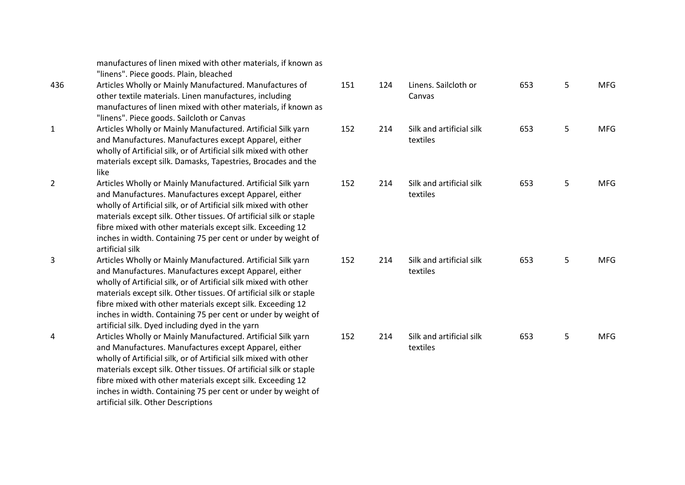manufactures of linen mixed with other materials, if known as "linens". Piece goods. Plain, bleached

- 436 Articles Wholly or Mainly Manufactured. Manufactures of other textile materials. Linen manufactures, including manufactures of linen mixed with other materials, if known as "linens". Piece goods. Sailcloth or Canvas
- 1 Articles Wholly or Mainly Manufactured. Artificial Silk yarn and Manufactures. Manufactures except Apparel, either wholly of Artificial silk, or of Artificial silk mixed with other materials except silk. Damasks, Tapestries, Brocades and the like
- 2 Articles Wholly or Mainly Manufactured. Artificial Silk yarn and Manufactures. Manufactures except Apparel, either wholly of Artificial silk, or of Artificial silk mixed with other materials except silk. Other tissues. Of artificial silk or staple fibre mixed with other materials except silk. Exceeding 12 inches in width. Containing 75 per cent or under by weight of artificial silk
- 3 Articles Wholly or Mainly Manufactured. Artificial Silk yarn and Manufactures. Manufactures except Apparel, either wholly of Artificial silk, or of Artificial silk mixed with other materials except silk. Other tissues. Of artificial silk or staple fibre mixed with other materials except silk. Exceeding 12 inches in width. Containing 75 per cent or under by weight of artificial silk. Dyed including dyed in the yarn 4 Articles Wholly or Mainly Manufactured. Artificial Silk yarn and Manufactures. Manufactures except Apparel, either wholly of Artificial silk, or of Artificial silk mixed with other

materials except silk. Other tissues. Of artificial silk or staple fibre mixed with other materials except silk. Exceeding 12 inches in width. Containing 75 per cent or under by weight of artificial silk. Other Descriptions

| 151 | 124 | Linens. Sailcloth or<br>Canvas       | 653 | 5 | <b>MFG</b> |
|-----|-----|--------------------------------------|-----|---|------------|
| 152 | 214 | Silk and artificial silk<br>textiles | 653 | 5 | <b>MFG</b> |
| 152 | 214 | Silk and artificial silk<br>textiles | 653 | 5 | <b>MFG</b> |
| 152 | 214 | Silk and artificial silk<br>textiles | 653 | 5 | <b>MFG</b> |
| 152 | 214 | Silk and artificial silk<br>textiles | 653 | 5 | <b>MFG</b> |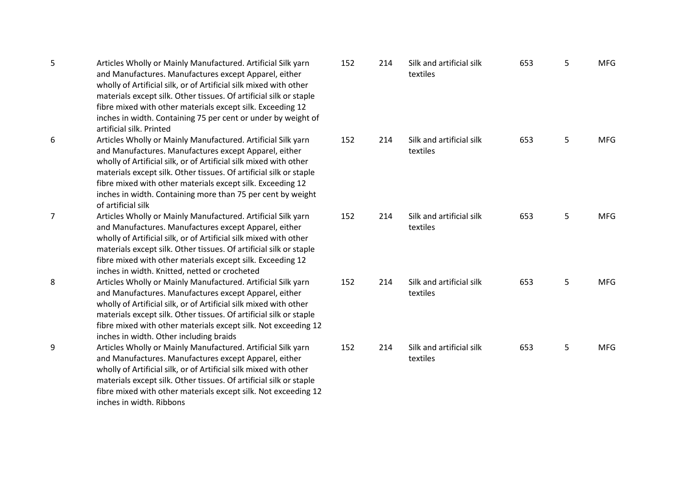| Articles Wholly or Mainly Manufactured. Artificial Silk yarn<br>152<br>214<br>Silk and artificial silk<br>6<br>and Manufactures. Manufactures except Apparel, either<br>textiles<br>wholly of Artificial silk, or of Artificial silk mixed with other<br>materials except silk. Other tissues. Of artificial silk or staple<br>fibre mixed with other materials except silk. Exceeding 12<br>inches in width. Containing more than 75 per cent by weight<br>of artificial silk<br>7<br>Articles Wholly or Mainly Manufactured. Artificial Silk yarn<br>152<br>214<br>Silk and artificial silk<br>and Manufactures. Manufactures except Apparel, either<br>textiles<br>wholly of Artificial silk, or of Artificial silk mixed with other<br>materials except silk. Other tissues. Of artificial silk or staple<br>fibre mixed with other materials except silk. Exceeding 12<br>inches in width. Knitted, netted or crocheted<br>8<br>Articles Wholly or Mainly Manufactured. Artificial Silk yarn<br>214<br>Silk and artificial silk<br>152<br>and Manufactures. Manufactures except Apparel, either<br>textiles<br>wholly of Artificial silk, or of Artificial silk mixed with other<br>materials except silk. Other tissues. Of artificial silk or staple<br>fibre mixed with other materials except silk. Not exceeding 12<br>inches in width. Other including braids<br>9<br>Silk and artificial silk<br>Articles Wholly or Mainly Manufactured. Artificial Silk yarn<br>152<br>214<br>and Manufactures. Manufactures except Apparel, either<br>textiles<br>wholly of Artificial silk, or of Artificial silk mixed with other<br>materials except silk. Other tissues. Of artificial silk or staple<br>fibre mixed with other materials except silk. Not exceeding 12<br>inches in width. Ribbons | 5 | Articles Wholly or Mainly Manufactured. Artificial Silk yarn<br>and Manufactures. Manufactures except Apparel, either<br>wholly of Artificial silk, or of Artificial silk mixed with other<br>materials except silk. Other tissues. Of artificial silk or staple<br>fibre mixed with other materials except silk. Exceeding 12<br>inches in width. Containing 75 per cent or under by weight of<br>artificial silk. Printed | 152 | 214 | Silk and artificial silk<br>textiles |
|-------------------------------------------------------------------------------------------------------------------------------------------------------------------------------------------------------------------------------------------------------------------------------------------------------------------------------------------------------------------------------------------------------------------------------------------------------------------------------------------------------------------------------------------------------------------------------------------------------------------------------------------------------------------------------------------------------------------------------------------------------------------------------------------------------------------------------------------------------------------------------------------------------------------------------------------------------------------------------------------------------------------------------------------------------------------------------------------------------------------------------------------------------------------------------------------------------------------------------------------------------------------------------------------------------------------------------------------------------------------------------------------------------------------------------------------------------------------------------------------------------------------------------------------------------------------------------------------------------------------------------------------------------------------------------------------------------------------------------------------------------------------------------------------------------|---|-----------------------------------------------------------------------------------------------------------------------------------------------------------------------------------------------------------------------------------------------------------------------------------------------------------------------------------------------------------------------------------------------------------------------------|-----|-----|--------------------------------------|
|                                                                                                                                                                                                                                                                                                                                                                                                                                                                                                                                                                                                                                                                                                                                                                                                                                                                                                                                                                                                                                                                                                                                                                                                                                                                                                                                                                                                                                                                                                                                                                                                                                                                                                                                                                                                       |   |                                                                                                                                                                                                                                                                                                                                                                                                                             |     |     |                                      |
|                                                                                                                                                                                                                                                                                                                                                                                                                                                                                                                                                                                                                                                                                                                                                                                                                                                                                                                                                                                                                                                                                                                                                                                                                                                                                                                                                                                                                                                                                                                                                                                                                                                                                                                                                                                                       |   |                                                                                                                                                                                                                                                                                                                                                                                                                             |     |     |                                      |
|                                                                                                                                                                                                                                                                                                                                                                                                                                                                                                                                                                                                                                                                                                                                                                                                                                                                                                                                                                                                                                                                                                                                                                                                                                                                                                                                                                                                                                                                                                                                                                                                                                                                                                                                                                                                       |   |                                                                                                                                                                                                                                                                                                                                                                                                                             |     |     |                                      |
|                                                                                                                                                                                                                                                                                                                                                                                                                                                                                                                                                                                                                                                                                                                                                                                                                                                                                                                                                                                                                                                                                                                                                                                                                                                                                                                                                                                                                                                                                                                                                                                                                                                                                                                                                                                                       |   |                                                                                                                                                                                                                                                                                                                                                                                                                             |     |     |                                      |

| 152 | 214 | Silk and artificial silk<br>textiles | 653 | 5 | ${\sf MFG}$ |
|-----|-----|--------------------------------------|-----|---|-------------|
| 152 | 214 | Silk and artificial silk<br>textiles | 653 | 5 | <b>MFG</b>  |
| 152 | 214 | Silk and artificial silk<br>textiles | 653 | 5 | <b>MFG</b>  |
| 152 | 214 | Silk and artificial silk<br>textiles | 653 | 5 | <b>MFG</b>  |
| 152 | 214 | Silk and artificial silk<br>textiles | 653 | 5 | <b>MFG</b>  |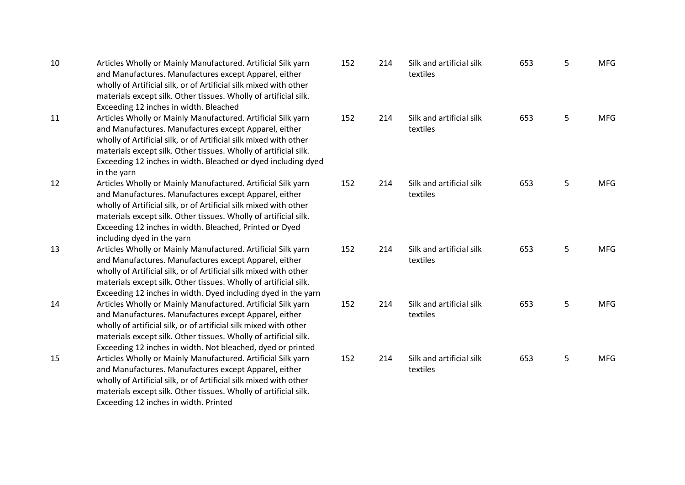| Articles Wholly or Mainly Manufactured. Artificial Silk yarn      |
|-------------------------------------------------------------------|
| and Manufactures. Manufactures except Apparel, either             |
| wholly of Artificial silk, or of Artificial silk mixed with other |
| materials except silk. Other tissues. Wholly of artificial silk.  |
| Exceeding 12 inches in width. Bleached                            |
|                                                                   |

- 11 Articles Wholly or Mainly Manufactured. Artificial Silk yarn and Manufactures. Manufactures except Apparel, either wholly of Artificial silk, or of Artificial silk mixed with other materials except silk. Other tissues. Wholly of artificial silk. Exceeding 12 inches in width. Bleached or dyed including dyed in the yarn
- 12 Articles Wholly or Mainly Manufactured. Artificial Silk yarn and Manufactures. Manufactures except Apparel, either wholly of Artificial silk, or of Artificial silk mixed with other materials except silk. Other tissues. Wholly of artificial silk. Exceeding 12 inches in width. Bleached, Printed or Dyed including dyed in the yarn
- 13 Articles Wholly or Mainly Manufactured. Artificial Silk yarn and Manufactures. Manufactures except Apparel, either wholly of Artificial silk, or of Artificial silk mixed with other materials except silk. Other tissues. Wholly of artificial silk. Exceeding 12 inches in width. Dyed including dyed in the yarn 14 Articles Wholly or Mainly Manufactured. Artificial Silk yarn and Manufactures. Manufactures except Apparel, either wholly of artificial silk, or of artificial silk mixed with other materials except silk. Other tissues. Wholly of artificial silk. Exceeding 12 inches in width. Not bleached, dyed or printed 15 Articles Wholly or Mainly Manufactured. Artificial Silk yarn and Manufactures. Manufactures except Apparel, either wholly of Artificial silk, or of Artificial silk mixed with other

Exceeding 12 inches in width. Printed

materials except silk. Other tissues. Wholly of artificial silk.

| 152 | 214 | Silk and artificial silk<br>textiles | 653 | 5 | <b>MFG</b> |
|-----|-----|--------------------------------------|-----|---|------------|
| 152 | 214 | Silk and artificial silk<br>textiles | 653 | 5 | <b>MFG</b> |
| 152 | 214 | Silk and artificial silk<br>textiles | 653 | 5 | <b>MFG</b> |
| 152 | 214 | Silk and artificial silk<br>textiles | 653 | 5 | <b>MFG</b> |
| 152 | 214 | Silk and artificial silk<br>textiles | 653 | 5 | <b>MFG</b> |
| 152 | 214 | Silk and artificial silk<br>textiles | 653 | 5 | <b>MFG</b> |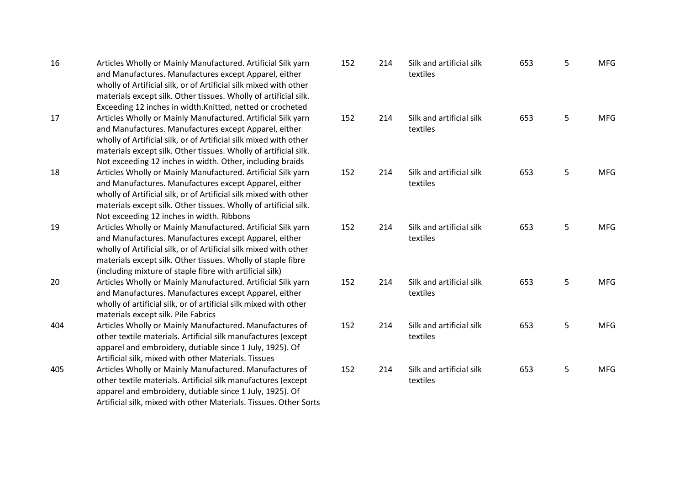| 16  | Articles Wholly or Mainly Manufactured. Artificial Silk yarn      | 1! |
|-----|-------------------------------------------------------------------|----|
|     | and Manufactures. Manufactures except Apparel, either             |    |
|     | wholly of Artificial silk, or of Artificial silk mixed with other |    |
|     | materials except silk. Other tissues. Wholly of artificial silk.  |    |
|     | Exceeding 12 inches in width.Knitted, netted or crocheted         |    |
| 17  | Articles Wholly or Mainly Manufactured. Artificial Silk yarn      | 1! |
|     | and Manufactures. Manufactures except Apparel, either             |    |
|     | wholly of Artificial silk, or of Artificial silk mixed with other |    |
|     | materials except silk. Other tissues. Wholly of artificial silk.  |    |
|     | Not exceeding 12 inches in width. Other, including braids         |    |
| 18  | Articles Wholly or Mainly Manufactured. Artificial Silk yarn      | 1! |
|     | and Manufactures. Manufactures except Apparel, either             |    |
|     | wholly of Artificial silk, or of Artificial silk mixed with other |    |
|     | materials except silk. Other tissues. Wholly of artificial silk.  |    |
|     | Not exceeding 12 inches in width. Ribbons                         |    |
| 19  | Articles Wholly or Mainly Manufactured. Artificial Silk yarn      | 1! |
|     | and Manufactures. Manufactures except Apparel, either             |    |
|     | wholly of Artificial silk, or of Artificial silk mixed with other |    |
|     | materials except silk. Other tissues. Wholly of staple fibre      |    |
|     | (including mixture of staple fibre with artificial silk)          |    |
| 20  | Articles Wholly or Mainly Manufactured. Artificial Silk yarn      | 1! |
|     | and Manufactures. Manufactures except Apparel, either             |    |
|     | wholly of artificial silk, or of artificial silk mixed with other |    |
|     | materials except silk. Pile Fabrics                               |    |
| 404 | Articles Wholly or Mainly Manufactured. Manufactures of           | 1! |
|     | other textile materials. Artificial silk manufactures (except     |    |
|     | apparel and embroidery, dutiable since 1 July, 1925). Of          |    |
|     | Artificial silk, mixed with other Materials. Tissues              |    |
| 405 | Articles Wholly or Mainly Manufactured. Manufactures of           | 1! |
|     | other textile materials. Artificial silk manufactures (except     |    |
|     | apparel and embroidery, dutiable since 1 July, 1925). Of          |    |
|     | Artificial silk, mixed with other Materials. Tissues. Other Sorts |    |

| 152 | 214 | Silk and artificial silk<br>textiles | 653 | 5 | <b>MFG</b> |
|-----|-----|--------------------------------------|-----|---|------------|
| 152 | 214 | Silk and artificial silk<br>textiles | 653 | 5 | <b>MFG</b> |
| 152 | 214 | Silk and artificial silk<br>textiles | 653 | 5 | <b>MFG</b> |
| 152 | 214 | Silk and artificial silk<br>textiles | 653 | 5 | <b>MFG</b> |
| 152 | 214 | Silk and artificial silk<br>textiles | 653 | 5 | <b>MFG</b> |
| 152 | 214 | Silk and artificial silk<br>textiles | 653 | 5 | <b>MFG</b> |
| 152 | 214 | Silk and artificial silk<br>textiles | 653 | 5 | <b>MFG</b> |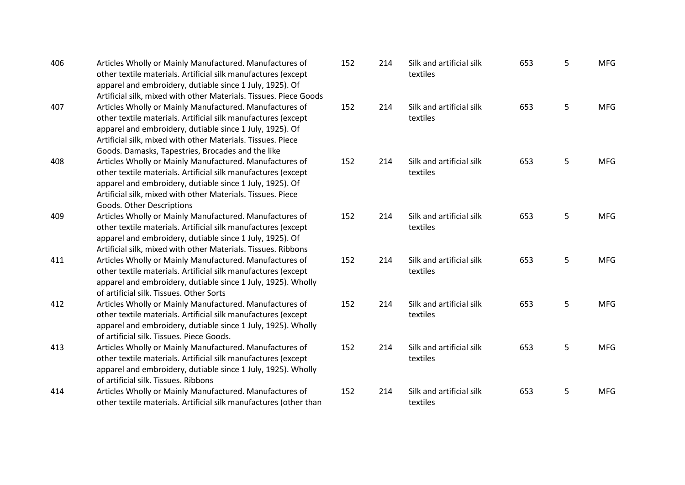| 406 | Articles Wholly or Mainly Manufactured. Manufactures of<br>other textile materials. Artificial silk manufactures (except<br>apparel and embroidery, dutiable since 1 July, 1925). Of<br>Artificial silk, mixed with other Materials. Tissues. Piece Goods                                                | 152 | 214 | Silk<br>tex |
|-----|----------------------------------------------------------------------------------------------------------------------------------------------------------------------------------------------------------------------------------------------------------------------------------------------------------|-----|-----|-------------|
| 407 | Articles Wholly or Mainly Manufactured. Manufactures of<br>other textile materials. Artificial silk manufactures (except<br>apparel and embroidery, dutiable since 1 July, 1925). Of<br>Artificial silk, mixed with other Materials. Tissues. Piece<br>Goods. Damasks, Tapestries, Brocades and the like | 152 | 214 | Silk<br>tex |
| 408 | Articles Wholly or Mainly Manufactured. Manufactures of<br>other textile materials. Artificial silk manufactures (except<br>apparel and embroidery, dutiable since 1 July, 1925). Of<br>Artificial silk, mixed with other Materials. Tissues. Piece<br>Goods. Other Descriptions                         | 152 | 214 | Silk<br>tex |
| 409 | Articles Wholly or Mainly Manufactured. Manufactures of<br>other textile materials. Artificial silk manufactures (except<br>apparel and embroidery, dutiable since 1 July, 1925). Of<br>Artificial silk, mixed with other Materials. Tissues. Ribbons                                                    | 152 | 214 | Silk<br>tex |
| 411 | Articles Wholly or Mainly Manufactured. Manufactures of<br>other textile materials. Artificial silk manufactures (except<br>apparel and embroidery, dutiable since 1 July, 1925). Wholly<br>of artificial silk. Tissues. Other Sorts                                                                     | 152 | 214 | Silk<br>tex |
| 412 | Articles Wholly or Mainly Manufactured. Manufactures of<br>other textile materials. Artificial silk manufactures (except<br>apparel and embroidery, dutiable since 1 July, 1925). Wholly<br>of artificial silk. Tissues. Piece Goods.                                                                    | 152 | 214 | Silk<br>tex |
| 413 | Articles Wholly or Mainly Manufactured. Manufactures of<br>other textile materials. Artificial silk manufactures (except<br>apparel and embroidery, dutiable since 1 July, 1925). Wholly<br>of artificial silk. Tissues. Ribbons                                                                         | 152 | 214 | Silk<br>tex |
| 414 | Articles Wholly or Mainly Manufactured. Manufactures of<br>other textile materials. Artificial silk manufactures (other than                                                                                                                                                                             | 152 | 214 | Silk<br>tex |

| 152 | 214 | Silk and artificial silk<br>textiles | 653 | 5 | <b>MFG</b> |
|-----|-----|--------------------------------------|-----|---|------------|
| 152 | 214 | Silk and artificial silk<br>textiles | 653 | 5 | <b>MFG</b> |
| 152 | 214 | Silk and artificial silk<br>textiles | 653 | 5 | <b>MFG</b> |
| 152 | 214 | Silk and artificial silk<br>textiles | 653 | 5 | <b>MFG</b> |
| 152 | 214 | Silk and artificial silk<br>textiles | 653 | 5 | <b>MFG</b> |
| 152 | 214 | Silk and artificial silk<br>textiles | 653 | 5 | <b>MFG</b> |
| 152 | 214 | Silk and artificial silk<br>textiles | 653 | 5 | <b>MFG</b> |
| 152 | 214 | Silk and artificial silk<br>textiles | 653 | 5 | <b>MFG</b> |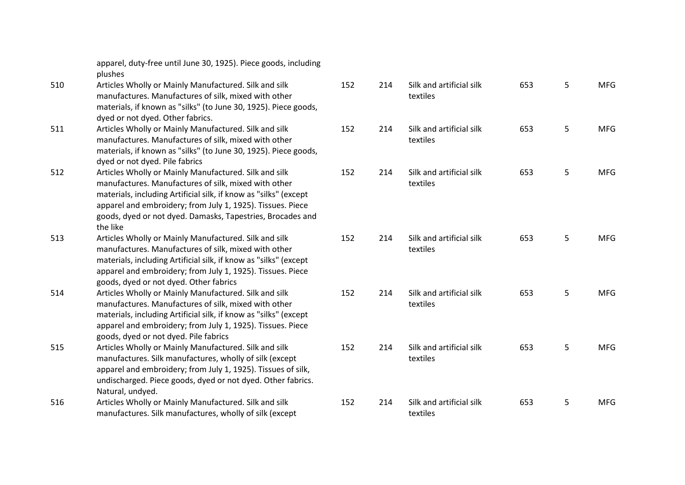|     | apparel, duty-free until June 30, 1925). Piece goods, including<br>plushes |    |
|-----|----------------------------------------------------------------------------|----|
| 510 | Articles Wholly or Mainly Manufactured. Silk and silk                      | 15 |
|     | manufactures. Manufactures of silk, mixed with other                       |    |
|     | materials, if known as "silks" (to June 30, 1925). Piece goods,            |    |
|     | dyed or not dyed. Other fabrics.                                           |    |
| 511 | Articles Wholly or Mainly Manufactured. Silk and silk                      | 15 |
|     | manufactures. Manufactures of silk, mixed with other                       |    |
|     | materials, if known as "silks" (to June 30, 1925). Piece goods,            |    |
|     | dyed or not dyed. Pile fabrics                                             |    |
| 512 | Articles Wholly or Mainly Manufactured. Silk and silk                      | 15 |
|     | manufactures. Manufactures of silk, mixed with other                       |    |
|     | materials, including Artificial silk, if know as "silks" (except           |    |
|     | apparel and embroidery; from July 1, 1925). Tissues. Piece                 |    |
|     | goods, dyed or not dyed. Damasks, Tapestries, Brocades and                 |    |
|     | the like                                                                   |    |
| 513 | Articles Wholly or Mainly Manufactured. Silk and silk                      | 15 |
|     | manufactures. Manufactures of silk, mixed with other                       |    |
|     | materials, including Artificial silk, if know as "silks" (except           |    |
|     | apparel and embroidery; from July 1, 1925). Tissues. Piece                 |    |
|     | goods, dyed or not dyed. Other fabrics                                     |    |
| 514 | Articles Wholly or Mainly Manufactured. Silk and silk                      | 15 |
|     | manufactures. Manufactures of silk, mixed with other                       |    |
|     | materials, including Artificial silk, if know as "silks" (except           |    |
|     | apparel and embroidery; from July 1, 1925). Tissues. Piece                 |    |
|     | goods, dyed or not dyed. Pile fabrics                                      |    |
| 515 | Articles Wholly or Mainly Manufactured. Silk and silk                      | 15 |
|     | manufactures. Silk manufactures, wholly of silk (except                    |    |
|     | apparel and embroidery; from July 1, 1925). Tissues of silk,               |    |
|     | undischarged. Piece goods, dyed or not dyed. Other fabrics.                |    |
|     | Natural, undyed.                                                           |    |
| 516 | Articles Wholly or Mainly Manufactured. Silk and silk                      | 15 |
|     | manufactures. Silk manufactures, wholly of silk (except                    |    |

| 152 | 214 | Silk and artificial silk<br>textiles | 653 | 5 | <b>MFG</b> |
|-----|-----|--------------------------------------|-----|---|------------|
| 152 | 214 | Silk and artificial silk<br>textiles | 653 | 5 | <b>MFG</b> |
| 152 | 214 | Silk and artificial silk<br>textiles | 653 | 5 | <b>MFG</b> |
| 152 | 214 | Silk and artificial silk<br>textiles | 653 | 5 | <b>MFG</b> |
| 152 | 214 | Silk and artificial silk<br>textiles | 653 | 5 | <b>MFG</b> |
| 152 | 214 | Silk and artificial silk<br>textiles | 653 | 5 | <b>MFG</b> |
| 152 | 214 | Silk and artificial silk<br>textiles | 653 | 5 | <b>MFG</b> |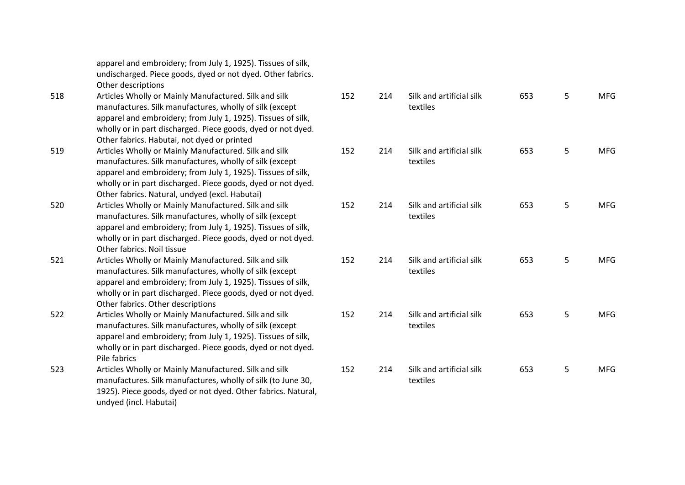apparel and embroidery; from July 1, 1925). Tissues of silk, undischarged. Piece goods, dyed or not dyed. Other fabrics. Other descriptions

- 518 Articles Wholly or Mainly Manufactured. Silk and silk manufactures. Silk manufactures, wholly of silk (except apparel and embroidery; from July 1, 1925). Tissues of silk, wholly or in part discharged. Piece goods, dyed or not dyed. Other fabrics. Habutai, not dyed or printed
- 519 Articles Wholly or Mainly Manufactured. Silk and silk manufactures. Silk manufactures, wholly of silk (except apparel and embroidery; from July 1, 1925). Tissues of silk, wholly or in part discharged. Piece goods, dyed or not dyed. Other fabrics. Natural, undyed (excl. Habutai)
- 520 Articles Wholly or Mainly Manufactured. Silk and silk manufactures. Silk manufactures, wholly of silk (except apparel and embroidery; from July 1, 1925). Tissues of silk, wholly or in part discharged. Piece goods, dyed or not dyed. Other fabrics. Noil tissue
- 521 Articles Wholly or Mainly Manufactured. Silk and silk manufactures. Silk manufactures, wholly of silk (except apparel and embroidery; from July 1, 1925). Tissues of silk, wholly or in part discharged. Piece goods, dyed or not dyed. Other fabrics. Other descriptions
- 522 Articles Wholly or Mainly Manufactured. Silk and silk manufactures. Silk manufactures, wholly of silk (except apparel and embroidery; from July 1, 1925). Tissues of silk, wholly or in part discharged. Piece goods, dyed or not dyed. Pile fabrics
- 523 Articles Wholly or Mainly Manufactured. Silk and silk manufactures. Silk manufactures, wholly of silk (to June 30, 1925). Piece goods, dyed or not dyed. Other fabrics. Natural, undyed (incl. Habutai)

| 152 | 214 | Silk and artificial silk<br>textiles | 653 | 5 | <b>MFG</b> |
|-----|-----|--------------------------------------|-----|---|------------|
| 152 | 214 | Silk and artificial silk<br>textiles | 653 | 5 | <b>MFG</b> |
| 152 | 214 | Silk and artificial silk<br>textiles | 653 | 5 | <b>MFG</b> |
| 152 | 214 | Silk and artificial silk<br>textiles | 653 | 5 | <b>MFG</b> |
| 152 | 214 | Silk and artificial silk<br>textiles | 653 | 5 | <b>MFG</b> |
| 152 | 214 | Silk and artificial silk<br>textiles | 653 | 5 | <b>MFG</b> |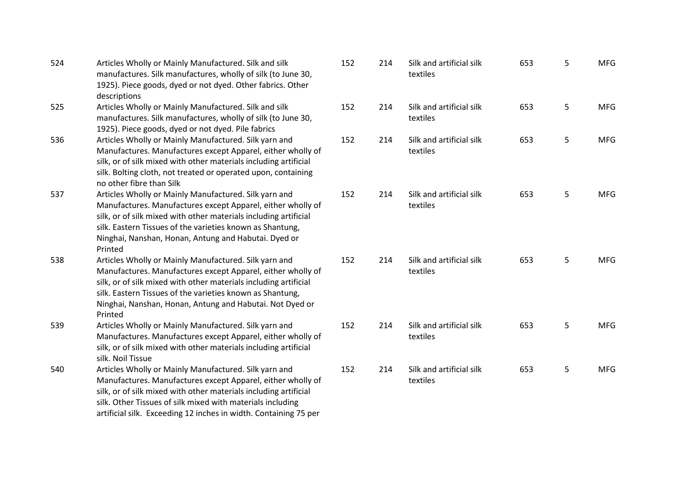| 524 | Articles Wholly or Mainly Manufactured. Silk and silk<br>manufactures. Silk manufactures, wholly of silk (to June 30,<br>1925). Piece goods, dyed or not dyed. Other fabrics. Other<br>descriptions                                                                                                                          | 152 |
|-----|------------------------------------------------------------------------------------------------------------------------------------------------------------------------------------------------------------------------------------------------------------------------------------------------------------------------------|-----|
| 525 | Articles Wholly or Mainly Manufactured. Silk and silk<br>manufactures. Silk manufactures, wholly of silk (to June 30,<br>1925). Piece goods, dyed or not dyed. Pile fabrics                                                                                                                                                  | 152 |
| 536 | Articles Wholly or Mainly Manufactured. Silk yarn and<br>Manufactures. Manufactures except Apparel, either wholly of<br>silk, or of silk mixed with other materials including artificial<br>silk. Bolting cloth, not treated or operated upon, containing<br>no other fibre than Silk                                        | 152 |
| 537 | Articles Wholly or Mainly Manufactured. Silk yarn and<br>Manufactures. Manufactures except Apparel, either wholly of<br>silk, or of silk mixed with other materials including artificial<br>silk. Eastern Tissues of the varieties known as Shantung,<br>Ninghai, Nanshan, Honan, Antung and Habutai. Dyed or<br>Printed     | 152 |
| 538 | Articles Wholly or Mainly Manufactured. Silk yarn and<br>Manufactures. Manufactures except Apparel, either wholly of<br>silk, or of silk mixed with other materials including artificial<br>silk. Eastern Tissues of the varieties known as Shantung,<br>Ninghai, Nanshan, Honan, Antung and Habutai. Not Dyed or<br>Printed | 152 |
| 539 | Articles Wholly or Mainly Manufactured. Silk yarn and<br>Manufactures. Manufactures except Apparel, either wholly of<br>silk, or of silk mixed with other materials including artificial<br>silk. Noil Tissue                                                                                                                | 152 |
| 540 | Articles Wholly or Mainly Manufactured. Silk yarn and<br>Manufactures. Manufactures except Apparel, either wholly of<br>silk, or of silk mixed with other materials including artificial<br>silk. Other Tissues of silk mixed with materials including<br>artificial silk. Exceeding 12 inches in width. Containing 75 per   | 152 |

| 152 | 214 | Silk and artificial silk<br>textiles | 653 | 5 | <b>MFG</b> |
|-----|-----|--------------------------------------|-----|---|------------|
| 152 | 214 | Silk and artificial silk<br>textiles | 653 | 5 | <b>MFG</b> |
| 152 | 214 | Silk and artificial silk<br>textiles | 653 | 5 | <b>MFG</b> |
| 152 | 214 | Silk and artificial silk<br>textiles | 653 | 5 | <b>MFG</b> |
| 152 | 214 | Silk and artificial silk<br>textiles | 653 | 5 | <b>MFG</b> |
| 152 | 214 | Silk and artificial silk<br>textiles | 653 | 5 | <b>MFG</b> |
| 152 | 214 | Silk and artificial silk<br>textiles | 653 | 5 | <b>MFG</b> |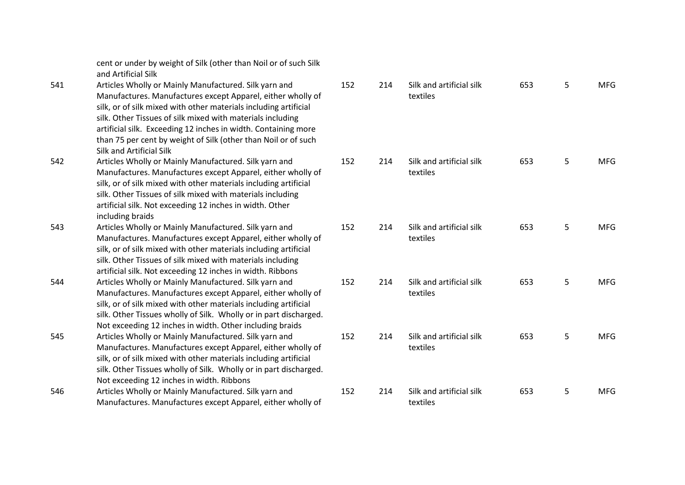cent or under by weight of Silk (other than Noil or of such Silk and Artificial Silk

- 541 Articles Wholly or Mainly Manufactured. Silk yarn and Manufactures. Manufactures except Apparel, either wholly of silk, or of silk mixed with other materials including artificial silk. Other Tissues of silk mixed with materials including artificial silk. Exceeding 12 inches in width. Containing more than 75 per cent by weight of Silk (other than Noil or of such Silk and Artificial Silk
- 542 Articles Wholly or Mainly Manufactured. Silk yarn and Manufactures. Manufactures except Apparel, either wholly of silk, or of silk mixed with other materials including artificial silk. Other Tissues of silk mixed with materials including artificial silk. Not exceeding 12 inches in width. Other including braids
- 543 Articles Wholly or Mainly Manufactured. Silk yarn and Manufactures. Manufactures except Apparel, either wholly of silk, or of silk mixed with other materials including artificial silk. Other Tissues of silk mixed with materials including artificial silk. Not exceeding 12 inches in width. Ribbons
- 544 Articles Wholly or Mainly Manufactured. Silk yarn and Manufactures. Manufactures except Apparel, either wholly of silk, or of silk mixed with other materials including artificial silk. Other Tissues wholly of Silk. Wholly or in part discharged. Not exceeding 12 inches in width. Other including braids 545 Articles Wholly or Mainly Manufactured. Silk yarn and Manufactures. Manufactures except Apparel, either wholly of
- silk, or of silk mixed with other materials including artificial silk. Other Tissues wholly of Silk. Wholly or in part discharged. Not exceeding 12 inches in width. Ribbons 546 Articles Wholly or Mainly Manufactured. Silk yarn and
- Manufactures. Manufactures except Apparel, either wholly of

| 152 | 214 | Silk and artificial silk<br>textiles | 653 | 5 | <b>MFG</b> |
|-----|-----|--------------------------------------|-----|---|------------|
| 152 | 214 | Silk and artificial silk<br>textiles | 653 | 5 | <b>MFG</b> |
| 152 | 214 | Silk and artificial silk<br>textiles | 653 | 5 | <b>MFG</b> |
| 152 | 214 | Silk and artificial silk<br>textiles | 653 | 5 | <b>MFG</b> |
| 152 | 214 | Silk and artificial silk<br>textiles | 653 | 5 | <b>MFG</b> |
| 152 | 214 | Silk and artificial silk<br>textiles | 653 | 5 | <b>MFG</b> |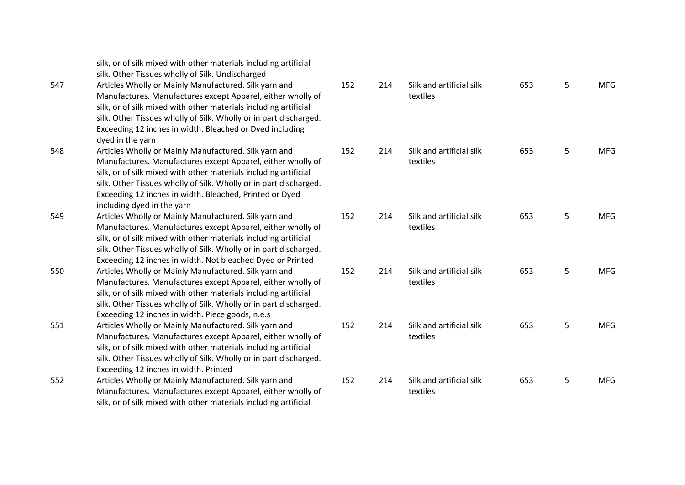|     | silk, or of silk mixed with other materials including artificial<br>silk. Other Tissues wholly of Silk. Undischarged                                                                                                                                                                                                                                   |     |
|-----|--------------------------------------------------------------------------------------------------------------------------------------------------------------------------------------------------------------------------------------------------------------------------------------------------------------------------------------------------------|-----|
| 547 | Articles Wholly or Mainly Manufactured. Silk yarn and<br>Manufactures. Manufactures except Apparel, either wholly of<br>silk, or of silk mixed with other materials including artificial<br>silk. Other Tissues wholly of Silk. Wholly or in part discharged.<br>Exceeding 12 inches in width. Bleached or Dyed including<br>dyed in the yarn          | 152 |
| 548 | Articles Wholly or Mainly Manufactured. Silk yarn and<br>Manufactures. Manufactures except Apparel, either wholly of<br>silk, or of silk mixed with other materials including artificial<br>silk. Other Tissues wholly of Silk. Wholly or in part discharged.<br>Exceeding 12 inches in width. Bleached, Printed or Dyed<br>including dyed in the yarn | 152 |
| 549 | Articles Wholly or Mainly Manufactured. Silk yarn and<br>Manufactures. Manufactures except Apparel, either wholly of<br>silk, or of silk mixed with other materials including artificial<br>silk. Other Tissues wholly of Silk. Wholly or in part discharged.<br>Exceeding 12 inches in width. Not bleached Dyed or Printed                            | 152 |
| 550 | Articles Wholly or Mainly Manufactured. Silk yarn and<br>Manufactures. Manufactures except Apparel, either wholly of<br>silk, or of silk mixed with other materials including artificial<br>silk. Other Tissues wholly of Silk. Wholly or in part discharged.<br>Exceeding 12 inches in width. Piece goods, n.e.s                                      | 152 |
| 551 | Articles Wholly or Mainly Manufactured. Silk yarn and<br>Manufactures. Manufactures except Apparel, either wholly of<br>silk, or of silk mixed with other materials including artificial<br>silk. Other Tissues wholly of Silk. Wholly or in part discharged.<br>Exceeding 12 inches in width. Printed                                                 | 152 |
| 552 | Articles Wholly or Mainly Manufactured. Silk yarn and<br>Manufactures. Manufactures except Apparel, either wholly of<br>silk, or of silk mixed with other materials including artificial                                                                                                                                                               | 152 |

| 152 | 214 | Silk and artificial silk<br>textiles | 653 | 5 | <b>MFG</b> |
|-----|-----|--------------------------------------|-----|---|------------|
| 152 | 214 | Silk and artificial silk<br>textiles | 653 | 5 | <b>MFG</b> |
| 152 | 214 | Silk and artificial silk<br>textiles | 653 | 5 | <b>MFG</b> |
| 152 | 214 | Silk and artificial silk<br>textiles | 653 | 5 | <b>MFG</b> |
| 152 | 214 | Silk and artificial silk<br>textiles | 653 | 5 | <b>MFG</b> |
| 152 | 214 | Silk and artificial silk<br>textiles | 653 | 5 | <b>MFG</b> |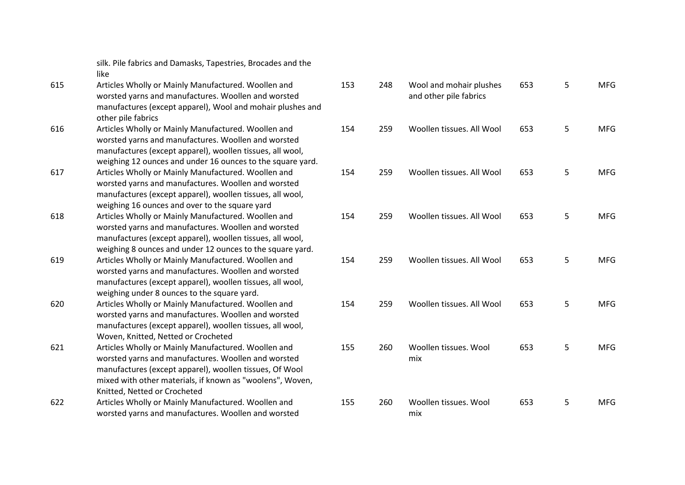silk. Pile fabrics and Damasks, Tapestries, Brocades and the like

- 615 Articles Wholly or Mainly Manufactured. Woollen and worsted yarns and manufactures. Woollen and worsted manufactures (except apparel), Wool and mohair plushes and other pile fabrics
- 616 Articles Wholly or Mainly Manufactured. Woollen and worsted yarns and manufactures. Woollen and worsted manufactures (except apparel), woollen tissues, all wool, weighing 12 ounces and under 16 ounces to the square vard.
- 617 Articles Wholly or Mainly Manufactured. Woollen and worsted yarns and manufactures. Woollen and worsted manufactures (except apparel), woollen tissues, all wool, weighing 16 ounces and over to the square yard
- 618 Articles Wholly or Mainly Manufactured. Woollen and worsted yarns and manufactures. Woollen and worsted manufactures (except apparel), woollen tissues, all wool, weighing 8 ounces and under 12 ounces to the square yard.
- 619 Articles Wholly or Mainly Manufactured. Woollen and worsted yarns and manufactures. Woollen and worsted manufactures (except apparel), woollen tissues, all wool, weighing under 8 ounces to the square yard.
- 620 Articles Wholly or Mainly Manufactured. Woollen and worsted yarns and manufactures. Woollen and worsted manufactures (except apparel), woollen tissues, all wool, Woven, Knitted, Netted or Crocheted
- 621 Articles Wholly or Mainly Manufactured. Woollen and worsted yarns and manufactures. Woollen and worsted manufactures (except apparel), woollen tissues, Of Wool mixed with other materials, if known as "woolens", Woven, Knitted, Netted or Crocheted
- 622 Articles Wholly or Mainly Manufactured. Woollen and worsted yarns and manufactures. Woollen and worsted

| 153 | 248 | Wool and mohair plushes<br>and other pile fabrics | 653 | 5 | <b>MFG</b> |
|-----|-----|---------------------------------------------------|-----|---|------------|
| 154 | 259 | Woollen tissues. All Wool                         | 653 | 5 | <b>MFG</b> |
| 154 | 259 | Woollen tissues. All Wool                         | 653 | 5 | <b>MFG</b> |
| 154 | 259 | Woollen tissues. All Wool                         | 653 | 5 | <b>MFG</b> |
| 154 | 259 | Woollen tissues. All Wool                         | 653 | 5 | <b>MFG</b> |
| 154 | 259 | Woollen tissues. All Wool                         | 653 | 5 | <b>MFG</b> |
| 155 | 260 | Woollen tissues. Wool<br>mix                      | 653 | 5 | <b>MFG</b> |
| 155 | 260 | Woollen tissues. Wool<br>mix                      | 653 | 5 | <b>MFG</b> |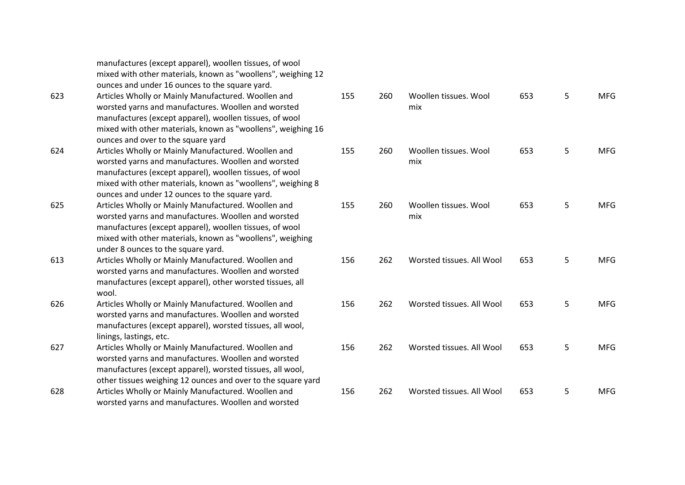|     | manufactures (except apparel), woollen tissues, of wool<br>mixed with other materials, known as "woollens", weighing 12 |
|-----|-------------------------------------------------------------------------------------------------------------------------|
|     | ounces and under 16 ounces to the square yard.                                                                          |
| 623 | Articles Wholly or Mainly Manufactured. Woollen and                                                                     |
|     | worsted yarns and manufactures. Woollen and worsted                                                                     |
|     | manufactures (except apparel), woollen tissues, of wool                                                                 |
|     | mixed with other materials, known as "woollens", weighing 16                                                            |
|     | ounces and over to the square yard                                                                                      |
| 624 | Articles Wholly or Mainly Manufactured. Woollen and                                                                     |
|     | worsted yarns and manufactures. Woollen and worsted                                                                     |
|     | manufactures (except apparel), woollen tissues, of wool                                                                 |
|     | mixed with other materials, known as "woollens", weighing 8                                                             |
|     | ounces and under 12 ounces to the square yard.                                                                          |
| 625 | Articles Wholly or Mainly Manufactured. Woollen and                                                                     |
|     | worsted yarns and manufactures. Woollen and worsted                                                                     |
|     | manufactures (except apparel), woollen tissues, of wool                                                                 |
|     | mixed with other materials, known as "woollens", weighing                                                               |
|     | under 8 ounces to the square yard.                                                                                      |
| 613 | Articles Wholly or Mainly Manufactured. Woollen and                                                                     |
|     | worsted yarns and manufactures. Woollen and worsted                                                                     |
|     | manufactures (except apparel), other worsted tissues, all                                                               |
|     | wool.                                                                                                                   |
| 626 | Articles Wholly or Mainly Manufactured. Woollen and                                                                     |
|     | worsted yarns and manufactures. Woollen and worsted                                                                     |
|     | manufactures (except apparel), worsted tissues, all wool,                                                               |
|     | linings, lastings, etc.                                                                                                 |
| 627 | Articles Wholly or Mainly Manufactured. Woollen and                                                                     |
|     | worsted yarns and manufactures. Woollen and worsted                                                                     |
|     | manufactures (except apparel), worsted tissues, all wool,                                                               |
|     | other tissues weighing 12 ounces and over to the square yard                                                            |
| 628 | Articles Wholly or Mainly Manufactured. Woollen and                                                                     |
|     | worsted yarns and manufactures. Woollen and worsted                                                                     |

| 155 | 260 | Woollen tissues. Wool<br>mix | 653 | 5 | <b>MFG</b> |
|-----|-----|------------------------------|-----|---|------------|
| 155 | 260 | Woollen tissues. Wool<br>mix | 653 | 5 | <b>MFG</b> |
| 155 | 260 | Woollen tissues. Wool<br>mix | 653 | 5 | <b>MFG</b> |
| 156 | 262 | Worsted tissues. All Wool    | 653 | 5 | <b>MFG</b> |
| 156 | 262 | Worsted tissues. All Wool    | 653 | 5 | <b>MFG</b> |
| 156 | 262 | Worsted tissues. All Wool    | 653 | 5 | <b>MFG</b> |
| 156 | 262 | Worsted tissues. All Wool    | 653 | 5 | <b>MFG</b> |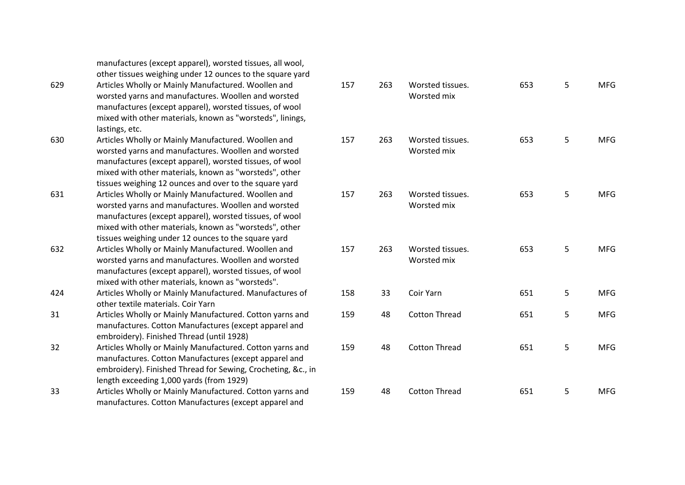| 629 | other tissues weighing under 12 ounces to the square yard<br>Articles Wholly or Mainly Manufactured. Woollen and<br>worsted yarns and manufactures. Woollen and worsted<br>manufactures (except apparel), worsted tissues, of wool<br>mixed with other materials, known as "worsteds", linings,<br>lastings, etc.                                | $\mathbf{1}$ |
|-----|--------------------------------------------------------------------------------------------------------------------------------------------------------------------------------------------------------------------------------------------------------------------------------------------------------------------------------------------------|--------------|
| 630 | Articles Wholly or Mainly Manufactured. Woollen and<br>worsted yarns and manufactures. Woollen and worsted<br>manufactures (except apparel), worsted tissues, of wool<br>mixed with other materials, known as "worsteds", other                                                                                                                  | $\mathbf{1}$ |
| 631 | tissues weighing 12 ounces and over to the square yard<br>Articles Wholly or Mainly Manufactured. Woollen and<br>worsted yarns and manufactures. Woollen and worsted<br>manufactures (except apparel), worsted tissues, of wool<br>mixed with other materials, known as "worsteds", other<br>tissues weighing under 12 ounces to the square yard | $\mathbf{1}$ |
| 632 | Articles Wholly or Mainly Manufactured. Woollen and<br>worsted yarns and manufactures. Woollen and worsted<br>manufactures (except apparel), worsted tissues, of wool<br>mixed with other materials, known as "worsteds".                                                                                                                        | $\mathbf{1}$ |
| 424 | Articles Wholly or Mainly Manufactured. Manufactures of<br>other textile materials. Coir Yarn                                                                                                                                                                                                                                                    | $\mathbf{1}$ |
| 31  | Articles Wholly or Mainly Manufactured. Cotton yarns and<br>manufactures. Cotton Manufactures (except apparel and<br>embroidery). Finished Thread (until 1928)                                                                                                                                                                                   | $\mathbf{1}$ |
| 32  | Articles Wholly or Mainly Manufactured. Cotton yarns and<br>manufactures. Cotton Manufactures (except apparel and<br>embroidery). Finished Thread for Sewing, Crocheting, &c., in<br>length exceeding 1,000 yards (from 1929)                                                                                                                    | $\mathbf{1}$ |
| 33  | Articles Wholly or Mainly Manufactured. Cotton yarns and<br>manufactures. Cotton Manufactures (except apparel and                                                                                                                                                                                                                                | $\mathbf{1}$ |
|     |                                                                                                                                                                                                                                                                                                                                                  |              |

manufactures (except apparel), worsted tissues, all wool,

| 157 | 263 | Worsted tissues.<br>Worsted mix | 653 | 5 | <b>MFG</b> |
|-----|-----|---------------------------------|-----|---|------------|
| 157 | 263 | Worsted tissues.<br>Worsted mix | 653 | 5 | <b>MFG</b> |
| 157 | 263 | Worsted tissues.<br>Worsted mix | 653 | 5 | <b>MFG</b> |
| 157 | 263 | Worsted tissues.<br>Worsted mix | 653 | 5 | <b>MFG</b> |
| 158 | 33  | Coir Yarn                       | 651 | 5 | <b>MFG</b> |
| 159 | 48  | <b>Cotton Thread</b>            | 651 | 5 | <b>MFG</b> |
| 159 | 48  | <b>Cotton Thread</b>            | 651 | 5 | <b>MFG</b> |
| 159 | 48  | <b>Cotton Thread</b>            | 651 | 5 | <b>MFG</b> |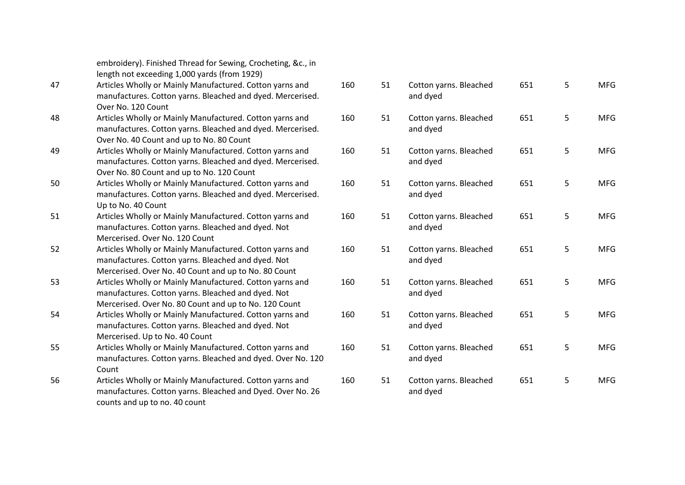|    | embroidery). Finished Thread for Sewing, Crocheting, &c., in<br>length not exceeding 1,000 yards (from 1929) |     |
|----|--------------------------------------------------------------------------------------------------------------|-----|
| 47 | Articles Wholly or Mainly Manufactured. Cotton yarns and                                                     | 160 |
|    | manufactures. Cotton yarns. Bleached and dyed. Mercerised.                                                   |     |
|    | Over No. 120 Count                                                                                           |     |
| 48 | Articles Wholly or Mainly Manufactured. Cotton yarns and                                                     | 160 |
|    | manufactures. Cotton yarns. Bleached and dyed. Mercerised.                                                   |     |
|    | Over No. 40 Count and up to No. 80 Count                                                                     |     |
| 49 | Articles Wholly or Mainly Manufactured. Cotton yarns and                                                     | 160 |
|    | manufactures. Cotton yarns. Bleached and dyed. Mercerised.                                                   |     |
|    | Over No. 80 Count and up to No. 120 Count                                                                    |     |
| 50 | Articles Wholly or Mainly Manufactured. Cotton yarns and                                                     | 160 |
|    | manufactures. Cotton yarns. Bleached and dyed. Mercerised.                                                   |     |
|    | Up to No. 40 Count                                                                                           |     |
| 51 | Articles Wholly or Mainly Manufactured. Cotton yarns and                                                     | 160 |
|    | manufactures. Cotton yarns. Bleached and dyed. Not                                                           |     |
|    | Mercerised. Over No. 120 Count                                                                               |     |
| 52 | Articles Wholly or Mainly Manufactured. Cotton yarns and                                                     | 160 |
|    | manufactures. Cotton yarns. Bleached and dyed. Not                                                           |     |
|    | Mercerised. Over No. 40 Count and up to No. 80 Count                                                         |     |
| 53 | Articles Wholly or Mainly Manufactured. Cotton yarns and                                                     | 160 |
|    | manufactures. Cotton yarns. Bleached and dyed. Not                                                           |     |
|    | Mercerised. Over No. 80 Count and up to No. 120 Count                                                        |     |
| 54 | Articles Wholly or Mainly Manufactured. Cotton yarns and                                                     | 160 |
|    | manufactures. Cotton yarns. Bleached and dyed. Not                                                           |     |
|    | Mercerised. Up to No. 40 Count                                                                               |     |
| 55 | Articles Wholly or Mainly Manufactured. Cotton yarns and                                                     | 160 |
|    | manufactures. Cotton yarns. Bleached and dyed. Over No. 120                                                  |     |
|    | Count                                                                                                        |     |
| 56 | Articles Wholly or Mainly Manufactured. Cotton yarns and                                                     | 160 |
|    | manufactures. Cotton yarns. Bleached and Dyed. Over No. 26                                                   |     |
|    | counts and up to no. 40 count                                                                                |     |
|    |                                                                                                              |     |

| 160 | 51 | Cotton yarns. Bleached<br>and dyed | 651 | 5 | <b>MFG</b> |
|-----|----|------------------------------------|-----|---|------------|
| 160 | 51 | Cotton yarns. Bleached<br>and dyed | 651 | 5 | <b>MFG</b> |
| 160 | 51 | Cotton yarns. Bleached<br>and dyed | 651 | 5 | <b>MFG</b> |
| 160 | 51 | Cotton yarns. Bleached<br>and dyed | 651 | 5 | <b>MFG</b> |
| 160 | 51 | Cotton yarns. Bleached<br>and dyed | 651 | 5 | <b>MFG</b> |
| 160 | 51 | Cotton yarns. Bleached<br>and dyed | 651 | 5 | <b>MFG</b> |
| 160 | 51 | Cotton yarns. Bleached<br>and dyed | 651 | 5 | <b>MFG</b> |
| 160 | 51 | Cotton yarns. Bleached<br>and dyed | 651 | 5 | <b>MFG</b> |
| 160 | 51 | Cotton yarns. Bleached<br>and dyed | 651 | 5 | <b>MFG</b> |
| 160 | 51 | Cotton yarns. Bleached<br>and dyed | 651 | 5 | <b>MFG</b> |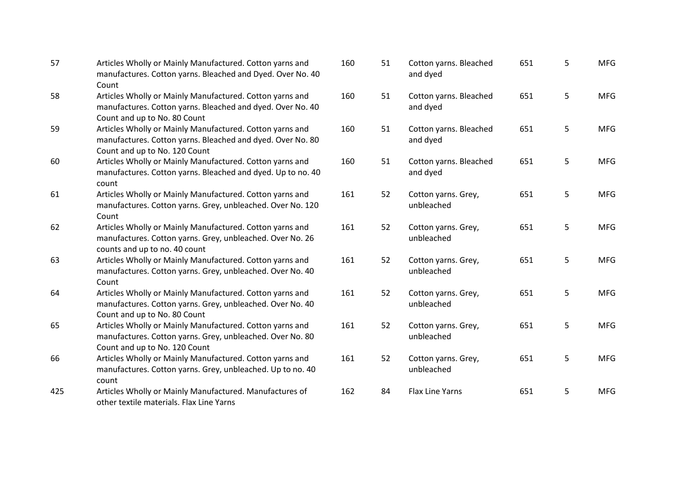| 57  | Articles Wholly or Mainly Manufactured. Cotton yarns and<br>manufactures. Cotton yarns. Bleached and Dyed. Over No. 40<br>Count                         |
|-----|---------------------------------------------------------------------------------------------------------------------------------------------------------|
| 58  | Articles Wholly or Mainly Manufactured. Cotton yarns and<br>manufactures. Cotton yarns. Bleached and dyed. Over No. 40<br>Count and up to No. 80 Count  |
| 59  | Articles Wholly or Mainly Manufactured. Cotton yarns and<br>manufactures. Cotton yarns. Bleached and dyed. Over No. 80<br>Count and up to No. 120 Count |
| 60  | Articles Wholly or Mainly Manufactured. Cotton yarns and<br>manufactures. Cotton yarns. Bleached and dyed. Up to no. 40<br>count                        |
| 61  | Articles Wholly or Mainly Manufactured. Cotton yarns and<br>manufactures. Cotton yarns. Grey, unbleached. Over No. 120<br>Count                         |
| 62  | Articles Wholly or Mainly Manufactured. Cotton yarns and<br>manufactures. Cotton yarns. Grey, unbleached. Over No. 26<br>counts and up to no. 40 count  |
| 63  | Articles Wholly or Mainly Manufactured. Cotton yarns and<br>manufactures. Cotton yarns. Grey, unbleached. Over No. 40<br>Count                          |
| 64  | Articles Wholly or Mainly Manufactured. Cotton yarns and<br>manufactures. Cotton yarns. Grey, unbleached. Over No. 40<br>Count and up to No. 80 Count   |
| 65  | Articles Wholly or Mainly Manufactured. Cotton yarns and<br>manufactures. Cotton yarns. Grey, unbleached. Over No. 80<br>Count and up to No. 120 Count  |
| 66  | Articles Wholly or Mainly Manufactured. Cotton yarns and<br>manufactures. Cotton yarns. Grey, unbleached. Up to no. 40<br>count                         |
| 425 | Articles Wholly or Mainly Manufactured. Manufactures of<br>other textile materials. Flax Line Yarns                                                     |

| 160 | 51 | Cotton yarns. Bleached<br>and dyed | 651 | 5 | <b>MFG</b> |
|-----|----|------------------------------------|-----|---|------------|
| 160 | 51 | Cotton yarns. Bleached<br>and dyed | 651 | 5 | <b>MFG</b> |
| 160 | 51 | Cotton yarns. Bleached<br>and dyed | 651 | 5 | <b>MFG</b> |
| 160 | 51 | Cotton yarns. Bleached<br>and dyed | 651 | 5 | <b>MFG</b> |
| 161 | 52 | Cotton yarns. Grey,<br>unbleached  | 651 | 5 | <b>MFG</b> |
| 161 | 52 | Cotton yarns. Grey,<br>unbleached  | 651 | 5 | <b>MFG</b> |
| 161 | 52 | Cotton yarns. Grey,<br>unbleached  | 651 | 5 | <b>MFG</b> |
| 161 | 52 | Cotton yarns. Grey,<br>unbleached  | 651 | 5 | <b>MFG</b> |
| 161 | 52 | Cotton yarns. Grey,<br>unbleached  | 651 | 5 | <b>MFG</b> |
| 161 | 52 | Cotton yarns. Grey,<br>unbleached  | 651 | 5 | <b>MFG</b> |
| 162 | 84 | <b>Flax Line Yarns</b>             | 651 | 5 | <b>MFG</b> |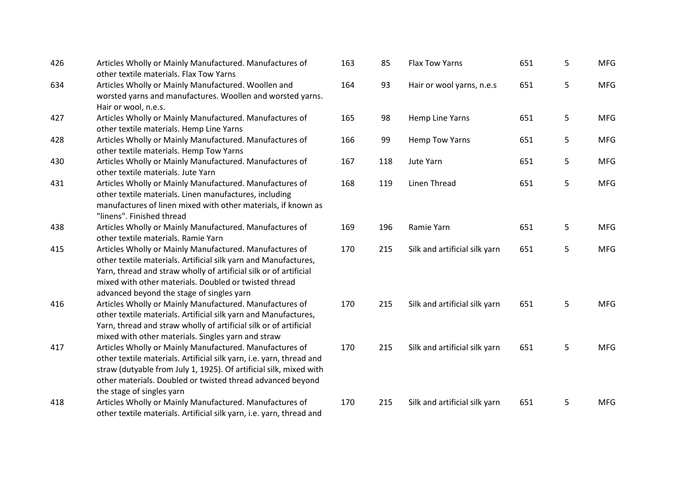| 426 | Articles Wholly or Mainly Manufactured. Manufactures of<br>other textile materials. Flax Tow Yarns                                                                                                                                                                                                    | 163 | 85  | <b>Flax Tow Yarns</b>         | 651 | 5 | <b>MFG</b> |
|-----|-------------------------------------------------------------------------------------------------------------------------------------------------------------------------------------------------------------------------------------------------------------------------------------------------------|-----|-----|-------------------------------|-----|---|------------|
| 634 | Articles Wholly or Mainly Manufactured. Woollen and<br>worsted yarns and manufactures. Woollen and worsted yarns.<br>Hair or wool, n.e.s.                                                                                                                                                             | 164 | 93  | Hair or wool yarns, n.e.s     | 651 | 5 | <b>MFG</b> |
| 427 | Articles Wholly or Mainly Manufactured. Manufactures of<br>other textile materials. Hemp Line Yarns                                                                                                                                                                                                   | 165 | 98  | Hemp Line Yarns               | 651 | 5 | <b>MFG</b> |
| 428 | Articles Wholly or Mainly Manufactured. Manufactures of<br>other textile materials. Hemp Tow Yarns                                                                                                                                                                                                    | 166 | 99  | Hemp Tow Yarns                | 651 | 5 | <b>MFG</b> |
| 430 | Articles Wholly or Mainly Manufactured. Manufactures of<br>other textile materials. Jute Yarn                                                                                                                                                                                                         | 167 | 118 | Jute Yarn                     | 651 | 5 | <b>MFG</b> |
| 431 | Articles Wholly or Mainly Manufactured. Manufactures of<br>other textile materials. Linen manufactures, including<br>manufactures of linen mixed with other materials, if known as<br>"linens". Finished thread                                                                                       | 168 | 119 | Linen Thread                  | 651 | 5 | <b>MFG</b> |
| 438 | Articles Wholly or Mainly Manufactured. Manufactures of<br>other textile materials. Ramie Yarn                                                                                                                                                                                                        | 169 | 196 | Ramie Yarn                    | 651 | 5 | <b>MFG</b> |
| 415 | Articles Wholly or Mainly Manufactured. Manufactures of<br>other textile materials. Artificial silk yarn and Manufactures,<br>Yarn, thread and straw wholly of artificial silk or of artificial<br>mixed with other materials. Doubled or twisted thread<br>advanced beyond the stage of singles yarn | 170 | 215 | Silk and artificial silk yarn | 651 | 5 | <b>MFG</b> |
| 416 | Articles Wholly or Mainly Manufactured. Manufactures of<br>other textile materials. Artificial silk yarn and Manufactures,<br>Yarn, thread and straw wholly of artificial silk or of artificial<br>mixed with other materials. Singles yarn and straw                                                 | 170 | 215 | Silk and artificial silk yarn | 651 | 5 | <b>MFG</b> |
| 417 | Articles Wholly or Mainly Manufactured. Manufactures of<br>other textile materials. Artificial silk yarn, i.e. yarn, thread and<br>straw (dutyable from July 1, 1925). Of artificial silk, mixed with<br>other materials. Doubled or twisted thread advanced beyond<br>the stage of singles yarn      | 170 | 215 | Silk and artificial silk yarn | 651 | 5 | <b>MFG</b> |
| 418 | Articles Wholly or Mainly Manufactured. Manufactures of<br>other textile materials. Artificial silk yarn, i.e. yarn, thread and                                                                                                                                                                       | 170 | 215 | Silk and artificial silk yarn | 651 | 5 | <b>MFG</b> |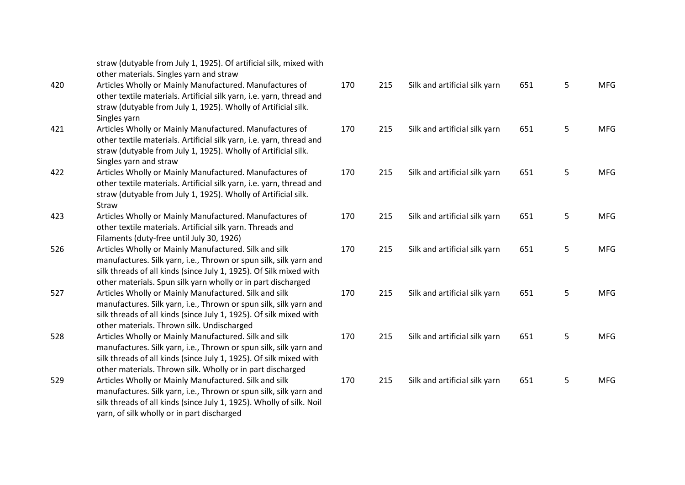|     | straw (dutyable from July 1, 1925). Of artificial silk, mixed with<br>other materials. Singles yarn and straw                                                                                                                                                    |     |
|-----|------------------------------------------------------------------------------------------------------------------------------------------------------------------------------------------------------------------------------------------------------------------|-----|
| 420 | Articles Wholly or Mainly Manufactured. Manufactures of<br>other textile materials. Artificial silk yarn, i.e. yarn, thread and<br>straw (dutyable from July 1, 1925). Wholly of Artificial silk.<br>Singles yarn                                                | 170 |
| 421 | Articles Wholly or Mainly Manufactured. Manufactures of<br>other textile materials. Artificial silk yarn, i.e. yarn, thread and<br>straw (dutyable from July 1, 1925). Wholly of Artificial silk.<br>Singles yarn and straw                                      | 170 |
| 422 | Articles Wholly or Mainly Manufactured. Manufactures of<br>other textile materials. Artificial silk yarn, i.e. yarn, thread and<br>straw (dutyable from July 1, 1925). Wholly of Artificial silk.<br><b>Straw</b>                                                | 170 |
| 423 | Articles Wholly or Mainly Manufactured. Manufactures of<br>other textile materials. Artificial silk yarn. Threads and<br>Filaments (duty-free until July 30, 1926)                                                                                               | 170 |
| 526 | Articles Wholly or Mainly Manufactured. Silk and silk<br>manufactures. Silk yarn, i.e., Thrown or spun silk, silk yarn and<br>silk threads of all kinds (since July 1, 1925). Of Silk mixed with<br>other materials. Spun silk yarn wholly or in part discharged | 170 |
| 527 | Articles Wholly or Mainly Manufactured. Silk and silk<br>manufactures. Silk yarn, i.e., Thrown or spun silk, silk yarn and<br>silk threads of all kinds (since July 1, 1925). Of silk mixed with<br>other materials. Thrown silk. Undischarged                   | 170 |
| 528 | Articles Wholly or Mainly Manufactured. Silk and silk<br>manufactures. Silk yarn, i.e., Thrown or spun silk, silk yarn and<br>silk threads of all kinds (since July 1, 1925). Of silk mixed with<br>other materials. Thrown silk. Wholly or in part discharged   | 170 |
| 529 | Articles Wholly or Mainly Manufactured. Silk and silk<br>manufactures. Silk yarn, i.e., Thrown or spun silk, silk yarn and<br>silk threads of all kinds (since July 1, 1925). Wholly of silk. Noil<br>yarn, of silk wholly or in part discharged                 | 170 |

| 170 | 215 | Silk and artificial silk yarn | 651 | 5 | <b>MFG</b> |
|-----|-----|-------------------------------|-----|---|------------|
| 170 | 215 | Silk and artificial silk yarn | 651 | 5 | <b>MFG</b> |
| 170 | 215 | Silk and artificial silk yarn | 651 | 5 | <b>MFG</b> |
| 170 | 215 | Silk and artificial silk yarn | 651 | 5 | <b>MFG</b> |
| 170 | 215 | Silk and artificial silk yarn | 651 | 5 | <b>MFG</b> |
| 170 | 215 | Silk and artificial silk yarn | 651 | 5 | <b>MFG</b> |
| 170 | 215 | Silk and artificial silk yarn | 651 | 5 | <b>MFG</b> |
| 170 | 215 | Silk and artificial silk yarn | 651 | 5 | <b>MFG</b> |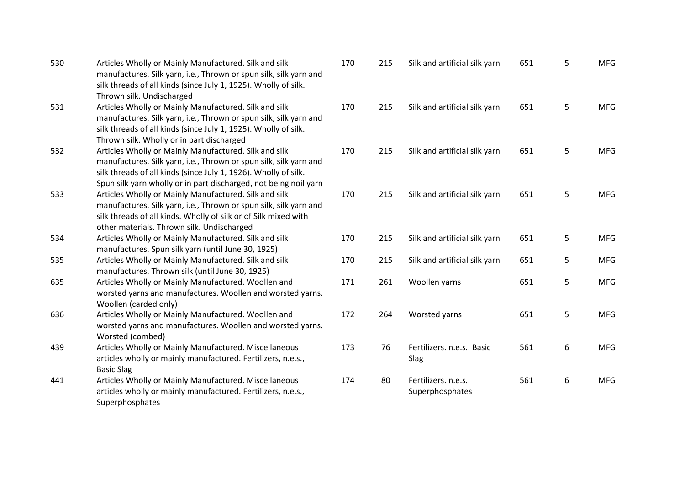| 530 | Articles Wholly or Mainly Manufactured. Silk and silk<br>manufactures. Silk yarn, i.e., Thrown or spun silk, silk yarn and           | 170 | 215 | Silk and artificial silk yarn | 651 | 5 | <b>MFG</b> |
|-----|--------------------------------------------------------------------------------------------------------------------------------------|-----|-----|-------------------------------|-----|---|------------|
|     | silk threads of all kinds (since July 1, 1925). Wholly of silk.                                                                      |     |     |                               |     |   |            |
|     | Thrown silk. Undischarged                                                                                                            |     |     |                               |     |   |            |
| 531 | Articles Wholly or Mainly Manufactured. Silk and silk                                                                                | 170 | 215 | Silk and artificial silk yarn | 651 | 5 | <b>MFG</b> |
|     | manufactures. Silk yarn, i.e., Thrown or spun silk, silk yarn and<br>silk threads of all kinds (since July 1, 1925). Wholly of silk. |     |     |                               |     |   |            |
|     | Thrown silk. Wholly or in part discharged                                                                                            |     |     |                               |     |   |            |
| 532 | Articles Wholly or Mainly Manufactured. Silk and silk                                                                                | 170 | 215 | Silk and artificial silk yarn | 651 | 5 | <b>MFG</b> |
|     | manufactures. Silk yarn, i.e., Thrown or spun silk, silk yarn and                                                                    |     |     |                               |     |   |            |
|     | silk threads of all kinds (since July 1, 1926). Wholly of silk.                                                                      |     |     |                               |     |   |            |
|     | Spun silk yarn wholly or in part discharged, not being noil yarn                                                                     |     |     |                               |     |   |            |
| 533 | Articles Wholly or Mainly Manufactured. Silk and silk                                                                                | 170 | 215 | Silk and artificial silk yarn | 651 | 5 | <b>MFG</b> |
|     | manufactures. Silk yarn, i.e., Thrown or spun silk, silk yarn and                                                                    |     |     |                               |     |   |            |
|     | silk threads of all kinds. Wholly of silk or of Silk mixed with                                                                      |     |     |                               |     |   |            |
|     | other materials. Thrown silk. Undischarged                                                                                           |     |     |                               |     |   |            |
| 534 | Articles Wholly or Mainly Manufactured. Silk and silk                                                                                | 170 | 215 | Silk and artificial silk yarn | 651 | 5 | <b>MFG</b> |
|     | manufactures. Spun silk yarn (until June 30, 1925)                                                                                   |     |     |                               |     |   |            |
| 535 | Articles Wholly or Mainly Manufactured. Silk and silk                                                                                | 170 | 215 | Silk and artificial silk yarn | 651 | 5 | <b>MFG</b> |
|     | manufactures. Thrown silk (until June 30, 1925)                                                                                      |     |     |                               |     |   |            |
| 635 | Articles Wholly or Mainly Manufactured. Woollen and                                                                                  | 171 | 261 | Woollen yarns                 | 651 | 5 | <b>MFG</b> |
|     | worsted yarns and manufactures. Woollen and worsted yarns.                                                                           |     |     |                               |     |   |            |
|     | Woollen (carded only)                                                                                                                |     |     |                               |     |   |            |
| 636 | Articles Wholly or Mainly Manufactured. Woollen and                                                                                  | 172 | 264 | Worsted yarns                 | 651 | 5 | <b>MFG</b> |
|     | worsted yarns and manufactures. Woollen and worsted yarns.                                                                           |     |     |                               |     |   |            |
|     | Worsted (combed)                                                                                                                     |     |     |                               |     |   |            |
| 439 | Articles Wholly or Mainly Manufactured. Miscellaneous                                                                                | 173 | 76  | Fertilizers. n.e.s Basic      | 561 | 6 | <b>MFG</b> |
|     | articles wholly or mainly manufactured. Fertilizers, n.e.s.,                                                                         |     |     | Slag                          |     |   |            |
|     | <b>Basic Slag</b>                                                                                                                    |     |     |                               |     |   |            |
| 441 | Articles Wholly or Mainly Manufactured. Miscellaneous                                                                                | 174 | 80  | Fertilizers. n.e.s            | 561 | 6 | <b>MFG</b> |
|     | articles wholly or mainly manufactured. Fertilizers, n.e.s.,                                                                         |     |     | Superphosphates               |     |   |            |
|     | Superphosphates                                                                                                                      |     |     |                               |     |   |            |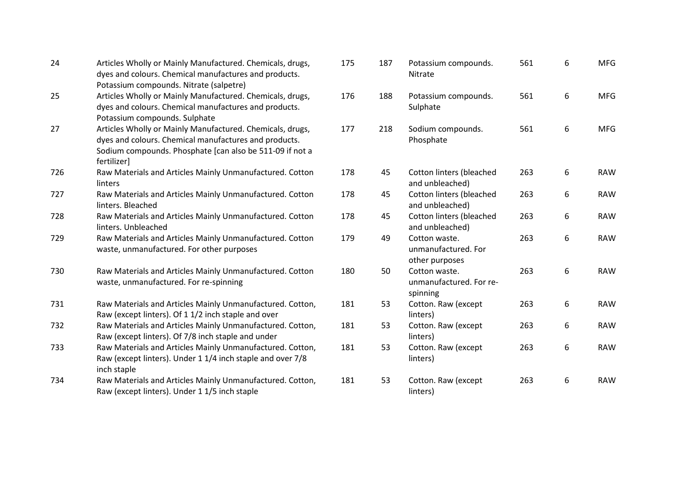| 24  | Articles Wholly or Mainly Manufactured. Chemicals, drugs,<br>dyes and colours. Chemical manufactures and products.<br>Potassium compounds. Nitrate (salpetre)                                 | 175 |
|-----|-----------------------------------------------------------------------------------------------------------------------------------------------------------------------------------------------|-----|
| 25  | Articles Wholly or Mainly Manufactured. Chemicals, drugs,<br>dyes and colours. Chemical manufactures and products.<br>Potassium compounds. Sulphate                                           | 176 |
| 27  | Articles Wholly or Mainly Manufactured. Chemicals, drugs,<br>dyes and colours. Chemical manufactures and products.<br>Sodium compounds. Phosphate [can also be 511-09 if not a<br>fertilizer] | 177 |
| 726 | Raw Materials and Articles Mainly Unmanufactured. Cotton<br>linters                                                                                                                           | 178 |
| 727 | Raw Materials and Articles Mainly Unmanufactured. Cotton<br>linters. Bleached                                                                                                                 | 178 |
| 728 | Raw Materials and Articles Mainly Unmanufactured. Cotton<br>linters. Unbleached                                                                                                               | 178 |
| 729 | Raw Materials and Articles Mainly Unmanufactured. Cotton<br>waste, unmanufactured. For other purposes                                                                                         | 179 |
| 730 | Raw Materials and Articles Mainly Unmanufactured. Cotton<br>waste, unmanufactured. For re-spinning                                                                                            | 180 |
| 731 | Raw Materials and Articles Mainly Unmanufactured. Cotton,<br>Raw (except linters). Of 1 1/2 inch staple and over                                                                              | 181 |
| 732 | Raw Materials and Articles Mainly Unmanufactured. Cotton,<br>Raw (except linters). Of 7/8 inch staple and under                                                                               | 181 |
| 733 | Raw Materials and Articles Mainly Unmanufactured. Cotton,<br>Raw (except linters). Under 1 1/4 inch staple and over 7/8<br>inch staple                                                        | 181 |
| 734 | Raw Materials and Articles Mainly Unmanufactured. Cotton,<br>Raw (except linters). Under 1 1/5 inch staple                                                                                    | 181 |

| 175 | 187 | Potassium compounds.<br>Nitrate                        | 561 | 6 | <b>MFG</b> |
|-----|-----|--------------------------------------------------------|-----|---|------------|
| 176 | 188 | Potassium compounds.<br>Sulphate                       | 561 | 6 | <b>MFG</b> |
| 177 | 218 | Sodium compounds.<br>Phosphate                         | 561 | 6 | <b>MFG</b> |
| 178 | 45  | Cotton linters (bleached<br>and unbleached)            | 263 | 6 | <b>RAW</b> |
| 178 | 45  | Cotton linters (bleached<br>and unbleached)            | 263 | 6 | <b>RAW</b> |
| 178 | 45  | Cotton linters (bleached<br>and unbleached)            | 263 | 6 | <b>RAW</b> |
| 179 | 49  | Cotton waste.<br>unmanufactured. For<br>other purposes | 263 | 6 | <b>RAW</b> |
| 180 | 50  | Cotton waste.<br>unmanufactured. For re-<br>spinning   | 263 | 6 | <b>RAW</b> |
| 181 | 53  | Cotton. Raw (except<br>linters)                        | 263 | 6 | <b>RAW</b> |
| 181 | 53  | Cotton. Raw (except<br>linters)                        | 263 | 6 | <b>RAW</b> |
| 181 | 53  | Cotton. Raw (except<br>linters)                        | 263 | 6 | <b>RAW</b> |
| 181 | 53  | Cotton. Raw (except<br>linters)                        | 263 | 6 | <b>RAW</b> |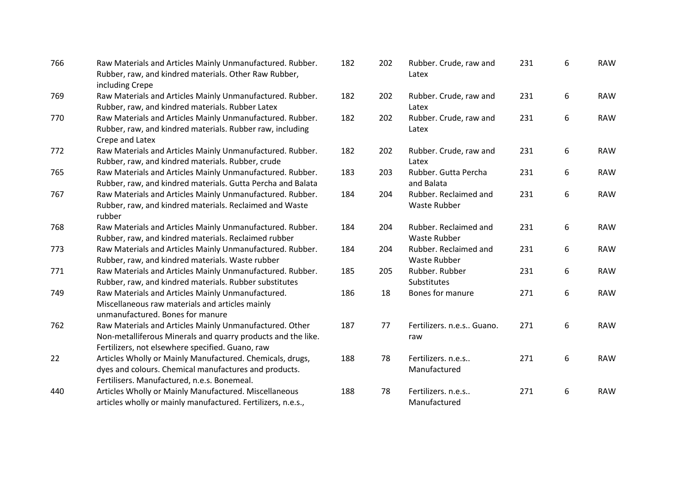| 766 | Raw Materials and Articles Mainly Unmanufactured. Rubber.<br>Rubber, raw, and kindred materials. Other Raw Rubber,                                                          | $\mathbf{1}$   |
|-----|-----------------------------------------------------------------------------------------------------------------------------------------------------------------------------|----------------|
| 769 | including Crepe<br>Raw Materials and Articles Mainly Unmanufactured. Rubber.<br>Rubber, raw, and kindred materials. Rubber Latex                                            | $\mathbf{1}$   |
| 770 | Raw Materials and Articles Mainly Unmanufactured. Rubber.<br>Rubber, raw, and kindred materials. Rubber raw, including<br>Crepe and Latex                                   | $\overline{1}$ |
| 772 | Raw Materials and Articles Mainly Unmanufactured. Rubber.<br>Rubber, raw, and kindred materials. Rubber, crude                                                              | $\mathbf{1}$   |
| 765 | Raw Materials and Articles Mainly Unmanufactured. Rubber.<br>Rubber, raw, and kindred materials. Gutta Percha and Balata                                                    | $\overline{1}$ |
| 767 | Raw Materials and Articles Mainly Unmanufactured. Rubber.<br>Rubber, raw, and kindred materials. Reclaimed and Waste<br>rubber                                              | $\mathbf{1}$   |
| 768 | Raw Materials and Articles Mainly Unmanufactured. Rubber.<br>Rubber, raw, and kindred materials. Reclaimed rubber                                                           | $\mathbf{1}$   |
| 773 | Raw Materials and Articles Mainly Unmanufactured. Rubber.<br>Rubber, raw, and kindred materials. Waste rubber                                                               | $\mathbf{1}$   |
| 771 | Raw Materials and Articles Mainly Unmanufactured. Rubber.<br>Rubber, raw, and kindred materials. Rubber substitutes                                                         | $\mathbf{1}$   |
| 749 | Raw Materials and Articles Mainly Unmanufactured.<br>Miscellaneous raw materials and articles mainly<br>unmanufactured. Bones for manure                                    | $\mathbf{1}$   |
| 762 | Raw Materials and Articles Mainly Unmanufactured. Other<br>Non-metalliferous Minerals and quarry products and the like.<br>Fertilizers, not elsewhere specified. Guano, raw | $\mathbf{1}$   |
| 22  | Articles Wholly or Mainly Manufactured. Chemicals, drugs,<br>dyes and colours. Chemical manufactures and products.<br>Fertilisers. Manufactured, n.e.s. Bonemeal.           | $\overline{1}$ |
| 440 | Articles Wholly or Mainly Manufactured. Miscellaneous<br>articles wholly or mainly manufactured. Fertilizers, n.e.s.,                                                       | $\mathbf{1}$   |

| 182 | 202 | Rubber. Crude, raw and<br>Latex              | 231 | 6 | <b>RAW</b> |
|-----|-----|----------------------------------------------|-----|---|------------|
| 182 | 202 | Rubber. Crude, raw and<br>Latex              | 231 | 6 | <b>RAW</b> |
| 182 | 202 | Rubber. Crude, raw and<br>Latex              | 231 | 6 | <b>RAW</b> |
| 182 | 202 | Rubber. Crude, raw and<br>Latex              | 231 | 6 | <b>RAW</b> |
| 183 | 203 | Rubber. Gutta Percha<br>and Balata           | 231 | 6 | <b>RAW</b> |
| 184 | 204 | Rubber. Reclaimed and<br>Waste Rubber        | 231 | 6 | <b>RAW</b> |
| 184 | 204 | Rubber. Reclaimed and<br><b>Waste Rubber</b> | 231 | 6 | <b>RAW</b> |
| 184 | 204 | Rubber. Reclaimed and<br>Waste Rubber        | 231 | 6 | <b>RAW</b> |
| 185 | 205 | Rubber. Rubber<br>Substitutes                | 231 | 6 | <b>RAW</b> |
| 186 | 18  | Bones for manure                             | 271 | 6 | <b>RAW</b> |
| 187 | 77  | Fertilizers. n.e.s Guano.<br>raw             | 271 | 6 | <b>RAW</b> |
| 188 | 78  | Fertilizers. n.e.s<br>Manufactured           | 271 | 6 | <b>RAW</b> |
| 188 | 78  | Fertilizers. n.e.s<br>Manufactured           | 271 | 6 | <b>RAW</b> |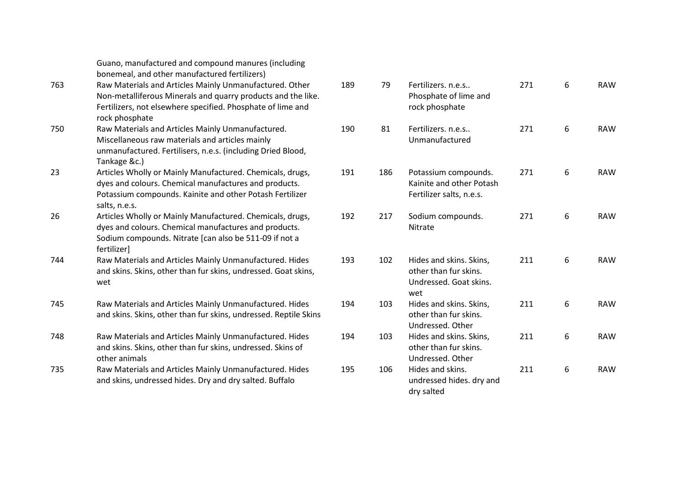|     | Guano, manufactured and compound manures (including<br>bonemeal, and other manufactured fertilizers)                                                                                                     |     |
|-----|----------------------------------------------------------------------------------------------------------------------------------------------------------------------------------------------------------|-----|
| 763 | Raw Materials and Articles Mainly Unmanufactured. Other<br>Non-metalliferous Minerals and quarry products and the like.<br>Fertilizers, not elsewhere specified. Phosphate of lime and<br>rock phosphate | 189 |
| 750 | Raw Materials and Articles Mainly Unmanufactured.<br>Miscellaneous raw materials and articles mainly<br>unmanufactured. Fertilisers, n.e.s. (including Dried Blood,<br>Tankage &c.)                      | 190 |
| 23  | Articles Wholly or Mainly Manufactured. Chemicals, drugs,<br>dyes and colours. Chemical manufactures and products.<br>Potassium compounds. Kainite and other Potash Fertilizer<br>salts, n.e.s.          | 191 |
| 26  | Articles Wholly or Mainly Manufactured. Chemicals, drugs,<br>dyes and colours. Chemical manufactures and products.<br>Sodium compounds. Nitrate [can also be 511-09 if not a<br>fertilizer]              | 192 |
| 744 | Raw Materials and Articles Mainly Unmanufactured. Hides<br>and skins. Skins, other than fur skins, undressed. Goat skins,<br>wet                                                                         | 193 |
| 745 | Raw Materials and Articles Mainly Unmanufactured. Hides<br>and skins. Skins, other than fur skins, undressed. Reptile Skins                                                                              | 194 |
| 748 | Raw Materials and Articles Mainly Unmanufactured. Hides<br>and skins. Skins, other than fur skins, undressed. Skins of<br>other animals                                                                  | 194 |
| 735 | Raw Materials and Articles Mainly Unmanufactured. Hides<br>and skins, undressed hides. Dry and dry salted. Buffalo                                                                                       | 195 |

| 189 | 79  | Fertilizers. n.e.s<br>Phosphate of lime and<br>rock phosphate                     | 271 | 6 | <b>RAW</b> |
|-----|-----|-----------------------------------------------------------------------------------|-----|---|------------|
| 190 | 81  | Fertilizers. n.e.s<br>Unmanufactured                                              | 271 | 6 | <b>RAW</b> |
| 191 | 186 | Potassium compounds.<br>Kainite and other Potash<br>Fertilizer salts, n.e.s.      | 271 | 6 | <b>RAW</b> |
| 192 | 217 | Sodium compounds.<br>Nitrate                                                      | 271 | 6 | <b>RAW</b> |
| 193 | 102 | Hides and skins. Skins,<br>other than fur skins.<br>Undressed. Goat skins.<br>wet | 211 | 6 | <b>RAW</b> |
| 194 | 103 | Hides and skins. Skins,<br>other than fur skins.<br>Undressed. Other              | 211 | 6 | <b>RAW</b> |
| 194 | 103 | Hides and skins. Skins,<br>other than fur skins.<br>Undressed. Other              | 211 | 6 | <b>RAW</b> |
| 195 | 106 | Hides and skins.<br>undressed hides. dry and<br>dry salted                        | 211 | 6 | <b>RAW</b> |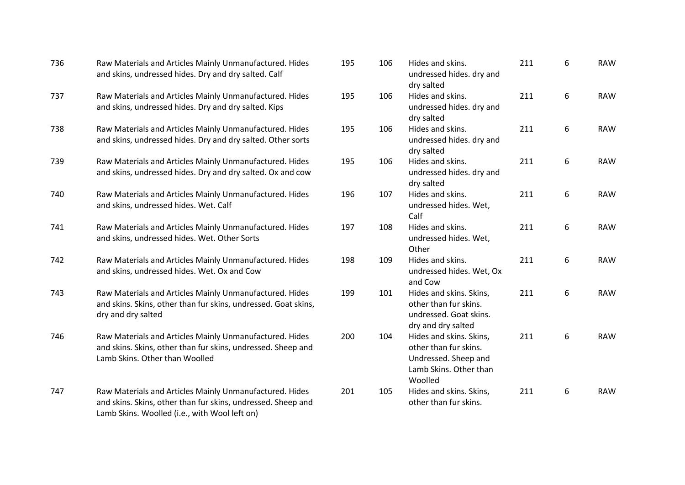| 736 | Raw Materials and Articles Mainly Unmanufactured. Hides<br>and skins, undressed hides. Dry and dry salted. Calf                                                          | 195 | 106 | Hides and skins.<br>undressed hides. dry and<br>dry salted                                                    | 211 | 6                | <b>RAW</b> |
|-----|--------------------------------------------------------------------------------------------------------------------------------------------------------------------------|-----|-----|---------------------------------------------------------------------------------------------------------------|-----|------------------|------------|
| 737 | Raw Materials and Articles Mainly Unmanufactured. Hides<br>and skins, undressed hides. Dry and dry salted. Kips                                                          | 195 | 106 | Hides and skins.<br>undressed hides. dry and<br>dry salted                                                    | 211 | 6                | <b>RAW</b> |
| 738 | Raw Materials and Articles Mainly Unmanufactured. Hides<br>and skins, undressed hides. Dry and dry salted. Other sorts                                                   | 195 | 106 | Hides and skins.<br>undressed hides. dry and<br>dry salted                                                    | 211 | 6                | <b>RAW</b> |
| 739 | Raw Materials and Articles Mainly Unmanufactured. Hides<br>and skins, undressed hides. Dry and dry salted. Ox and cow                                                    | 195 | 106 | Hides and skins.<br>undressed hides. dry and<br>dry salted                                                    | 211 | 6                | <b>RAW</b> |
| 740 | Raw Materials and Articles Mainly Unmanufactured. Hides<br>and skins, undressed hides. Wet. Calf                                                                         | 196 | 107 | Hides and skins.<br>undressed hides. Wet,<br>Calf                                                             | 211 | 6                | <b>RAW</b> |
| 741 | Raw Materials and Articles Mainly Unmanufactured. Hides<br>and skins, undressed hides. Wet. Other Sorts                                                                  | 197 | 108 | Hides and skins.<br>undressed hides. Wet,<br>Other                                                            | 211 | 6                | <b>RAW</b> |
| 742 | Raw Materials and Articles Mainly Unmanufactured. Hides<br>and skins, undressed hides. Wet. Ox and Cow                                                                   | 198 | 109 | Hides and skins.<br>undressed hides. Wet, Ox<br>and Cow                                                       | 211 | $\boldsymbol{6}$ | <b>RAW</b> |
| 743 | Raw Materials and Articles Mainly Unmanufactured. Hides<br>and skins. Skins, other than fur skins, undressed. Goat skins,<br>dry and dry salted                          | 199 | 101 | Hides and skins. Skins,<br>other than fur skins.<br>undressed. Goat skins.<br>dry and dry salted              | 211 | 6                | <b>RAW</b> |
| 746 | Raw Materials and Articles Mainly Unmanufactured. Hides<br>and skins. Skins, other than fur skins, undressed. Sheep and<br>Lamb Skins. Other than Woolled                | 200 | 104 | Hides and skins. Skins,<br>other than fur skins.<br>Undressed. Sheep and<br>Lamb Skins. Other than<br>Woolled | 211 | $\boldsymbol{6}$ | <b>RAW</b> |
| 747 | Raw Materials and Articles Mainly Unmanufactured. Hides<br>and skins. Skins, other than fur skins, undressed. Sheep and<br>Lamb Skins. Woolled (i.e., with Wool left on) | 201 | 105 | Hides and skins. Skins,<br>other than fur skins.                                                              | 211 | 6                | <b>RAW</b> |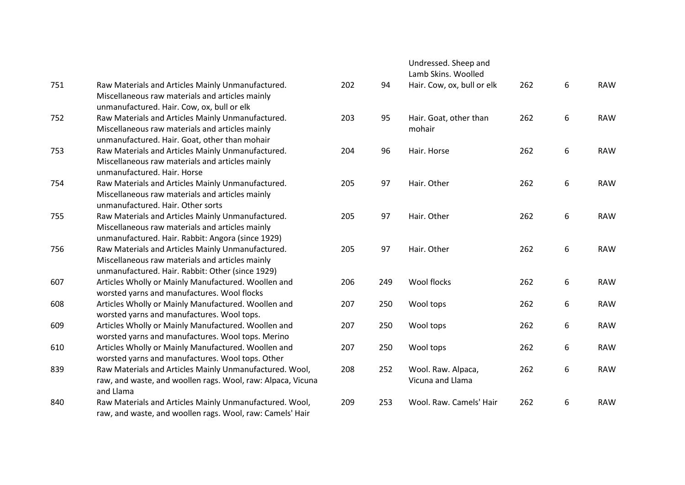| 751 | Raw Materials and Articles Mainly Unmanufactured.<br>Miscellaneous raw materials and articles mainly | 20 |
|-----|------------------------------------------------------------------------------------------------------|----|
|     | unmanufactured. Hair. Cow, ox, bull or elk                                                           |    |
| 752 | Raw Materials and Articles Mainly Unmanufactured.                                                    | 20 |
|     | Miscellaneous raw materials and articles mainly                                                      |    |
|     | unmanufactured. Hair. Goat, other than mohair                                                        |    |
| 753 | Raw Materials and Articles Mainly Unmanufactured.                                                    | 20 |
|     | Miscellaneous raw materials and articles mainly                                                      |    |
|     | unmanufactured. Hair. Horse                                                                          |    |
| 754 | Raw Materials and Articles Mainly Unmanufactured.                                                    | 20 |
|     | Miscellaneous raw materials and articles mainly                                                      |    |
|     | unmanufactured. Hair. Other sorts                                                                    |    |
| 755 | Raw Materials and Articles Mainly Unmanufactured.                                                    | 20 |
|     | Miscellaneous raw materials and articles mainly                                                      |    |
|     | unmanufactured. Hair. Rabbit: Angora (since 1929)                                                    |    |
| 756 | Raw Materials and Articles Mainly Unmanufactured.                                                    | 20 |
|     | Miscellaneous raw materials and articles mainly                                                      |    |
|     | unmanufactured. Hair. Rabbit: Other (since 1929)                                                     |    |
| 607 | Articles Wholly or Mainly Manufactured. Woollen and                                                  | 20 |
|     | worsted yarns and manufactures. Wool flocks                                                          |    |
| 608 | Articles Wholly or Mainly Manufactured. Woollen and                                                  | 20 |
|     | worsted yarns and manufactures. Wool tops.                                                           |    |
| 609 | Articles Wholly or Mainly Manufactured. Woollen and                                                  | 20 |
|     | worsted yarns and manufactures. Wool tops. Merino                                                    |    |
| 610 | Articles Wholly or Mainly Manufactured. Woollen and                                                  | 20 |
|     | worsted yarns and manufactures. Wool tops. Other                                                     |    |
| 839 | Raw Materials and Articles Mainly Unmanufactured. Wool,                                              | 20 |
|     | raw, and waste, and woollen rags. Wool, raw: Alpaca, Vicuna                                          |    |
|     | and Llama                                                                                            |    |
| 840 | Raw Materials and Articles Mainly Unmanufactured. Wool,                                              | 20 |
|     | raw, and waste, and woollen rags. Wool, raw: Camels' Hair                                            |    |
|     |                                                                                                      |    |

|     |     | Undressed. Sheep and<br>Lamb Skins. Woolled |     |   |            |
|-----|-----|---------------------------------------------|-----|---|------------|
| 202 | 94  | Hair. Cow, ox, bull or elk                  | 262 | 6 | <b>RAW</b> |
| 203 | 95  | Hair. Goat, other than<br>mohair            | 262 | 6 | <b>RAW</b> |
| 204 | 96  | Hair. Horse                                 | 262 | 6 | <b>RAW</b> |
| 205 | 97  | Hair. Other                                 | 262 | 6 | <b>RAW</b> |
| 205 | 97  | Hair. Other                                 | 262 | 6 | <b>RAW</b> |
| 205 | 97  | Hair. Other                                 | 262 | 6 | <b>RAW</b> |
| 206 | 249 | <b>Wool flocks</b>                          | 262 | 6 | <b>RAW</b> |
| 207 | 250 | Wool tops                                   | 262 | 6 | <b>RAW</b> |
| 207 | 250 | Wool tops                                   | 262 | 6 | <b>RAW</b> |
| 207 | 250 | Wool tops                                   | 262 | 6 | <b>RAW</b> |
| 208 | 252 | Wool. Raw. Alpaca,<br>Vicuna and Llama      | 262 | 6 | <b>RAW</b> |
| 209 | 253 | Wool. Raw. Camels' Hair                     | 262 | 6 | <b>RAW</b> |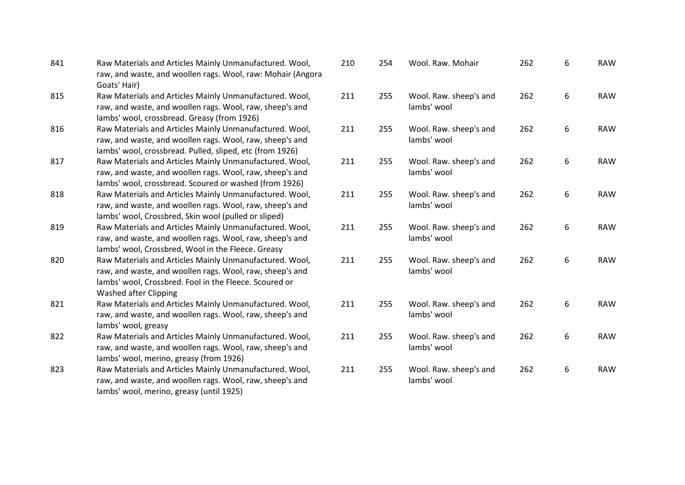| 841 | Raw Materials and Articles Mainly Unmanufactured. Wool,                     | 210             |
|-----|-----------------------------------------------------------------------------|-----------------|
|     | raw, and waste, and woollen rags. Wool, raw: Mohair (Angora<br>Goats' Hair) |                 |
| 815 | Raw Materials and Articles Mainly Unmanufactured. Wool,                     | 21 <sup>2</sup> |
|     | raw, and waste, and woollen rags. Wool, raw, sheep's and                    |                 |
|     | lambs' wool, crossbread. Greasy (from 1926)                                 |                 |
| 816 | Raw Materials and Articles Mainly Unmanufactured. Wool,                     | 21 <sup>2</sup> |
|     | raw, and waste, and woollen rags. Wool, raw, sheep's and                    |                 |
|     | lambs' wool, crossbread. Pulled, sliped, etc (from 1926)                    |                 |
| 817 | Raw Materials and Articles Mainly Unmanufactured. Wool,                     | 21 <sup>2</sup> |
|     | raw, and waste, and woollen rags. Wool, raw, sheep's and                    |                 |
|     | lambs' wool, crossbread. Scoured or washed (from 1926)                      |                 |
| 818 | Raw Materials and Articles Mainly Unmanufactured. Wool,                     | 21 <sup>2</sup> |
|     | raw, and waste, and woollen rags. Wool, raw, sheep's and                    |                 |
|     | lambs' wool, Crossbred, Skin wool (pulled or sliped)                        |                 |
| 819 | Raw Materials and Articles Mainly Unmanufactured. Wool,                     | 21 <sup>2</sup> |
|     | raw, and waste, and woollen rags. Wool, raw, sheep's and                    |                 |
|     | lambs' wool, Crossbred, Wool in the Fleece. Greasy                          |                 |
| 820 | Raw Materials and Articles Mainly Unmanufactured. Wool,                     | 21 <sup>2</sup> |
|     | raw, and waste, and woollen rags. Wool, raw, sheep's and                    |                 |
|     | lambs' wool, Crossbred. Fool in the Fleece. Scoured or                      |                 |
|     | Washed after Clipping                                                       |                 |
| 821 | Raw Materials and Articles Mainly Unmanufactured. Wool,                     | 21 <sup>2</sup> |
|     | raw, and waste, and woollen rags. Wool, raw, sheep's and                    |                 |
|     | lambs' wool, greasy                                                         |                 |
| 822 | Raw Materials and Articles Mainly Unmanufactured. Wool,                     | 21 <sup>2</sup> |
|     | raw, and waste, and woollen rags. Wool, raw, sheep's and                    |                 |
|     | lambs' wool, merino, greasy (from 1926)                                     |                 |
| 823 | Raw Materials and Articles Mainly Unmanufactured. Wool,                     | 21 <sup>2</sup> |
|     | raw, and waste, and woollen rags. Wool, raw, sheep's and                    |                 |
|     | lambs' wool, merino, greasy (until 1925)                                    |                 |
|     |                                                                             |                 |

| 210 | 254 | Wool. Raw. Mohair                     | 262 | 6 | <b>RAW</b> |
|-----|-----|---------------------------------------|-----|---|------------|
| 211 | 255 | Wool. Raw. sheep's and<br>lambs' wool | 262 | 6 | <b>RAW</b> |
| 211 | 255 | Wool. Raw. sheep's and<br>lambs' wool | 262 | 6 | <b>RAW</b> |
| 211 | 255 | Wool. Raw. sheep's and<br>lambs' wool | 262 | 6 | <b>RAW</b> |
| 211 | 255 | Wool. Raw. sheep's and<br>lambs' wool | 262 | 6 | <b>RAW</b> |
| 211 | 255 | Wool. Raw. sheep's and<br>lambs' wool | 262 | 6 | <b>RAW</b> |
| 211 | 255 | Wool. Raw. sheep's and<br>lambs' wool | 262 | 6 | <b>RAW</b> |
| 211 | 255 | Wool. Raw. sheep's and<br>lambs' wool | 262 | 6 | <b>RAW</b> |
| 211 | 255 | Wool. Raw. sheep's and<br>lambs' wool | 262 | 6 | <b>RAW</b> |
| 211 | 255 | Wool. Raw. sheep's and<br>lambs' wool | 262 | 6 | <b>RAW</b> |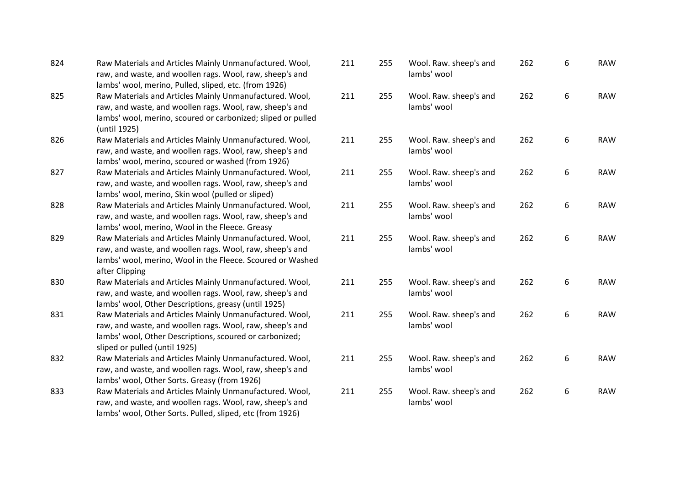| 824 | Raw Materials and Articles Mainly Unmanufactured. Wool,<br>raw, and waste, and woollen rags. Wool, raw, sheep's and<br>lambs' wool, merino, Pulled, sliped, etc. (from 1926)                                    | 211 | 255 | Wool. Raw. sheep's and<br>lambs' wool | 262 | 6 |
|-----|-----------------------------------------------------------------------------------------------------------------------------------------------------------------------------------------------------------------|-----|-----|---------------------------------------|-----|---|
| 825 | Raw Materials and Articles Mainly Unmanufactured. Wool,<br>raw, and waste, and woollen rags. Wool, raw, sheep's and<br>lambs' wool, merino, scoured or carbonized; sliped or pulled<br>(until 1925)             | 211 | 255 | Wool. Raw. sheep's and<br>lambs' wool | 262 | 6 |
| 826 | Raw Materials and Articles Mainly Unmanufactured. Wool,<br>raw, and waste, and woollen rags. Wool, raw, sheep's and<br>lambs' wool, merino, scoured or washed (from 1926)                                       | 211 | 255 | Wool. Raw. sheep's and<br>lambs' wool | 262 | 6 |
| 827 | Raw Materials and Articles Mainly Unmanufactured. Wool,<br>raw, and waste, and woollen rags. Wool, raw, sheep's and<br>lambs' wool, merino, Skin wool (pulled or sliped)                                        | 211 | 255 | Wool. Raw. sheep's and<br>lambs' wool | 262 | 6 |
| 828 | Raw Materials and Articles Mainly Unmanufactured. Wool,<br>raw, and waste, and woollen rags. Wool, raw, sheep's and<br>lambs' wool, merino, Wool in the Fleece. Greasy                                          | 211 | 255 | Wool. Raw. sheep's and<br>lambs' wool | 262 | 6 |
| 829 | Raw Materials and Articles Mainly Unmanufactured. Wool,<br>raw, and waste, and woollen rags. Wool, raw, sheep's and<br>lambs' wool, merino, Wool in the Fleece. Scoured or Washed<br>after Clipping             | 211 | 255 | Wool. Raw. sheep's and<br>lambs' wool | 262 | 6 |
| 830 | Raw Materials and Articles Mainly Unmanufactured. Wool,<br>raw, and waste, and woollen rags. Wool, raw, sheep's and<br>lambs' wool, Other Descriptions, greasy (until 1925)                                     | 211 | 255 | Wool. Raw. sheep's and<br>lambs' wool | 262 | 6 |
| 831 | Raw Materials and Articles Mainly Unmanufactured. Wool,<br>raw, and waste, and woollen rags. Wool, raw, sheep's and<br>lambs' wool, Other Descriptions, scoured or carbonized;<br>sliped or pulled (until 1925) | 211 | 255 | Wool. Raw. sheep's and<br>lambs' wool | 262 | 6 |
| 832 | Raw Materials and Articles Mainly Unmanufactured. Wool,<br>raw, and waste, and woollen rags. Wool, raw, sheep's and<br>lambs' wool, Other Sorts. Greasy (from 1926)                                             | 211 | 255 | Wool. Raw. sheep's and<br>lambs' wool | 262 | 6 |
| 833 | Raw Materials and Articles Mainly Unmanufactured. Wool,<br>raw, and waste, and woollen rags. Wool, raw, sheep's and<br>lambs' wool, Other Sorts. Pulled, sliped, etc (from 1926)                                | 211 | 255 | Wool. Raw. sheep's and<br>lambs' wool | 262 | 6 |

**RAW** 

**RAW** 

**RAW** 

**RAW** 

**RAW** 

**RAW** 

**RAW** 

**RAW** 

**RAW** 

**RAW**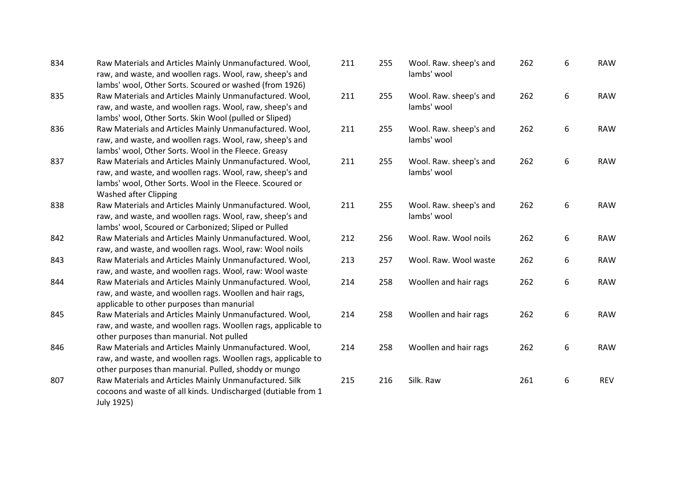| 834 | Raw Materials and Articles Mainly Unmanufactured. Wool,<br>raw, and waste, and woollen rags. Wool, raw, sheep's and |
|-----|---------------------------------------------------------------------------------------------------------------------|
|     | lambs' wool, Other Sorts. Scoured or washed (from 1926)                                                             |
| 835 | Raw Materials and Articles Mainly Unmanufactured. Wool,                                                             |
|     | raw, and waste, and woollen rags. Wool, raw, sheep's and                                                            |
|     | lambs' wool, Other Sorts. Skin Wool (pulled or Sliped)                                                              |
| 836 | Raw Materials and Articles Mainly Unmanufactured. Wool,                                                             |
|     | raw, and waste, and woollen rags. Wool, raw, sheep's and                                                            |
|     | lambs' wool, Other Sorts. Wool in the Fleece. Greasy                                                                |
| 837 | Raw Materials and Articles Mainly Unmanufactured. Wool,                                                             |
|     | raw, and waste, and woollen rags. Wool, raw, sheep's and                                                            |
|     | lambs' wool, Other Sorts. Wool in the Fleece. Scoured or                                                            |
|     | <b>Washed after Clipping</b>                                                                                        |
| 838 | Raw Materials and Articles Mainly Unmanufactured. Wool,                                                             |
|     | raw, and waste, and woollen rags. Wool, raw, sheep's and                                                            |
|     | lambs' wool, Scoured or Carbonized; Sliped or Pulled                                                                |
| 842 | Raw Materials and Articles Mainly Unmanufactured. Wool,                                                             |
|     | raw, and waste, and woollen rags. Wool, raw: Wool noils                                                             |
| 843 | Raw Materials and Articles Mainly Unmanufactured. Wool,                                                             |
|     | raw, and waste, and woollen rags. Wool, raw: Wool waste                                                             |
| 844 | Raw Materials and Articles Mainly Unmanufactured. Wool,                                                             |
|     | raw, and waste, and woollen rags. Woollen and hair rags,                                                            |
|     | applicable to other purposes than manurial                                                                          |
| 845 | Raw Materials and Articles Mainly Unmanufactured. Wool,                                                             |
|     | raw, and waste, and woollen rags. Woollen rags, applicable to                                                       |
|     | other purposes than manurial. Not pulled                                                                            |
| 846 | Raw Materials and Articles Mainly Unmanufactured. Wool,                                                             |
|     | raw, and waste, and woollen rags. Woollen rags, applicable to                                                       |
|     | other purposes than manurial. Pulled, shoddy or mungo                                                               |
| 807 | Raw Materials and Articles Mainly Unmanufactured. Silk                                                              |
|     | cocoons and waste of all kinds. Undischarged (dutiable from 1                                                       |
|     | July 1925)                                                                                                          |

| 211 | 255 | Wool. Raw. sheep's and<br>lambs' wool | 262 | 6 | <b>RAW</b> |
|-----|-----|---------------------------------------|-----|---|------------|
| 211 | 255 | Wool. Raw. sheep's and<br>lambs' wool | 262 | 6 | <b>RAW</b> |
| 211 | 255 | Wool. Raw. sheep's and<br>lambs' wool | 262 | 6 | <b>RAW</b> |
| 211 | 255 | Wool. Raw. sheep's and<br>lambs' wool | 262 | 6 | <b>RAW</b> |
| 211 | 255 | Wool. Raw. sheep's and<br>lambs' wool | 262 | 6 | <b>RAW</b> |
| 212 | 256 | Wool. Raw. Wool noils                 | 262 | 6 | <b>RAW</b> |
| 213 | 257 | Wool. Raw. Wool waste                 | 262 | 6 | <b>RAW</b> |
| 214 | 258 | Woollen and hair rags                 | 262 | 6 | <b>RAW</b> |
| 214 | 258 | Woollen and hair rags                 | 262 | 6 | <b>RAW</b> |
| 214 | 258 | Woollen and hair rags                 | 262 | 6 | <b>RAW</b> |
| 215 | 216 | Silk. Raw                             | 261 | 6 | <b>REV</b> |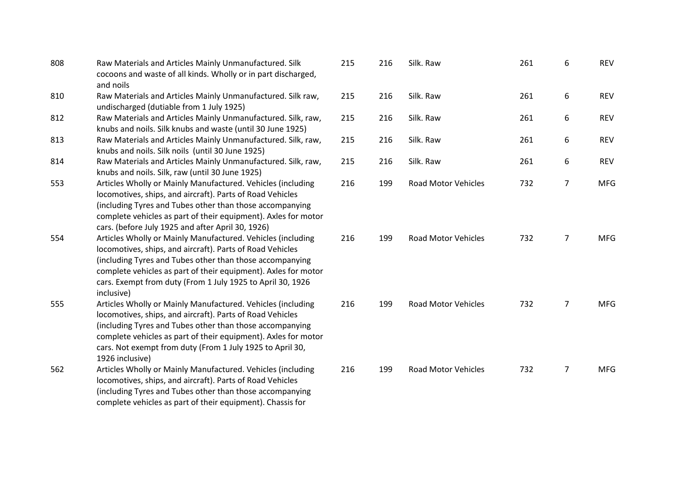| 808 | Raw Materials and Articles Mainly Unmanufactured. Silk<br>cocoons and waste of all kinds. Wholly or in part discharged,<br>and noils                                                                                                                                                                                                   | 215 | 216 | Silk. Raw                  | 261 | 6              | <b>REV</b> |
|-----|----------------------------------------------------------------------------------------------------------------------------------------------------------------------------------------------------------------------------------------------------------------------------------------------------------------------------------------|-----|-----|----------------------------|-----|----------------|------------|
| 810 | Raw Materials and Articles Mainly Unmanufactured. Silk raw,<br>undischarged (dutiable from 1 July 1925)                                                                                                                                                                                                                                | 215 | 216 | Silk. Raw                  | 261 | 6              | <b>REV</b> |
| 812 | Raw Materials and Articles Mainly Unmanufactured. Silk, raw,<br>knubs and noils. Silk knubs and waste (until 30 June 1925)                                                                                                                                                                                                             | 215 | 216 | Silk. Raw                  | 261 | 6              | <b>REV</b> |
| 813 | Raw Materials and Articles Mainly Unmanufactured. Silk, raw,<br>knubs and noils. Silk noils (until 30 June 1925)                                                                                                                                                                                                                       | 215 | 216 | Silk. Raw                  | 261 | 6              | <b>REV</b> |
| 814 | Raw Materials and Articles Mainly Unmanufactured. Silk, raw,<br>knubs and noils. Silk, raw (until 30 June 1925)                                                                                                                                                                                                                        | 215 | 216 | Silk. Raw                  | 261 | 6              | <b>REV</b> |
| 553 | Articles Wholly or Mainly Manufactured. Vehicles (including<br>locomotives, ships, and aircraft). Parts of Road Vehicles<br>(including Tyres and Tubes other than those accompanying<br>complete vehicles as part of their equipment). Axles for motor<br>cars. (before July 1925 and after April 30, 1926)                            | 216 | 199 | <b>Road Motor Vehicles</b> | 732 | 7              | <b>MFG</b> |
| 554 | Articles Wholly or Mainly Manufactured. Vehicles (including<br>locomotives, ships, and aircraft). Parts of Road Vehicles<br>(including Tyres and Tubes other than those accompanying<br>complete vehicles as part of their equipment). Axles for motor<br>cars. Exempt from duty (From 1 July 1925 to April 30, 1926<br>inclusive)     | 216 | 199 | <b>Road Motor Vehicles</b> | 732 | $\overline{7}$ | <b>MFG</b> |
| 555 | Articles Wholly or Mainly Manufactured. Vehicles (including<br>locomotives, ships, and aircraft). Parts of Road Vehicles<br>(including Tyres and Tubes other than those accompanying<br>complete vehicles as part of their equipment). Axles for motor<br>cars. Not exempt from duty (From 1 July 1925 to April 30,<br>1926 inclusive) | 216 | 199 | <b>Road Motor Vehicles</b> | 732 | $\overline{7}$ | <b>MFG</b> |
| 562 | Articles Wholly or Mainly Manufactured. Vehicles (including<br>locomotives, ships, and aircraft). Parts of Road Vehicles<br>(including Tyres and Tubes other than those accompanying<br>complete vehicles as part of their equipment). Chassis for                                                                                     | 216 | 199 | <b>Road Motor Vehicles</b> | 732 | $\overline{7}$ | <b>MFG</b> |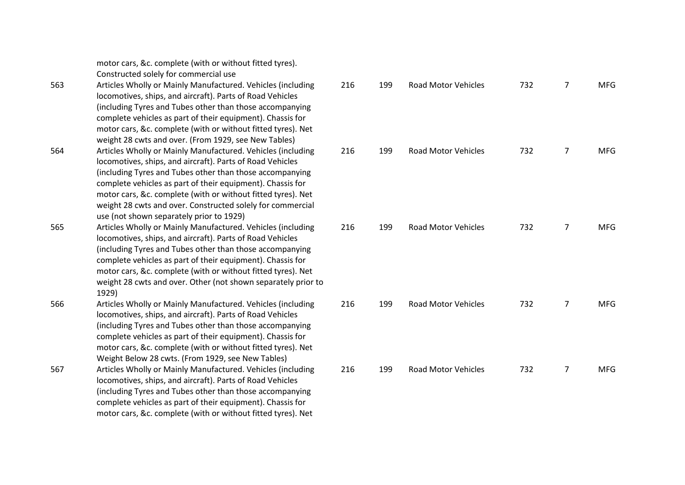|     | motor cars, &c. complete (with or without fitted tyres).      |
|-----|---------------------------------------------------------------|
|     | Constructed solely for commercial use                         |
| 563 | Articles Wholly or Mainly Manufactured. Vehicles (including   |
|     | locomotives, ships, and aircraft). Parts of Road Vehicles     |
|     | (including Tyres and Tubes other than those accompanying      |
|     | complete vehicles as part of their equipment). Chassis for    |
|     | motor cars, &c. complete (with or without fitted tyres). Net  |
|     | weight 28 cwts and over. (From 1929, see New Tables)          |
| 564 | Articles Wholly or Mainly Manufactured. Vehicles (including   |
|     | locomotives, ships, and aircraft). Parts of Road Vehicles     |
|     | (including Tyres and Tubes other than those accompanying      |
|     | complete vehicles as part of their equipment). Chassis for    |
|     | motor cars, &c. complete (with or without fitted tyres). Net  |
|     | weight 28 cwts and over. Constructed solely for commercial    |
|     | use (not shown separately prior to 1929)                      |
| 565 | Articles Wholly or Mainly Manufactured. Vehicles (including   |
|     | locomotives, ships, and aircraft). Parts of Road Vehicles     |
|     | (including Tyres and Tubes other than those accompanying      |
|     | complete vehicles as part of their equipment). Chassis for    |
|     | motor cars, &c. complete (with or without fitted tyres). Net  |
|     | weight 28 cwts and over. Other (not shown separately prior to |
|     | 1929)                                                         |
| 566 | Articles Wholly or Mainly Manufactured. Vehicles (including   |
|     | locomotives, ships, and aircraft). Parts of Road Vehicles     |
|     | (including Tyres and Tubes other than those accompanying      |
|     | complete vehicles as part of their equipment). Chassis for    |
|     | motor cars, &c. complete (with or without fitted tyres). Net  |
|     | Weight Below 28 cwts. (From 1929, see New Tables)             |
| 567 | Articles Wholly or Mainly Manufactured. Vehicles (including   |
|     | locomotives, ships, and aircraft). Parts of Road Vehicles     |
|     | (including Tyres and Tubes other than those accompanying      |
|     | complete vehicles as part of their equipment). Chassis for    |
|     | motor cars, &c. complete (with or without fitted tyres). Net  |

| 216 | 199 | <b>Road Motor Vehicles</b> | 732 | 7              | <b>MFG</b>  |
|-----|-----|----------------------------|-----|----------------|-------------|
| 216 | 199 | <b>Road Motor Vehicles</b> | 732 | 7              | <b>MFG</b>  |
| 216 | 199 | <b>Road Motor Vehicles</b> | 732 | $\overline{7}$ | <b>MFG</b>  |
| 216 | 199 | <b>Road Motor Vehicles</b> | 732 | 7              | ${\sf MFG}$ |
| 216 | 199 | Road Motor Vehicles        | 732 | $\overline{7}$ | <b>MFG</b>  |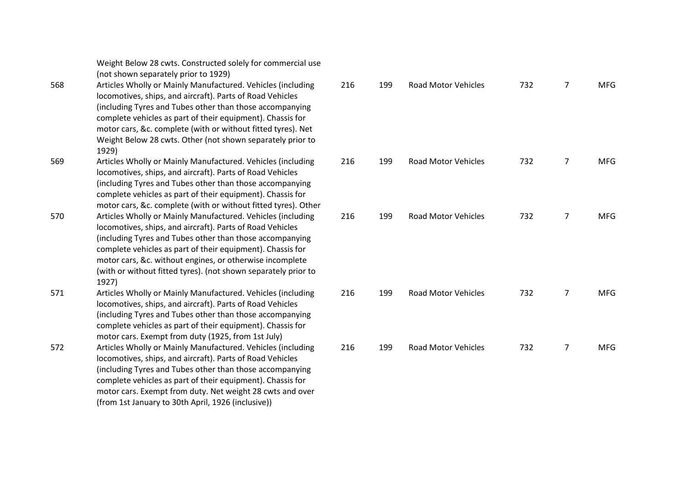Weight Below 28 cwts. Constructed solely for commercial use (not shown separately prior to 1929)

- 568 Articles Wholly or Mainly Manufactured. Vehicles (including locomotives, ships, and aircraft). Parts of Road Vehicles (including Tyres and Tubes other than those accompanying complete vehicles as part of their equipment). Chassis for motor cars, &c. complete (with or without fitted tyres). Net Weight Below 28 cwts. Other (not shown separately prior to 1929)
- 569 Articles Wholly or Mainly Manufactured. Vehicles (including locomotives, ships, and aircraft). Parts of Road Vehicles (including Tyres and Tubes other than those accompanying complete vehicles as part of their equipment). Chassis for motor cars, &c. complete (with or without fitted tyres). Other
- 570 Articles Wholly or Mainly Manufactured. Vehicles (including locomotives, ships, and aircraft). Parts of Road Vehicles (including Tyres and Tubes other than those accompanying complete vehicles as part of their equipment). Chassis for motor cars, &c. without engines, or otherwise incomplete (with or without fitted tyres). (not shown separately prior to 1927)
- 571 Articles Wholly or Mainly Manufactured. Vehicles (including locomotives, ships, and aircraft). Parts of Road Vehicles (including Tyres and Tubes other than those accompanying complete vehicles as part of their equipment). Chassis for motor cars. Exempt from duty (1925, from 1st July)
- 572 Articles Wholly or Mainly Manufactured. Vehicles (including locomotives, ships, and aircraft). Parts of Road Vehicles (including Tyres and Tubes other than those accompanying complete vehicles as part of their equipment). Chassis for motor cars. Exempt from duty. Net weight 28 cwts and over (from 1st January to 30th April, 1926 (inclusive))

| 216 | 199 | Road Motor Vehicles        | 732 | 7              | <b>MFG</b> |
|-----|-----|----------------------------|-----|----------------|------------|
| 216 | 199 | Road Motor Vehicles        | 732 | 7              | <b>MFG</b> |
| 216 | 199 | <b>Road Motor Vehicles</b> | 732 | $\overline{7}$ | <b>MFG</b> |
| 216 | 199 | <b>Road Motor Vehicles</b> | 732 | 7              | <b>MFG</b> |
| 216 | 199 | <b>Road Motor Vehicles</b> | 732 | 7              | <b>MFG</b> |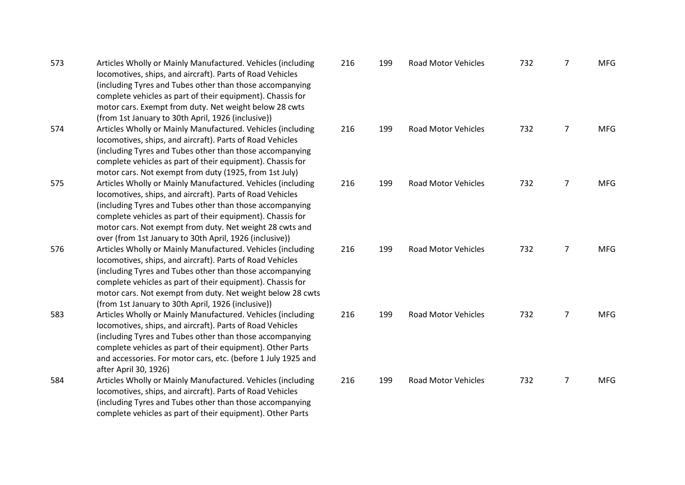| 573 | Articles Wholly or Mainly Manufactured. Vehicles (including   | 216 |
|-----|---------------------------------------------------------------|-----|
|     | locomotives, ships, and aircraft). Parts of Road Vehicles     |     |
|     | (including Tyres and Tubes other than those accompanying      |     |
|     | complete vehicles as part of their equipment). Chassis for    |     |
|     | motor cars. Exempt from duty. Net weight below 28 cwts        |     |
|     | (from 1st January to 30th April, 1926 (inclusive))            |     |
| 574 | Articles Wholly or Mainly Manufactured. Vehicles (including   | 216 |
|     | locomotives, ships, and aircraft). Parts of Road Vehicles     |     |
|     | (including Tyres and Tubes other than those accompanying      |     |
|     | complete vehicles as part of their equipment). Chassis for    |     |
|     | motor cars. Not exempt from duty (1925, from 1st July)        |     |
| 575 | Articles Wholly or Mainly Manufactured. Vehicles (including   | 216 |
|     | locomotives, ships, and aircraft). Parts of Road Vehicles     |     |
|     | (including Tyres and Tubes other than those accompanying      |     |
|     | complete vehicles as part of their equipment). Chassis for    |     |
|     | motor cars. Not exempt from duty. Net weight 28 cwts and      |     |
|     | over (from 1st January to 30th April, 1926 (inclusive))       |     |
| 576 | Articles Wholly or Mainly Manufactured. Vehicles (including   | 216 |
|     | locomotives, ships, and aircraft). Parts of Road Vehicles     |     |
|     | (including Tyres and Tubes other than those accompanying      |     |
|     | complete vehicles as part of their equipment). Chassis for    |     |
|     | motor cars. Not exempt from duty. Net weight below 28 cwts    |     |
|     | (from 1st January to 30th April, 1926 (inclusive))            |     |
| 583 | Articles Wholly or Mainly Manufactured. Vehicles (including   | 216 |
|     | locomotives, ships, and aircraft). Parts of Road Vehicles     |     |
|     | (including Tyres and Tubes other than those accompanying      |     |
|     | complete vehicles as part of their equipment). Other Parts    |     |
|     | and accessories. For motor cars, etc. (before 1 July 1925 and |     |
|     | after April 30, 1926)                                         |     |
| 584 | Articles Wholly or Mainly Manufactured. Vehicles (including   | 216 |
|     | locomotives, ships, and aircraft). Parts of Road Vehicles     |     |
|     | (including Tyres and Tubes other than those accompanying      |     |
|     | complete vehicles as part of their equipment). Other Parts    |     |

| 216 | 199 | <b>Road Motor Vehicles</b> | 732 | 7              | <b>MFG</b> |
|-----|-----|----------------------------|-----|----------------|------------|
| 216 | 199 | <b>Road Motor Vehicles</b> | 732 | $\overline{7}$ | <b>MFG</b> |
| 216 | 199 | <b>Road Motor Vehicles</b> | 732 | 7              | <b>MFG</b> |
| 216 | 199 | <b>Road Motor Vehicles</b> | 732 | 7              | <b>MFG</b> |
| 216 | 199 | <b>Road Motor Vehicles</b> | 732 | 7              | MFG        |
| 216 | 199 | <b>Road Motor Vehicles</b> | 732 | 7              | <b>MFG</b> |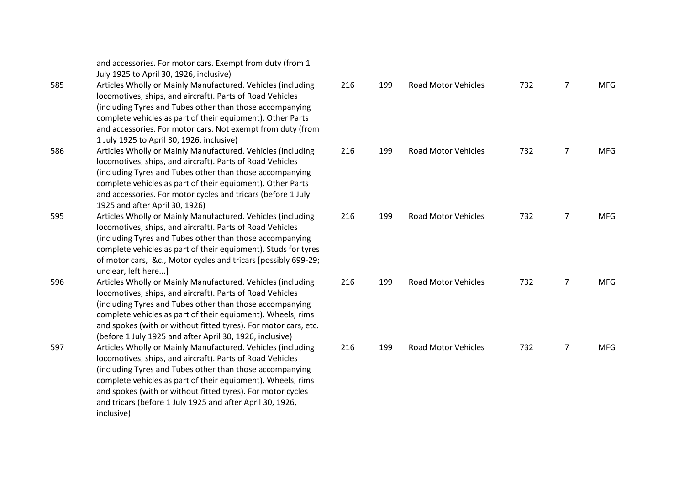|     | and accessories. For motor cars. Exempt from duty (from 1<br>July 1925 to April 30, 1926, inclusive)                                                                                                                                                                                                                                                                                          |     |
|-----|-----------------------------------------------------------------------------------------------------------------------------------------------------------------------------------------------------------------------------------------------------------------------------------------------------------------------------------------------------------------------------------------------|-----|
| 585 | Articles Wholly or Mainly Manufactured. Vehicles (including<br>locomotives, ships, and aircraft). Parts of Road Vehicles<br>(including Tyres and Tubes other than those accompanying<br>complete vehicles as part of their equipment). Other Parts<br>and accessories. For motor cars. Not exempt from duty (from<br>1 July 1925 to April 30, 1926, inclusive)                                | 216 |
| 586 | Articles Wholly or Mainly Manufactured. Vehicles (including<br>locomotives, ships, and aircraft). Parts of Road Vehicles<br>(including Tyres and Tubes other than those accompanying<br>complete vehicles as part of their equipment). Other Parts<br>and accessories. For motor cycles and tricars (before 1 July<br>1925 and after April 30, 1926)                                          | 216 |
| 595 | Articles Wholly or Mainly Manufactured. Vehicles (including<br>locomotives, ships, and aircraft). Parts of Road Vehicles<br>(including Tyres and Tubes other than those accompanying<br>complete vehicles as part of their equipment). Studs for tyres<br>of motor cars, &c., Motor cycles and tricars [possibly 699-29;<br>unclear, left here]                                               | 216 |
| 596 | Articles Wholly or Mainly Manufactured. Vehicles (including<br>locomotives, ships, and aircraft). Parts of Road Vehicles<br>(including Tyres and Tubes other than those accompanying<br>complete vehicles as part of their equipment). Wheels, rims<br>and spokes (with or without fitted tyres). For motor cars, etc.<br>(before 1 July 1925 and after April 30, 1926, inclusive)            | 216 |
| 597 | Articles Wholly or Mainly Manufactured. Vehicles (including<br>locomotives, ships, and aircraft). Parts of Road Vehicles<br>(including Tyres and Tubes other than those accompanying<br>complete vehicles as part of their equipment). Wheels, rims<br>and spokes (with or without fitted tyres). For motor cycles<br>and tricars (before 1 July 1925 and after April 30, 1926,<br>inclusive) | 216 |

| 216 | 199 | Road Motor Vehicles        | 732 | 7              | <b>MFG</b> |
|-----|-----|----------------------------|-----|----------------|------------|
| 216 | 199 | Road Motor Vehicles        | 732 | $\overline{7}$ | <b>MFG</b> |
| 216 | 199 | <b>Road Motor Vehicles</b> | 732 | $\overline{7}$ | <b>MFG</b> |
| 216 | 199 | <b>Road Motor Vehicles</b> | 732 | 7              | <b>MFG</b> |
| 216 | 199 | <b>Road Motor Vehicles</b> | 732 | 7              | <b>MFG</b> |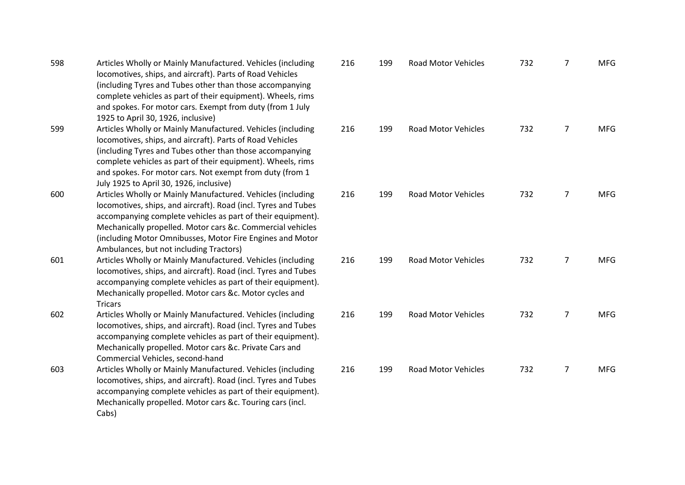| 598 | Articles Wholly or Mainly Manufactured. Vehicles (including<br>locomotives, ships, and aircraft). Parts of Road Vehicles<br>(including Tyres and Tubes other than those accompanying<br>complete vehicles as part of their equipment). Wheels, rims<br>and spokes. For motor cars. Exempt from duty (from 1 July<br>1925 to April 30, 1926, inclusive)             | 216 |
|-----|--------------------------------------------------------------------------------------------------------------------------------------------------------------------------------------------------------------------------------------------------------------------------------------------------------------------------------------------------------------------|-----|
| 599 | Articles Wholly or Mainly Manufactured. Vehicles (including<br>locomotives, ships, and aircraft). Parts of Road Vehicles<br>(including Tyres and Tubes other than those accompanying<br>complete vehicles as part of their equipment). Wheels, rims<br>and spokes. For motor cars. Not exempt from duty (from 1<br>July 1925 to April 30, 1926, inclusive)         | 216 |
| 600 | Articles Wholly or Mainly Manufactured. Vehicles (including<br>locomotives, ships, and aircraft). Road (incl. Tyres and Tubes<br>accompanying complete vehicles as part of their equipment).<br>Mechanically propelled. Motor cars &c. Commercial vehicles<br>(including Motor Omnibusses, Motor Fire Engines and Motor<br>Ambulances, but not including Tractors) | 216 |
| 601 | Articles Wholly or Mainly Manufactured. Vehicles (including<br>locomotives, ships, and aircraft). Road (incl. Tyres and Tubes<br>accompanying complete vehicles as part of their equipment).<br>Mechanically propelled. Motor cars &c. Motor cycles and<br><b>Tricars</b>                                                                                          | 216 |
| 602 | Articles Wholly or Mainly Manufactured. Vehicles (including<br>locomotives, ships, and aircraft). Road (incl. Tyres and Tubes<br>accompanying complete vehicles as part of their equipment).<br>Mechanically propelled. Motor cars &c. Private Cars and<br>Commercial Vehicles, second-hand                                                                        | 216 |
| 603 | Articles Wholly or Mainly Manufactured. Vehicles (including<br>locomotives, ships, and aircraft). Road (incl. Tyres and Tubes<br>accompanying complete vehicles as part of their equipment).<br>Mechanically propelled. Motor cars &c. Touring cars (incl.<br>Cabs)                                                                                                | 216 |

| 216 | 199 | <b>Road Motor Vehicles</b> | 732 | 7              | <b>MFG</b> |
|-----|-----|----------------------------|-----|----------------|------------|
| 216 | 199 | <b>Road Motor Vehicles</b> | 732 | $\overline{7}$ | <b>MFG</b> |
| 216 | 199 | <b>Road Motor Vehicles</b> | 732 | 7              | <b>MFG</b> |
| 216 | 199 | <b>Road Motor Vehicles</b> | 732 | $\overline{7}$ | <b>MFG</b> |
| 216 | 199 | <b>Road Motor Vehicles</b> | 732 | $\overline{7}$ | <b>MFG</b> |
| 216 | 199 | Road Motor Vehicles        | 732 | 7              | <b>MFG</b> |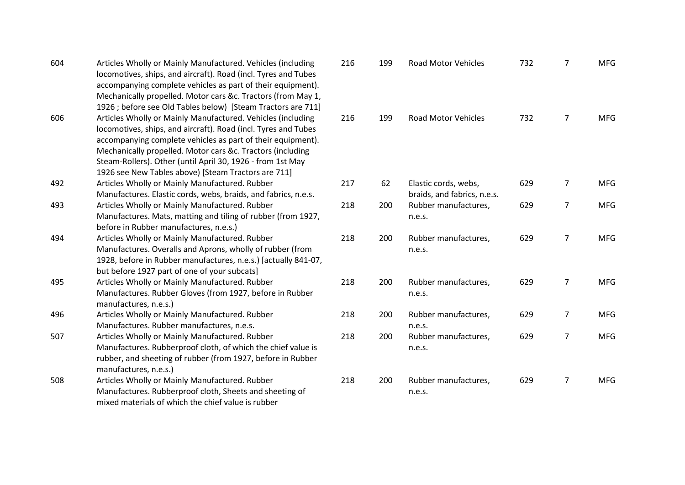| 604 | Articles Wholly or Mainly Manufactured. Vehicles (including<br>locomotives, ships, and aircraft). Road (incl. Tyres and Tubes<br>accompanying complete vehicles as part of their equipment).<br>Mechanically propelled. Motor cars &c. Tractors (from May 1,<br>1926 ; before see Old Tables below) [Steam Tractors are 711]                                                    | 216 | 199 | <b>Road Motor Vehicles</b>                          | 732 | $\overline{7}$ | <b>MFG</b> |
|-----|---------------------------------------------------------------------------------------------------------------------------------------------------------------------------------------------------------------------------------------------------------------------------------------------------------------------------------------------------------------------------------|-----|-----|-----------------------------------------------------|-----|----------------|------------|
| 606 | Articles Wholly or Mainly Manufactured. Vehicles (including<br>locomotives, ships, and aircraft). Road (incl. Tyres and Tubes<br>accompanying complete vehicles as part of their equipment).<br>Mechanically propelled. Motor cars &c. Tractors (including<br>Steam-Rollers). Other (until April 30, 1926 - from 1st May<br>1926 see New Tables above) [Steam Tractors are 711] | 216 | 199 | <b>Road Motor Vehicles</b>                          | 732 | $\overline{7}$ | <b>MFG</b> |
| 492 | Articles Wholly or Mainly Manufactured. Rubber<br>Manufactures. Elastic cords, webs, braids, and fabrics, n.e.s.                                                                                                                                                                                                                                                                | 217 | 62  | Elastic cords, webs,<br>braids, and fabrics, n.e.s. | 629 | $\overline{7}$ | <b>MFG</b> |
| 493 | Articles Wholly or Mainly Manufactured. Rubber<br>Manufactures. Mats, matting and tiling of rubber (from 1927,<br>before in Rubber manufactures, n.e.s.)                                                                                                                                                                                                                        | 218 | 200 | Rubber manufactures,<br>n.e.s.                      | 629 | $\overline{7}$ | <b>MFG</b> |
| 494 | Articles Wholly or Mainly Manufactured. Rubber<br>Manufactures. Overalls and Aprons, wholly of rubber (from<br>1928, before in Rubber manufactures, n.e.s.) [actually 841-07,<br>but before 1927 part of one of your subcats]                                                                                                                                                   | 218 | 200 | Rubber manufactures,<br>n.e.s.                      | 629 | $\overline{7}$ | <b>MFG</b> |
| 495 | Articles Wholly or Mainly Manufactured. Rubber<br>Manufactures. Rubber Gloves (from 1927, before in Rubber<br>manufactures, n.e.s.)                                                                                                                                                                                                                                             | 218 | 200 | Rubber manufactures,<br>n.e.s.                      | 629 | $\overline{7}$ | <b>MFG</b> |
| 496 | Articles Wholly or Mainly Manufactured. Rubber<br>Manufactures. Rubber manufactures, n.e.s.                                                                                                                                                                                                                                                                                     | 218 | 200 | Rubber manufactures,<br>n.e.s.                      | 629 | $\overline{7}$ | <b>MFG</b> |
| 507 | Articles Wholly or Mainly Manufactured. Rubber<br>Manufactures. Rubberproof cloth, of which the chief value is<br>rubber, and sheeting of rubber (from 1927, before in Rubber<br>manufactures, n.e.s.)                                                                                                                                                                          | 218 | 200 | Rubber manufactures,<br>n.e.s.                      | 629 | $\overline{7}$ | <b>MFG</b> |
| 508 | Articles Wholly or Mainly Manufactured. Rubber<br>Manufactures. Rubberproof cloth, Sheets and sheeting of<br>mixed materials of which the chief value is rubber                                                                                                                                                                                                                 | 218 | 200 | Rubber manufactures,<br>n.e.s.                      | 629 | $\overline{7}$ | <b>MFG</b> |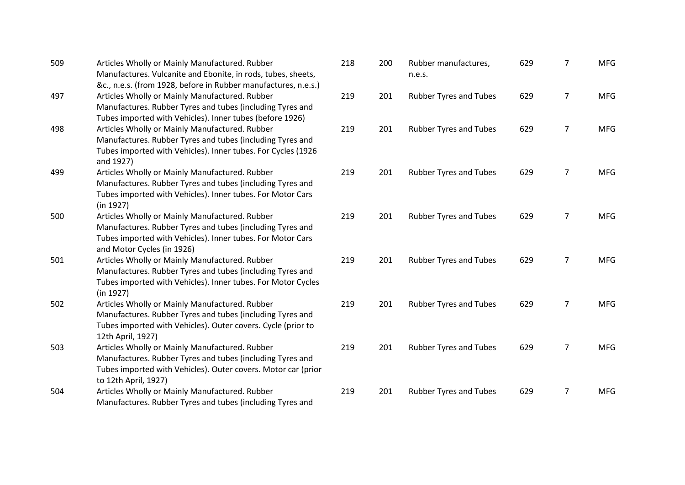| 509 | Articles Wholly or Mainly Manufactured. Rubber<br>Manufactures. Vulcanite and Ebonite, in rods, tubes, sheets,<br>&c., n.e.s. (from 1928, before in Rubber manufactures, n.e.s.)                        | 218 | 200 | Rubber manufactures,<br>n.e.s. | 629 | 7              | <b>MFG</b> |
|-----|---------------------------------------------------------------------------------------------------------------------------------------------------------------------------------------------------------|-----|-----|--------------------------------|-----|----------------|------------|
| 497 | Articles Wholly or Mainly Manufactured. Rubber<br>Manufactures. Rubber Tyres and tubes (including Tyres and<br>Tubes imported with Vehicles). Inner tubes (before 1926)                                 | 219 | 201 | <b>Rubber Tyres and Tubes</b>  | 629 | $\overline{7}$ | <b>MFG</b> |
| 498 | Articles Wholly or Mainly Manufactured. Rubber<br>Manufactures. Rubber Tyres and tubes (including Tyres and<br>Tubes imported with Vehicles). Inner tubes. For Cycles (1926<br>and 1927)                | 219 | 201 | <b>Rubber Tyres and Tubes</b>  | 629 | $\overline{7}$ | <b>MFG</b> |
| 499 | Articles Wholly or Mainly Manufactured. Rubber<br>Manufactures. Rubber Tyres and tubes (including Tyres and<br>Tubes imported with Vehicles). Inner tubes. For Motor Cars<br>(in 1927)                  | 219 | 201 | <b>Rubber Tyres and Tubes</b>  | 629 | $\overline{7}$ | <b>MFG</b> |
| 500 | Articles Wholly or Mainly Manufactured. Rubber<br>Manufactures. Rubber Tyres and tubes (including Tyres and<br>Tubes imported with Vehicles). Inner tubes. For Motor Cars<br>and Motor Cycles (in 1926) | 219 | 201 | <b>Rubber Tyres and Tubes</b>  | 629 | $\overline{7}$ | <b>MFG</b> |
| 501 | Articles Wholly or Mainly Manufactured. Rubber<br>Manufactures. Rubber Tyres and tubes (including Tyres and<br>Tubes imported with Vehicles). Inner tubes. For Motor Cycles<br>(in 1927)                | 219 | 201 | <b>Rubber Tyres and Tubes</b>  | 629 | $\overline{7}$ | <b>MFG</b> |
| 502 | Articles Wholly or Mainly Manufactured. Rubber<br>Manufactures. Rubber Tyres and tubes (including Tyres and<br>Tubes imported with Vehicles). Outer covers. Cycle (prior to<br>12th April, 1927)        | 219 | 201 | <b>Rubber Tyres and Tubes</b>  | 629 | $\overline{7}$ | <b>MFG</b> |
| 503 | Articles Wholly or Mainly Manufactured. Rubber<br>Manufactures. Rubber Tyres and tubes (including Tyres and<br>Tubes imported with Vehicles). Outer covers. Motor car (prior<br>to 12th April, 1927)    | 219 | 201 | <b>Rubber Tyres and Tubes</b>  | 629 | $\overline{7}$ | <b>MFG</b> |
| 504 | Articles Wholly or Mainly Manufactured. Rubber<br>Manufactures. Rubber Tyres and tubes (including Tyres and                                                                                             | 219 | 201 | <b>Rubber Tyres and Tubes</b>  | 629 | 7              | <b>MFG</b> |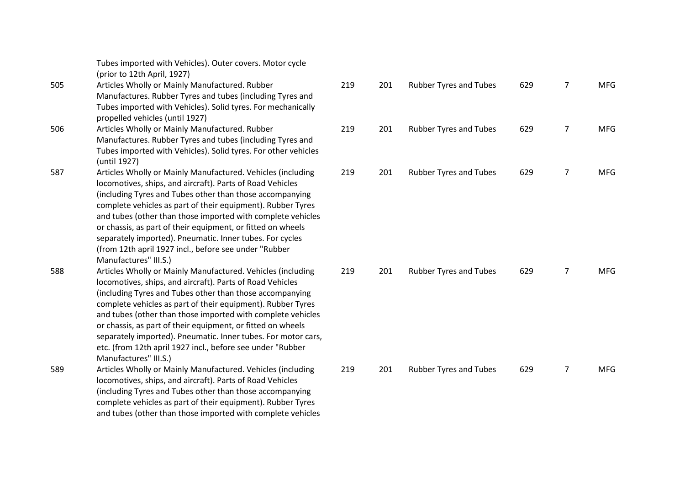|     | Tubes imported with Vehicles). Outer covers. Motor cycle<br>(prior to 12th April, 1927)                                                                                                                                                                                                                                                                                                                                                                                                                                                   |     |     |                               |     |                |            |
|-----|-------------------------------------------------------------------------------------------------------------------------------------------------------------------------------------------------------------------------------------------------------------------------------------------------------------------------------------------------------------------------------------------------------------------------------------------------------------------------------------------------------------------------------------------|-----|-----|-------------------------------|-----|----------------|------------|
| 505 | Articles Wholly or Mainly Manufactured. Rubber<br>Manufactures. Rubber Tyres and tubes (including Tyres and<br>Tubes imported with Vehicles). Solid tyres. For mechanically<br>propelled vehicles (until 1927)                                                                                                                                                                                                                                                                                                                            | 219 | 201 | <b>Rubber Tyres and Tubes</b> | 629 | $\overline{7}$ | <b>MFG</b> |
| 506 | Articles Wholly or Mainly Manufactured. Rubber<br>Manufactures. Rubber Tyres and tubes (including Tyres and<br>Tubes imported with Vehicles). Solid tyres. For other vehicles<br>(until 1927)                                                                                                                                                                                                                                                                                                                                             | 219 | 201 | <b>Rubber Tyres and Tubes</b> | 629 | $\overline{7}$ | <b>MFG</b> |
| 587 | Articles Wholly or Mainly Manufactured. Vehicles (including<br>locomotives, ships, and aircraft). Parts of Road Vehicles<br>(including Tyres and Tubes other than those accompanying<br>complete vehicles as part of their equipment). Rubber Tyres<br>and tubes (other than those imported with complete vehicles<br>or chassis, as part of their equipment, or fitted on wheels<br>separately imported). Pneumatic. Inner tubes. For cycles<br>(from 12th april 1927 incl., before see under "Rubber<br>Manufactures" III.S.)           | 219 | 201 | <b>Rubber Tyres and Tubes</b> | 629 | $\overline{7}$ | <b>MFG</b> |
| 588 | Articles Wholly or Mainly Manufactured. Vehicles (including<br>locomotives, ships, and aircraft). Parts of Road Vehicles<br>(including Tyres and Tubes other than those accompanying<br>complete vehicles as part of their equipment). Rubber Tyres<br>and tubes (other than those imported with complete vehicles<br>or chassis, as part of their equipment, or fitted on wheels<br>separately imported). Pneumatic. Inner tubes. For motor cars,<br>etc. (from 12th april 1927 incl., before see under "Rubber<br>Manufactures" III.S.) | 219 | 201 | <b>Rubber Tyres and Tubes</b> | 629 | $\overline{7}$ | <b>MFG</b> |
| 589 | Articles Wholly or Mainly Manufactured. Vehicles (including<br>locomotives, ships, and aircraft). Parts of Road Vehicles<br>(including Tyres and Tubes other than those accompanying<br>complete vehicles as part of their equipment). Rubber Tyres<br>and tubes (other than those imported with complete vehicles                                                                                                                                                                                                                        | 219 | 201 | <b>Rubber Tyres and Tubes</b> | 629 | $\overline{7}$ | <b>MFG</b> |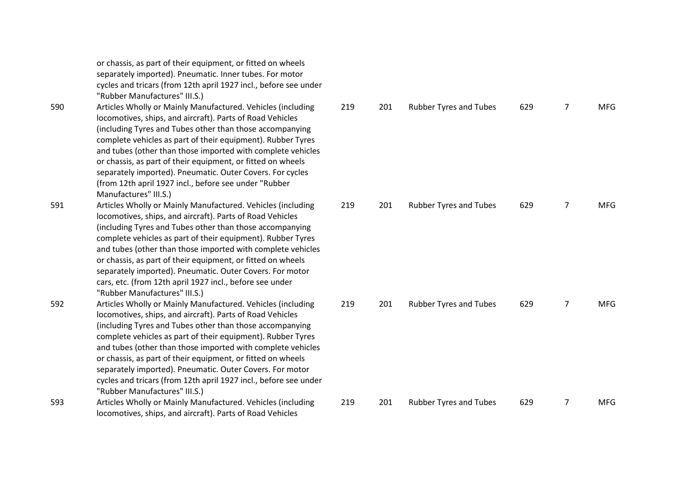or chassis, as part of their equipment, or fitted on wheels separately imported). Pneumatic. Inner tubes. For motor cycles and tricars (from 12th april 1927 incl., before see under "Rubber Manufactures" III.S.)

- 590 Articles Wholly or Mainly Manufactured. Vehicles (including locomotives, ships, and aircraft). Parts of Road Vehicles (including Tyres and Tubes other than those accompanying complete vehicles as part of their equipment). Rubber Tyres and tubes (other than those imported with complete vehicles or chassis, as part of their equipment, or fitted on wheels separately imported). Pneumatic. Outer Covers. For cycles (from 12th april 1927 incl., before see under "Rubber Manufactures" III.S.)
- 591 Articles Wholly or Mainly Manufactured. Vehicles (including locomotives, ships, and aircraft). Parts of Road Vehicles (including Tyres and Tubes other than those accompanying complete vehicles as part of their equipment). Rubber Tyres and tubes (other than those imported with complete vehicles or chassis, as part of their equipment, or fitted on wheels separately imported). Pneumatic. Outer Covers. For motor cars, etc. (from 12th april 1927 incl., before see under "Rubber Manufactures" III.S.)
- 592 Articles Wholly or Mainly Manufactured. Vehicles (including locomotives, ships, and aircraft). Parts of Road Vehicles (including Tyres and Tubes other than those accompanying complete vehicles as part of their equipment). Rubber Tyres and tubes (other than those imported with complete vehicles or chassis, as part of their equipment, or fitted on wheels separately imported). Pneumatic. Outer Covers. For motor cycles and tricars (from 12th april 1927 incl., before see under "Rubber Manufactures" III.S.)
- 593 Articles Wholly or Mainly Manufactured. Vehicles (including locomotives, ships, and aircraft). Parts of Road Vehicles

| 219 | 201 | Rubber Tyres and Tubes        | 629 | $\overline{7}$ | MFG        |
|-----|-----|-------------------------------|-----|----------------|------------|
| 219 | 201 | Rubber Tyres and Tubes        | 629 | $\overline{7}$ | <b>MFG</b> |
| 219 | 201 | Rubber Tyres and Tubes        | 629 | $\overline{7}$ | MFG        |
| 219 | 201 | <b>Rubber Tyres and Tubes</b> | 629 | 7              | <b>MFG</b> |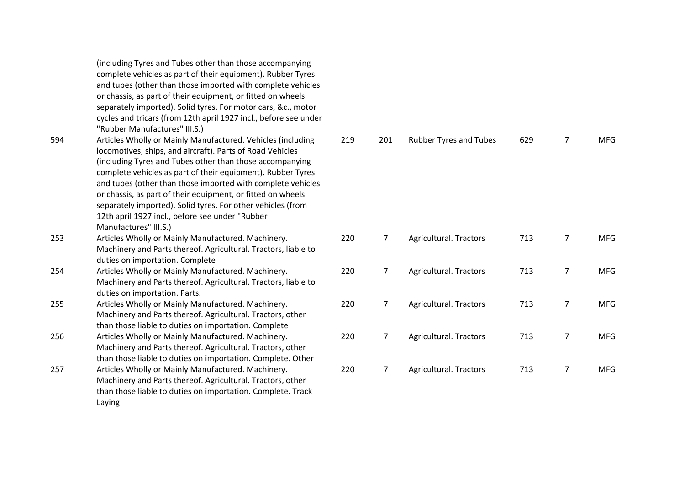|     | (including Tyres and Tubes other than those accompanying<br>complete vehicles as part of their equipment). Rubber Tyres<br>and tubes (other than those imported with complete vehicles<br>or chassis, as part of their equipment, or fitted on wheels<br>separately imported). Solid tyres. For motor cars, &c., motor<br>cycles and tricars (from 12th april 1927 incl., before see under                                                                                                                                                                    |     |
|-----|---------------------------------------------------------------------------------------------------------------------------------------------------------------------------------------------------------------------------------------------------------------------------------------------------------------------------------------------------------------------------------------------------------------------------------------------------------------------------------------------------------------------------------------------------------------|-----|
| 594 | "Rubber Manufactures" III.S.)<br>Articles Wholly or Mainly Manufactured. Vehicles (including<br>locomotives, ships, and aircraft). Parts of Road Vehicles<br>(including Tyres and Tubes other than those accompanying<br>complete vehicles as part of their equipment). Rubber Tyres<br>and tubes (other than those imported with complete vehicles<br>or chassis, as part of their equipment, or fitted on wheels<br>separately imported). Solid tyres. For other vehicles (from<br>12th april 1927 incl., before see under "Rubber<br>Manufactures" III.S.) | 219 |
| 253 | Articles Wholly or Mainly Manufactured. Machinery.<br>Machinery and Parts thereof. Agricultural. Tractors, liable to<br>duties on importation. Complete                                                                                                                                                                                                                                                                                                                                                                                                       | 220 |
| 254 | Articles Wholly or Mainly Manufactured. Machinery.<br>Machinery and Parts thereof. Agricultural. Tractors, liable to<br>duties on importation. Parts.                                                                                                                                                                                                                                                                                                                                                                                                         | 220 |
| 255 | Articles Wholly or Mainly Manufactured. Machinery.<br>Machinery and Parts thereof. Agricultural. Tractors, other<br>than those liable to duties on importation. Complete                                                                                                                                                                                                                                                                                                                                                                                      | 220 |
| 256 | Articles Wholly or Mainly Manufactured. Machinery.<br>Machinery and Parts thereof. Agricultural. Tractors, other<br>than those liable to duties on importation. Complete. Other                                                                                                                                                                                                                                                                                                                                                                               | 220 |
| 257 | Articles Wholly or Mainly Manufactured. Machinery.<br>Machinery and Parts thereof. Agricultural. Tractors, other<br>than those liable to duties on importation. Complete. Track<br>Laying                                                                                                                                                                                                                                                                                                                                                                     | 220 |

| 219 | 201 | <b>Rubber Tyres and Tubes</b> | 629 | 7 | MFG        |
|-----|-----|-------------------------------|-----|---|------------|
| 220 | 7   | Agricultural. Tractors        | 713 | 7 | <b>MFG</b> |
| 220 | 7   | Agricultural. Tractors        | 713 | 7 | <b>MFG</b> |
| 220 | 7   | Agricultural. Tractors        | 713 | 7 | <b>MFG</b> |
| 220 | 7   | Agricultural. Tractors        | 713 | 7 | <b>MFG</b> |
| 220 | 7   | Agricultural. Tractors        | 713 | 7 | <b>MFG</b> |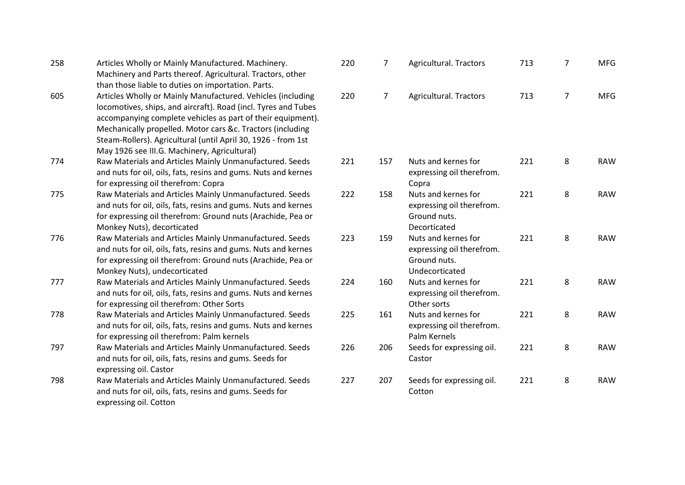| 258 | Articles Wholly or Mainly Manufactured. Machinery.<br>Machinery and Parts thereof. Agricultural. Tractors, other<br>than those liable to duties on importation. Parts.                                                                                                                                                                                                      | 220 | 7              | Agricultural. Tractors                                                             | 713 | $\overline{7}$ | <b>MFG</b> |
|-----|-----------------------------------------------------------------------------------------------------------------------------------------------------------------------------------------------------------------------------------------------------------------------------------------------------------------------------------------------------------------------------|-----|----------------|------------------------------------------------------------------------------------|-----|----------------|------------|
| 605 | Articles Wholly or Mainly Manufactured. Vehicles (including<br>locomotives, ships, and aircraft). Road (incl. Tyres and Tubes<br>accompanying complete vehicles as part of their equipment).<br>Mechanically propelled. Motor cars &c. Tractors (including<br>Steam-Rollers). Agricultural (until April 30, 1926 - from 1st<br>May 1926 see III.G. Machinery, Agricultural) | 220 | $\overline{7}$ | <b>Agricultural. Tractors</b>                                                      | 713 | $\overline{7}$ | <b>MFG</b> |
| 774 | Raw Materials and Articles Mainly Unmanufactured. Seeds<br>and nuts for oil, oils, fats, resins and gums. Nuts and kernes<br>for expressing oil therefrom: Copra                                                                                                                                                                                                            | 221 | 157            | Nuts and kernes for<br>expressing oil therefrom.<br>Copra                          | 221 | 8              | <b>RAW</b> |
| 775 | Raw Materials and Articles Mainly Unmanufactured. Seeds<br>and nuts for oil, oils, fats, resins and gums. Nuts and kernes<br>for expressing oil therefrom: Ground nuts (Arachide, Pea or<br>Monkey Nuts), decorticated                                                                                                                                                      | 222 | 158            | Nuts and kernes for<br>expressing oil therefrom.<br>Ground nuts.<br>Decorticated   | 221 | 8              | <b>RAW</b> |
| 776 | Raw Materials and Articles Mainly Unmanufactured. Seeds<br>and nuts for oil, oils, fats, resins and gums. Nuts and kernes<br>for expressing oil therefrom: Ground nuts (Arachide, Pea or<br>Monkey Nuts), undecorticated                                                                                                                                                    | 223 | 159            | Nuts and kernes for<br>expressing oil therefrom.<br>Ground nuts.<br>Undecorticated | 221 | 8              | <b>RAW</b> |
| 777 | Raw Materials and Articles Mainly Unmanufactured. Seeds<br>and nuts for oil, oils, fats, resins and gums. Nuts and kernes<br>for expressing oil therefrom: Other Sorts                                                                                                                                                                                                      | 224 | 160            | Nuts and kernes for<br>expressing oil therefrom.<br>Other sorts                    | 221 | 8              | <b>RAW</b> |
| 778 | Raw Materials and Articles Mainly Unmanufactured. Seeds<br>and nuts for oil, oils, fats, resins and gums. Nuts and kernes<br>for expressing oil therefrom: Palm kernels                                                                                                                                                                                                     | 225 | 161            | Nuts and kernes for<br>expressing oil therefrom.<br>Palm Kernels                   | 221 | 8              | <b>RAW</b> |
| 797 | Raw Materials and Articles Mainly Unmanufactured. Seeds<br>and nuts for oil, oils, fats, resins and gums. Seeds for<br>expressing oil. Castor                                                                                                                                                                                                                               | 226 | 206            | Seeds for expressing oil.<br>Castor                                                | 221 | 8              | <b>RAW</b> |
| 798 | Raw Materials and Articles Mainly Unmanufactured. Seeds<br>and nuts for oil, oils, fats, resins and gums. Seeds for<br>expressing oil. Cotton                                                                                                                                                                                                                               | 227 | 207            | Seeds for expressing oil.<br>Cotton                                                | 221 | 8              | <b>RAW</b> |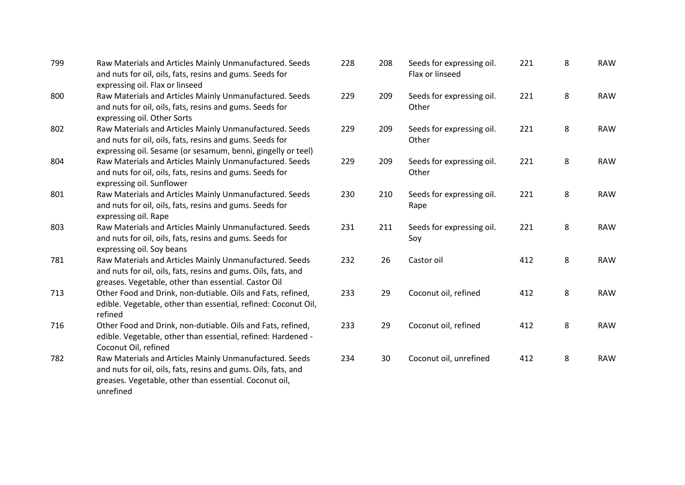| 799 | Raw Materials and Articles Mainly Unmanufactured. Seeds<br>and nuts for oil, oils, fats, resins and gums. Seeds for<br>expressing oil. Flax or linseed                                           |
|-----|--------------------------------------------------------------------------------------------------------------------------------------------------------------------------------------------------|
| 800 | Raw Materials and Articles Mainly Unmanufactured. Seeds<br>and nuts for oil, oils, fats, resins and gums. Seeds for<br>expressing oil. Other Sorts                                               |
| 802 | Raw Materials and Articles Mainly Unmanufactured. Seeds<br>and nuts for oil, oils, fats, resins and gums. Seeds for<br>expressing oil. Sesame (or sesamum, benni, gingelly or teel)              |
| 804 | Raw Materials and Articles Mainly Unmanufactured. Seeds<br>and nuts for oil, oils, fats, resins and gums. Seeds for<br>expressing oil. Sunflower                                                 |
| 801 | Raw Materials and Articles Mainly Unmanufactured. Seeds<br>and nuts for oil, oils, fats, resins and gums. Seeds for<br>expressing oil. Rape                                                      |
| 803 | Raw Materials and Articles Mainly Unmanufactured. Seeds<br>and nuts for oil, oils, fats, resins and gums. Seeds for<br>expressing oil. Soy beans                                                 |
| 781 | Raw Materials and Articles Mainly Unmanufactured. Seeds<br>and nuts for oil, oils, fats, resins and gums. Oils, fats, and<br>greases. Vegetable, other than essential. Castor Oil                |
| 713 | Other Food and Drink, non-dutiable. Oils and Fats, refined,<br>edible. Vegetable, other than essential, refined: Coconut Oil,<br>refined                                                         |
| 716 | Other Food and Drink, non-dutiable. Oils and Fats, refined,<br>edible. Vegetable, other than essential, refined: Hardened -<br>Coconut Oil, refined                                              |
| 782 | Raw Materials and Articles Mainly Unmanufactured. Seeds<br>and nuts for oil, oils, fats, resins and gums. Oils, fats, and<br>greases. Vegetable, other than essential. Coconut oil,<br>unrefined |

| 228 | 208 | Seeds for expressing oil.<br>Flax or linseed | 221 | 8 | <b>RAW</b> |
|-----|-----|----------------------------------------------|-----|---|------------|
| 229 | 209 | Seeds for expressing oil.<br>Other           | 221 | 8 | <b>RAW</b> |
| 229 | 209 | Seeds for expressing oil.<br>Other           | 221 | 8 | <b>RAW</b> |
| 229 | 209 | Seeds for expressing oil.<br>Other           | 221 | 8 | <b>RAW</b> |
| 230 | 210 | Seeds for expressing oil.<br>Rape            | 221 | 8 | <b>RAW</b> |
| 231 | 211 | Seeds for expressing oil.<br>Soy             | 221 | 8 | <b>RAW</b> |
| 232 | 26  | Castor oil                                   | 412 | 8 | <b>RAW</b> |
| 233 | 29  | Coconut oil, refined                         | 412 | 8 | <b>RAW</b> |
| 233 | 29  | Coconut oil, refined                         | 412 | 8 | <b>RAW</b> |
| 234 | 30  | Coconut oil, unrefined                       | 412 | 8 | <b>RAW</b> |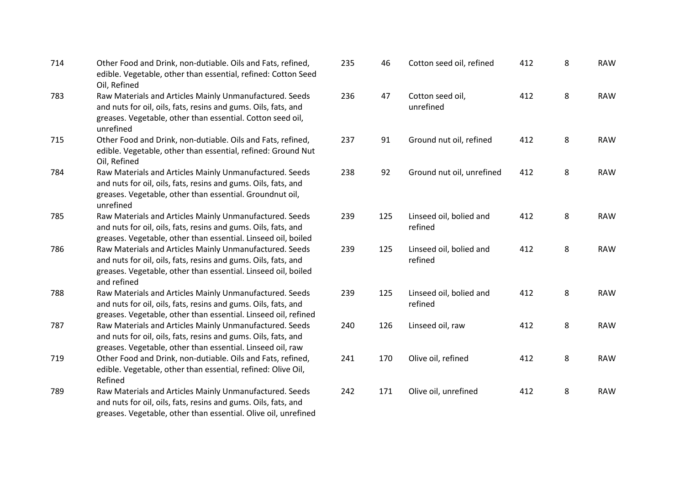| 714 | Other Food and Drink, non-dutiable. Oils and Fats, refined,<br>edible. Vegetable, other than essential, refined: Cotton Seed<br>Oil, Refined                                                              |
|-----|-----------------------------------------------------------------------------------------------------------------------------------------------------------------------------------------------------------|
| 783 | Raw Materials and Articles Mainly Unmanufactured. Seeds<br>and nuts for oil, oils, fats, resins and gums. Oils, fats, and<br>greases. Vegetable, other than essential. Cotton seed oil,<br>unrefined      |
| 715 | Other Food and Drink, non-dutiable. Oils and Fats, refined,<br>edible. Vegetable, other than essential, refined: Ground Nut<br>Oil, Refined                                                               |
| 784 | Raw Materials and Articles Mainly Unmanufactured. Seeds<br>and nuts for oil, oils, fats, resins and gums. Oils, fats, and<br>greases. Vegetable, other than essential. Groundnut oil,<br>unrefined        |
| 785 | Raw Materials and Articles Mainly Unmanufactured. Seeds<br>and nuts for oil, oils, fats, resins and gums. Oils, fats, and<br>greases. Vegetable, other than essential. Linseed oil, boiled                |
| 786 | Raw Materials and Articles Mainly Unmanufactured. Seeds<br>and nuts for oil, oils, fats, resins and gums. Oils, fats, and<br>greases. Vegetable, other than essential. Linseed oil, boiled<br>and refined |
| 788 | Raw Materials and Articles Mainly Unmanufactured. Seeds<br>and nuts for oil, oils, fats, resins and gums. Oils, fats, and<br>greases. Vegetable, other than essential. Linseed oil, refined               |
| 787 | Raw Materials and Articles Mainly Unmanufactured. Seeds<br>and nuts for oil, oils, fats, resins and gums. Oils, fats, and<br>greases. Vegetable, other than essential. Linseed oil, raw                   |
| 719 | Other Food and Drink, non-dutiable. Oils and Fats, refined,<br>edible. Vegetable, other than essential, refined: Olive Oil,<br>Refined                                                                    |
| 789 | Raw Materials and Articles Mainly Unmanufactured. Seeds<br>and nuts for oil, oils, fats, resins and gums. Oils, fats, and<br>greases. Vegetable, other than essential. Olive oil, unrefined               |

| 235 | 46  | Cotton seed oil, refined           | 412 | 8 | RAW        |
|-----|-----|------------------------------------|-----|---|------------|
| 236 | 47  | Cotton seed oil,<br>unrefined      | 412 | 8 | <b>RAW</b> |
| 237 | 91  | Ground nut oil, refined            | 412 | 8 | <b>RAW</b> |
| 238 | 92  | Ground nut oil, unrefined          | 412 | 8 | <b>RAW</b> |
|     |     |                                    |     |   |            |
| 239 | 125 | Linseed oil, bolied and<br>refined | 412 | 8 | <b>RAW</b> |
| 239 | 125 | Linseed oil, bolied and<br>refined | 412 | 8 | <b>RAW</b> |
| 239 | 125 | Linseed oil, bolied and<br>refined | 412 | 8 | <b>RAW</b> |
| 240 | 126 | Linseed oil, raw                   | 412 | 8 | <b>RAW</b> |
| 241 | 170 | Olive oil, refined                 | 412 | 8 | <b>RAW</b> |
| 242 | 171 | Olive oil, unrefined               | 412 | 8 | <b>RAW</b> |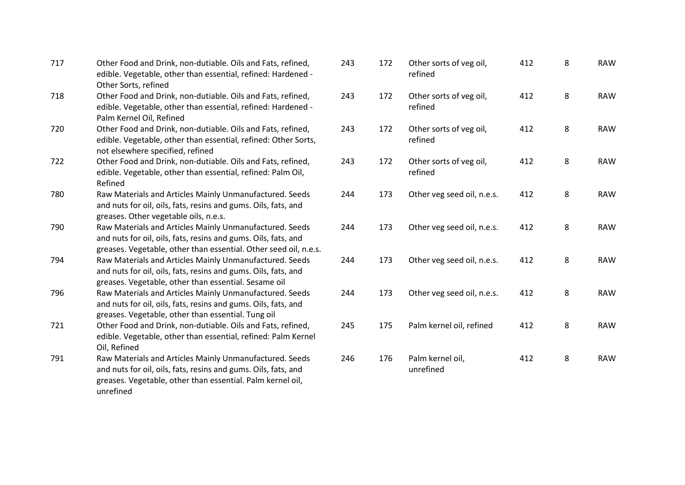| 717 | Other Food and Drink, non-dutiable. Oils and Fats, refined,<br>edible. Vegetable, other than essential, refined: Hardened -<br>Other Sorts, refined                                                  |
|-----|------------------------------------------------------------------------------------------------------------------------------------------------------------------------------------------------------|
| 718 | Other Food and Drink, non-dutiable. Oils and Fats, refined,<br>edible. Vegetable, other than essential, refined: Hardened -<br>Palm Kernel Oil, Refined                                              |
| 720 | Other Food and Drink, non-dutiable. Oils and Fats, refined,<br>edible. Vegetable, other than essential, refined: Other Sorts,<br>not elsewhere specified, refined                                    |
| 722 | Other Food and Drink, non-dutiable. Oils and Fats, refined,<br>edible. Vegetable, other than essential, refined: Palm Oil,<br>Refined                                                                |
| 780 | Raw Materials and Articles Mainly Unmanufactured. Seeds<br>and nuts for oil, oils, fats, resins and gums. Oils, fats, and<br>greases. Other vegetable oils, n.e.s.                                   |
| 790 | Raw Materials and Articles Mainly Unmanufactured. Seeds<br>and nuts for oil, oils, fats, resins and gums. Oils, fats, and<br>greases. Vegetable, other than essential. Other seed oil, n.e.s.        |
| 794 | Raw Materials and Articles Mainly Unmanufactured. Seeds<br>and nuts for oil, oils, fats, resins and gums. Oils, fats, and<br>greases. Vegetable, other than essential. Sesame oil                    |
| 796 | Raw Materials and Articles Mainly Unmanufactured. Seeds<br>and nuts for oil, oils, fats, resins and gums. Oils, fats, and<br>greases. Vegetable, other than essential. Tung oil                      |
| 721 | Other Food and Drink, non-dutiable. Oils and Fats, refined,<br>edible. Vegetable, other than essential, refined: Palm Kernel<br>Oil, Refined                                                         |
| 791 | Raw Materials and Articles Mainly Unmanufactured. Seeds<br>and nuts for oil, oils, fats, resins and gums. Oils, fats, and<br>greases. Vegetable, other than essential. Palm kernel oil,<br>unrefined |

| 243 | 172 | Other sorts of veg oil,<br>refined | 412 | 8 | <b>RAW</b> |
|-----|-----|------------------------------------|-----|---|------------|
| 243 | 172 | Other sorts of veg oil,<br>refined | 412 | 8 | <b>RAW</b> |
| 243 | 172 | Other sorts of veg oil,<br>refined | 412 | 8 | <b>RAW</b> |
| 243 | 172 | Other sorts of veg oil,<br>refined | 412 | 8 | <b>RAW</b> |
| 244 | 173 | Other veg seed oil, n.e.s.         | 412 | 8 | <b>RAW</b> |
| 244 | 173 | Other veg seed oil, n.e.s.         | 412 | 8 | <b>RAW</b> |
| 244 | 173 | Other veg seed oil, n.e.s.         | 412 | 8 | <b>RAW</b> |
| 244 | 173 | Other veg seed oil, n.e.s.         | 412 | 8 | <b>RAW</b> |
| 245 | 175 | Palm kernel oil, refined           | 412 | 8 | <b>RAW</b> |
| 246 | 176 | Palm kernel oil,<br>unrefined      | 412 | 8 | <b>RAW</b> |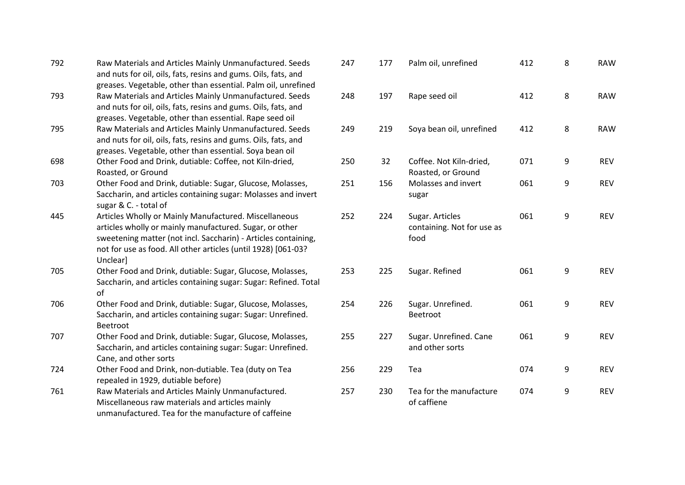| 792 | Raw Materials and Articles Mainly Unmanufactured. Seeds<br>and nuts for oil, oils, fats, resins and gums. Oils, fats, and |
|-----|---------------------------------------------------------------------------------------------------------------------------|
|     | greases. Vegetable, other than essential. Palm oil, unrefined                                                             |
| 793 | Raw Materials and Articles Mainly Unmanufactured. Seeds                                                                   |
|     | and nuts for oil, oils, fats, resins and gums. Oils, fats, and                                                            |
|     | greases. Vegetable, other than essential. Rape seed oil                                                                   |
| 795 | Raw Materials and Articles Mainly Unmanufactured. Seeds                                                                   |
|     | and nuts for oil, oils, fats, resins and gums. Oils, fats, and                                                            |
|     | greases. Vegetable, other than essential. Soya bean oil                                                                   |
| 698 | Other Food and Drink, dutiable: Coffee, not Kiln-dried,                                                                   |
|     | Roasted, or Ground                                                                                                        |
| 703 | Other Food and Drink, dutiable: Sugar, Glucose, Molasses,                                                                 |
|     | Saccharin, and articles containing sugar: Molasses and invert<br>sugar & C. - total of                                    |
| 445 | Articles Wholly or Mainly Manufactured. Miscellaneous                                                                     |
|     | articles wholly or mainly manufactured. Sugar, or other                                                                   |
|     | sweetening matter (not incl. Saccharin) - Articles containing,                                                            |
|     | not for use as food. All other articles (until 1928) [061-03?                                                             |
|     | Unclear]                                                                                                                  |
| 705 | Other Food and Drink, dutiable: Sugar, Glucose, Molasses,                                                                 |
|     | Saccharin, and articles containing sugar: Sugar: Refined. Total                                                           |
|     | of                                                                                                                        |
| 706 | Other Food and Drink, dutiable: Sugar, Glucose, Molasses,                                                                 |
|     | Saccharin, and articles containing sugar: Sugar: Unrefined.                                                               |
|     | <b>Beetroot</b>                                                                                                           |
| 707 | Other Food and Drink, dutiable: Sugar, Glucose, Molasses,                                                                 |
|     | Saccharin, and articles containing sugar: Sugar: Unrefined.                                                               |
|     | Cane, and other sorts                                                                                                     |
| 724 | Other Food and Drink, non-dutiable. Tea (duty on Tea                                                                      |
|     | repealed in 1929, dutiable before)                                                                                        |
| 761 | Raw Materials and Articles Mainly Unmanufactured.                                                                         |
|     | Miscellaneous raw materials and articles mainly                                                                           |
|     | unmanufactured. Tea for the manufacture of caffeine                                                                       |
|     |                                                                                                                           |

| 247 | 177 | Palm oil, unrefined                                   | 412 | 8 | <b>RAW</b> |
|-----|-----|-------------------------------------------------------|-----|---|------------|
| 248 | 197 | Rape seed oil                                         | 412 | 8 | <b>RAW</b> |
| 249 | 219 | Soya bean oil, unrefined                              | 412 | 8 | <b>RAW</b> |
| 250 | 32  | Coffee. Not Kiln-dried,                               | 071 | 9 | <b>REV</b> |
| 251 | 156 | Roasted, or Ground<br>Molasses and invert<br>sugar    | 061 | 9 | <b>REV</b> |
| 252 | 224 | Sugar. Articles<br>containing. Not for use as<br>food | 061 | 9 | <b>REV</b> |
| 253 | 225 | Sugar. Refined                                        | 061 | 9 | <b>REV</b> |
| 254 | 226 | Sugar. Unrefined.<br>Beetroot                         | 061 | 9 | <b>REV</b> |
| 255 | 227 | Sugar. Unrefined. Cane<br>and other sorts             | 061 | 9 | <b>REV</b> |
| 256 | 229 | Tea                                                   | 074 | 9 | <b>REV</b> |
| 257 | 230 | Tea for the manufacture<br>of caffiene                | 074 | 9 | <b>REV</b> |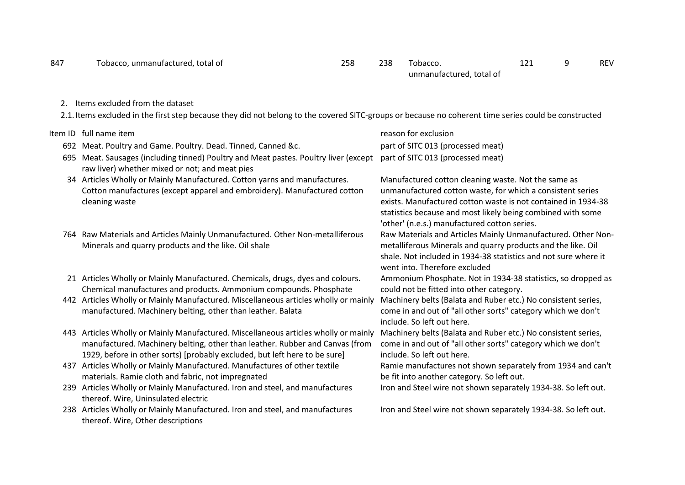2. Items excluded from the dataset

2.1.Items excluded in the first step because they did not belong to the covered SITC-groups or because no coherent time series could be constructed

|     | Item ID full name item                                                                                                                                                                                                                            | reason for exclusion                                                                                                                                                                                                                                                                              |
|-----|---------------------------------------------------------------------------------------------------------------------------------------------------------------------------------------------------------------------------------------------------|---------------------------------------------------------------------------------------------------------------------------------------------------------------------------------------------------------------------------------------------------------------------------------------------------|
|     | 692 Meat. Poultry and Game. Poultry. Dead. Tinned, Canned &c.                                                                                                                                                                                     | part of SITC 013 (processed meat)                                                                                                                                                                                                                                                                 |
| 695 | Meat. Sausages (including tinned) Poultry and Meat pastes. Poultry liver (except<br>raw liver) whether mixed or not; and meat pies                                                                                                                | part of SITC 013 (processed meat)                                                                                                                                                                                                                                                                 |
|     | 34 Articles Wholly or Mainly Manufactured. Cotton yarns and manufactures.<br>Cotton manufactures (except apparel and embroidery). Manufactured cotton<br>cleaning waste                                                                           | Manufactured cotton cleaning waste. Not the same as<br>unmanufactured cotton waste, for which a consistent series<br>exists. Manufactured cotton waste is not contained in 1934-38<br>statistics because and most likely being combined with some<br>'other' (n.e.s.) manufactured cotton series. |
|     | 764 Raw Materials and Articles Mainly Unmanufactured. Other Non-metalliferous<br>Minerals and quarry products and the like. Oil shale                                                                                                             | Raw Materials and Articles Mainly Unmanufactured. Other Non-<br>metalliferous Minerals and quarry products and the like. Oil<br>shale. Not included in 1934-38 statistics and not sure where it<br>went into. Therefore excluded                                                                  |
|     | 21 Articles Wholly or Mainly Manufactured. Chemicals, drugs, dyes and colours.<br>Chemical manufactures and products. Ammonium compounds. Phosphate                                                                                               | Ammonium Phosphate. Not in 1934-38 statistics, so dropped as<br>could not be fitted into other category.                                                                                                                                                                                          |
|     | 442 Articles Wholly or Mainly Manufactured. Miscellaneous articles wholly or mainly<br>manufactured. Machinery belting, other than leather. Balata                                                                                                | Machinery belts (Balata and Ruber etc.) No consistent series,<br>come in and out of "all other sorts" category which we don't<br>include. So left out here.                                                                                                                                       |
|     | 443 Articles Wholly or Mainly Manufactured. Miscellaneous articles wholly or mainly<br>manufactured. Machinery belting, other than leather. Rubber and Canvas (from<br>1929, before in other sorts) [probably excluded, but left here to be sure] | Machinery belts (Balata and Ruber etc.) No consistent series,<br>come in and out of "all other sorts" category which we don't<br>include. So left out here.                                                                                                                                       |
|     | 437 Articles Wholly or Mainly Manufactured. Manufactures of other textile<br>materials. Ramie cloth and fabric, not impregnated                                                                                                                   | Ramie manufactures not shown separately from 1934 and can't<br>be fit into another category. So left out.                                                                                                                                                                                         |
|     | 239 Articles Wholly or Mainly Manufactured. Iron and steel, and manufactures<br>thereof. Wire, Uninsulated electric                                                                                                                               | Iron and Steel wire not shown separately 1934-38. So left out.                                                                                                                                                                                                                                    |
|     | 238 Articles Wholly or Mainly Manufactured. Iron and steel, and manufactures<br>thereof. Wire, Other descriptions                                                                                                                                 | Iron and Steel wire not shown separately 1934-38. So left out.                                                                                                                                                                                                                                    |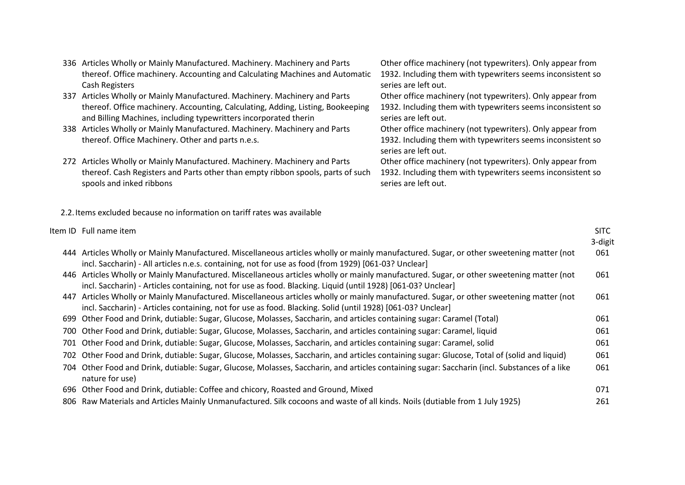| 336 Articles Wholly or Mainly Manufactured. Machinery. Machinery and Parts      | Other office machinery (not typewriters). Only appear from  |
|---------------------------------------------------------------------------------|-------------------------------------------------------------|
| thereof. Office machinery. Accounting and Calculating Machines and Automatic    | 1932. Including them with typewriters seems inconsistent so |
| Cash Registers                                                                  | series are left out.                                        |
| 337 Articles Wholly or Mainly Manufactured. Machinery. Machinery and Parts      | Other office machinery (not typewriters). Only appear from  |
| thereof. Office machinery. Accounting, Calculating, Adding, Listing, Bookeeping | 1932. Including them with typewriters seems inconsistent so |
| and Billing Machines, including typewritters incorporated therin                | series are left out.                                        |
| 338 Articles Wholly or Mainly Manufactured. Machinery. Machinery and Parts      | Other office machinery (not typewriters). Only appear from  |
| thereof. Office Machinery. Other and parts n.e.s.                               | 1932. Including them with typewriters seems inconsistent so |
|                                                                                 | series are left out.                                        |
| 272 Articles Wholly or Mainly Manufactured. Machinery. Machinery and Parts      | Other office machinery (not typewriters). Only appear from  |
| thereof. Cash Registers and Parts other than empty ribbon spools, parts of such | 1932. Including them with typewriters seems inconsistent so |
| spools and inked ribbons                                                        | series are left out.                                        |

2.2.Items excluded because no information on tariff rates was available

|     | Item ID Full name item                                                                                                                                                                                                                                   | <b>SITC</b> |
|-----|----------------------------------------------------------------------------------------------------------------------------------------------------------------------------------------------------------------------------------------------------------|-------------|
|     |                                                                                                                                                                                                                                                          | 3-digit     |
|     | 444 Articles Wholly or Mainly Manufactured. Miscellaneous articles wholly or mainly manufactured. Sugar, or other sweetening matter (not<br>incl. Saccharin) - All articles n.e.s. containing, not for use as food (from 1929) [061-03? Unclear]         | 061         |
|     | 446 Articles Wholly or Mainly Manufactured. Miscellaneous articles wholly or mainly manufactured. Sugar, or other sweetening matter (not<br>incl. Saccharin) - Articles containing, not for use as food. Blacking. Liquid (until 1928) [061-03? Unclear] | 061         |
| 447 | Articles Wholly or Mainly Manufactured. Miscellaneous articles wholly or mainly manufactured. Sugar, or other sweetening matter (not<br>incl. Saccharin) - Articles containing, not for use as food. Blacking. Solid (until 1928) [061-03? Unclear]      | 061         |
|     | 699 Other Food and Drink, dutiable: Sugar, Glucose, Molasses, Saccharin, and articles containing sugar: Caramel (Total)                                                                                                                                  | 061         |
|     | 700 Other Food and Drink, dutiable: Sugar, Glucose, Molasses, Saccharin, and articles containing sugar: Caramel, liquid                                                                                                                                  | 061         |
|     | 701 Other Food and Drink, dutiable: Sugar, Glucose, Molasses, Saccharin, and articles containing sugar: Caramel, solid                                                                                                                                   | 061         |
|     | 702 Other Food and Drink, dutiable: Sugar, Glucose, Molasses, Saccharin, and articles containing sugar: Glucose, Total of (solid and liquid)                                                                                                             | 061         |
|     | 704 Other Food and Drink, dutiable: Sugar, Glucose, Molasses, Saccharin, and articles containing sugar: Saccharin (incl. Substances of a like<br>nature for use)                                                                                         | 061         |
|     | 696 Other Food and Drink, dutiable: Coffee and chicory, Roasted and Ground, Mixed                                                                                                                                                                        | 071         |
|     | 806 Raw Materials and Articles Mainly Unmanufactured. Silk cocoons and waste of all kinds. Noils (dutiable from 1 July 1925)                                                                                                                             | 261         |